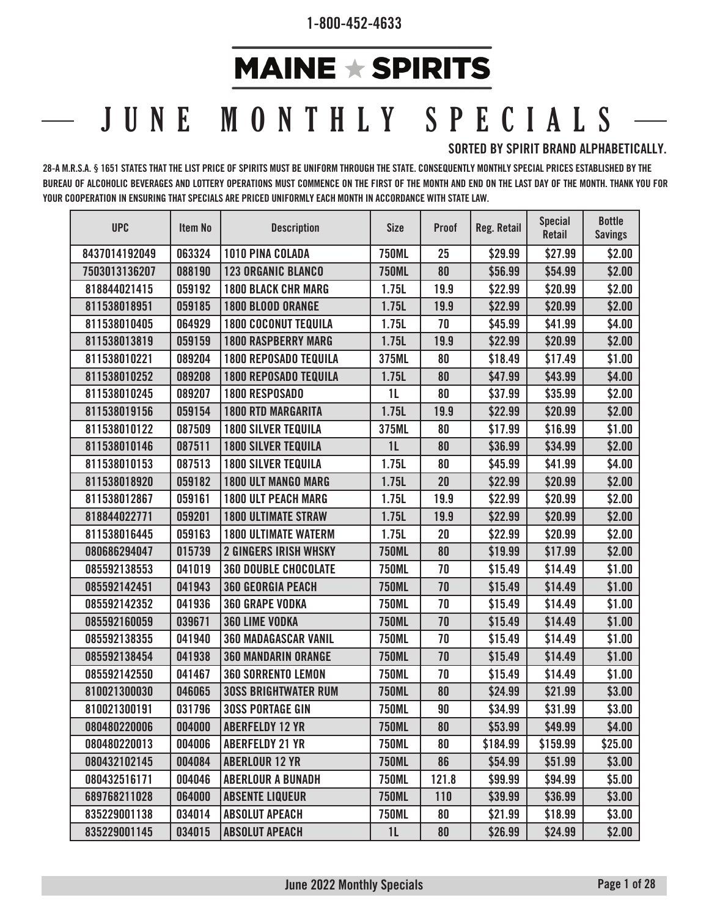## **MAINE**  $\star$  **SPIRITS**

## JUNE MONTHLY SPECIALS

## **SORTED BY SPIRIT BRAND ALPHABETICALLY.**

**28-A M.R.S.A. § 1651 STATES THAT THE LIST PRICE OF SPIRITS MUST BE UNIFORM THROUGH THE STATE. CONSEQUENTLY MONTHLY SPECIAL PRICES ESTABLISHED BY THE BUREAU OF ALCOHOLIC BEVERAGES AND LOTTERY OPERATIONS MUST COMMENCE ON THE FIRST OF THE MONTH AND END ON THE LAST DAY OF THE MONTH. THANK YOU FOR YOUR COOPERATION IN ENSURING THAT SPECIALS ARE PRICED UNIFORMLY EACH MONTH IN ACCORDANCE WITH STATE LAW.**

| <b>UPC</b>    | <b>Item No</b> | <b>Description</b>           | <b>Size</b>    | <b>Proof</b> | Reg. Retail | <b>Special</b><br>Retail | <b>Bottle</b><br><b>Savings</b> |
|---------------|----------------|------------------------------|----------------|--------------|-------------|--------------------------|---------------------------------|
| 8437014192049 | 063324         | 1010 PINA COLADA             | <b>750ML</b>   | 25           | \$29.99     | \$27.99                  | \$2.00                          |
| 7503013136207 | 088190         | <b>123 ORGANIC BLANCO</b>    | <b>750ML</b>   | 80           | \$56.99     | \$54.99                  | \$2.00                          |
| 818844021415  | 059192         | <b>1800 BLACK CHR MARG</b>   | 1.75L          | 19.9         | \$22.99     | \$20.99                  | \$2.00                          |
| 811538018951  | 059185         | 1800 BLOOD ORANGE            | 1.75L          | 19.9         | \$22.99     | \$20.99                  | \$2.00                          |
| 811538010405  | 064929         | <b>1800 COCONUT TEQUILA</b>  | 1.75L          | 70           | \$45.99     | \$41.99                  | \$4.00                          |
| 811538013819  | 059159         | <b>1800 RASPBERRY MARG</b>   | 1.75L          | 19.9         | \$22.99     | \$20.99                  | \$2.00                          |
| 811538010221  | 089204         | <b>1800 REPOSADO TEQUILA</b> | 375ML          | 80           | \$18.49     | \$17.49                  | \$1.00                          |
| 811538010252  | 089208         | <b>1800 REPOSADO TEQUILA</b> | 1.75L          | 80           | \$47.99     | \$43.99                  | \$4.00                          |
| 811538010245  | 089207         | <b>1800 RESPOSADO</b>        | 1L             | 80           | \$37.99     | \$35.99                  | \$2.00                          |
| 811538019156  | 059154         | <b>1800 RTD MARGARITA</b>    | 1.75L          | 19.9         | \$22.99     | \$20.99                  | \$2.00                          |
| 811538010122  | 087509         | <b>1800 SILVER TEQUILA</b>   | 375ML          | 80           | \$17.99     | \$16.99                  | \$1.00                          |
| 811538010146  | 087511         | <b>1800 SILVER TEQUILA</b>   | 1 <sub>L</sub> | 80           | \$36.99     | \$34.99                  | \$2.00                          |
| 811538010153  | 087513         | <b>1800 SILVER TEQUILA</b>   | 1.75L          | 80           | \$45.99     | \$41.99                  | \$4.00                          |
| 811538018920  | 059182         | <b>1800 ULT MANGO MARG</b>   | 1.75L          | 20           | \$22.99     | \$20.99                  | \$2.00                          |
| 811538012867  | 059161         | <b>1800 ULT PEACH MARG</b>   | 1.75L          | 19.9         | \$22.99     | \$20.99                  | \$2.00                          |
| 818844022771  | 059201         | <b>1800 ULTIMATE STRAW</b>   | 1.75L          | 19.9         | \$22.99     | \$20.99                  | \$2.00                          |
| 811538016445  | 059163         | <b>1800 ULTIMATE WATERM</b>  | 1.75L          | 20           | \$22.99     | \$20.99                  | \$2.00                          |
| 080686294047  | 015739         | <b>2 GINGERS IRISH WHSKY</b> | <b>750ML</b>   | 80           | \$19.99     | \$17.99                  | \$2.00                          |
| 085592138553  | 041019         | <b>360 DOUBLE CHOCOLATE</b>  | <b>750ML</b>   | 70           | \$15.49     | \$14.49                  | \$1.00                          |
| 085592142451  | 041943         | <b>360 GEORGIA PEACH</b>     | <b>750ML</b>   | 70           | \$15.49     | \$14.49                  | \$1.00                          |
| 085592142352  | 041936         | <b>360 GRAPE VODKA</b>       | <b>750ML</b>   | 70           | \$15.49     | \$14.49                  | \$1.00                          |
| 085592160059  | 039671         | <b>360 LIME VODKA</b>        | <b>750ML</b>   | 70           | \$15.49     | \$14.49                  | \$1.00                          |
| 085592138355  | 041940         | <b>360 MADAGASCAR VANIL</b>  | <b>750ML</b>   | 70           | \$15.49     | \$14.49                  | \$1.00                          |
| 085592138454  | 041938         | <b>360 MANDARIN ORANGE</b>   | <b>750ML</b>   | 70           | \$15.49     | \$14.49                  | \$1.00                          |
| 085592142550  | 041467         | <b>360 SORRENTO LEMON</b>    | <b>750ML</b>   | 70           | \$15.49     | \$14.49                  | \$1.00                          |
| 810021300030  | 046065         | <b>30SS BRIGHTWATER RUM</b>  | <b>750ML</b>   | 80           | \$24.99     | \$21.99                  | \$3.00                          |
| 810021300191  | 031796         | <b>30SS PORTAGE GIN</b>      | <b>750ML</b>   | 90           | \$34.99     | \$31.99                  | \$3.00                          |
| 080480220006  | 004000         | <b>ABERFELDY 12 YR</b>       | <b>750ML</b>   | 80           | \$53.99     | \$49.99                  | \$4.00                          |
| 080480220013  | 004006         | <b>ABERFELDY 21 YR</b>       | <b>750ML</b>   | 80           | \$184.99    | \$159.99                 | \$25.00                         |
| 080432102145  | 004084         | <b>ABERLOUR 12 YR</b>        | <b>750ML</b>   | 86           | \$54.99     | \$51.99                  | \$3.00                          |
| 080432516171  | 004046         | <b>ABERLOUR A BUNADH</b>     | <b>750ML</b>   | 121.8        | \$99.99     | \$94.99                  | \$5.00                          |
| 689768211028  | 064000         | <b>ABSENTE LIQUEUR</b>       | <b>750ML</b>   | 110          | \$39.99     | \$36.99                  | \$3.00                          |
| 835229001138  | 034014         | <b>ABSOLUT APEACH</b>        | <b>750ML</b>   | 80           | \$21.99     | \$18.99                  | \$3.00                          |
| 835229001145  | 034015         | <b>ABSOLUT APEACH</b>        | 1 <sub>L</sub> | 80           | \$26.99     | \$24.99                  | \$2.00                          |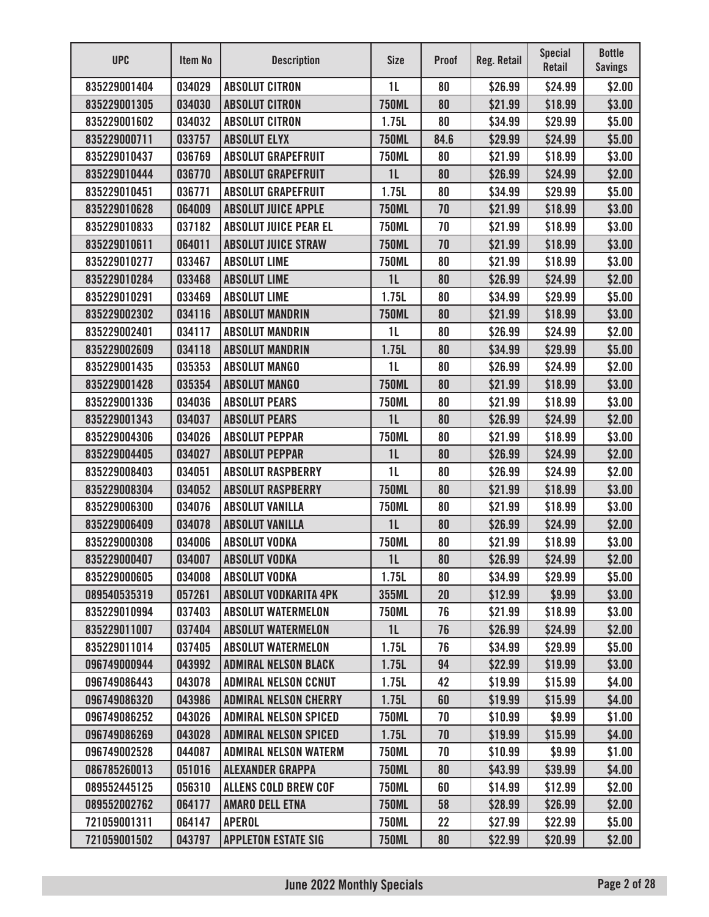| <b>UPC</b>   | Item No | <b>Description</b>           | <b>Size</b>    | <b>Proof</b> | Reg. Retail | <b>Special</b><br>Retail | <b>Bottle</b><br><b>Savings</b> |
|--------------|---------|------------------------------|----------------|--------------|-------------|--------------------------|---------------------------------|
| 835229001404 | 034029  | <b>ABSOLUT CITRON</b>        | 1 <sub>L</sub> | 80           | \$26.99     | \$24.99                  | \$2.00                          |
| 835229001305 | 034030  | <b>ABSOLUT CITRON</b>        | <b>750ML</b>   | 80           | \$21.99     | \$18.99                  | \$3.00                          |
| 835229001602 | 034032  | <b>ABSOLUT CITRON</b>        | 1.75L          | 80           | \$34.99     | \$29.99                  | \$5.00                          |
| 835229000711 | 033757  | <b>ABSOLUT ELYX</b>          | <b>750ML</b>   | 84.6         | \$29.99     | \$24.99                  | \$5.00                          |
| 835229010437 | 036769  | <b>ABSOLUT GRAPEFRUIT</b>    | <b>750ML</b>   | 80           | \$21.99     | \$18.99                  | \$3.00                          |
| 835229010444 | 036770  | <b>ABSOLUT GRAPEFRUIT</b>    | 1 <sub>L</sub> | 80           | \$26.99     | \$24.99                  | \$2.00                          |
| 835229010451 | 036771  | <b>ABSOLUT GRAPEFRUIT</b>    | 1.75L          | 80           | \$34.99     | \$29.99                  | \$5.00                          |
| 835229010628 | 064009  | <b>ABSOLUT JUICE APPLE</b>   | <b>750ML</b>   | 70           | \$21.99     | \$18.99                  | \$3.00                          |
| 835229010833 | 037182  | <b>ABSOLUT JUICE PEAR EL</b> | <b>750ML</b>   | 70           | \$21.99     | \$18.99                  | \$3.00                          |
| 835229010611 | 064011  | <b>ABSOLUT JUICE STRAW</b>   | <b>750ML</b>   | 70           | \$21.99     | \$18.99                  | \$3.00                          |
| 835229010277 | 033467  | <b>ABSOLUT LIME</b>          | <b>750ML</b>   | 80           | \$21.99     | \$18.99                  | \$3.00                          |
| 835229010284 | 033468  | <b>ABSOLUT LIME</b>          | 1 <sub>L</sub> | 80           | \$26.99     | \$24.99                  | \$2.00                          |
| 835229010291 | 033469  | <b>ABSOLUT LIME</b>          | 1.75L          | 80           | \$34.99     | \$29.99                  | \$5.00                          |
| 835229002302 | 034116  | <b>ABSOLUT MANDRIN</b>       | <b>750ML</b>   | 80           | \$21.99     | \$18.99                  | \$3.00                          |
| 835229002401 | 034117  | <b>ABSOLUT MANDRIN</b>       | 1 <sub>L</sub> | 80           | \$26.99     | \$24.99                  | \$2.00                          |
| 835229002609 | 034118  | <b>ABSOLUT MANDRIN</b>       | 1.75L          | 80           | \$34.99     | \$29.99                  | \$5.00                          |
| 835229001435 | 035353  | <b>ABSOLUT MANGO</b>         | 1 <sub>L</sub> | 80           | \$26.99     | \$24.99                  | \$2.00                          |
| 835229001428 | 035354  | <b>ABSOLUT MANGO</b>         | <b>750ML</b>   | 80           | \$21.99     | \$18.99                  | \$3.00                          |
| 835229001336 | 034036  | <b>ABSOLUT PEARS</b>         | <b>750ML</b>   | 80           | \$21.99     | \$18.99                  | \$3.00                          |
| 835229001343 | 034037  | <b>ABSOLUT PEARS</b>         | 1 <sub>L</sub> | 80           | \$26.99     | \$24.99                  | \$2.00                          |
| 835229004306 | 034026  | <b>ABSOLUT PEPPAR</b>        | <b>750ML</b>   | 80           | \$21.99     | \$18.99                  | \$3.00                          |
| 835229004405 | 034027  | <b>ABSOLUT PEPPAR</b>        | 1 <sub>L</sub> | 80           | \$26.99     | \$24.99                  | \$2.00                          |
| 835229008403 | 034051  | <b>ABSOLUT RASPBERRY</b>     | 1 <sub>L</sub> | 80           | \$26.99     | \$24.99                  | \$2.00                          |
| 835229008304 | 034052  | <b>ABSOLUT RASPBERRY</b>     | <b>750ML</b>   | 80           | \$21.99     | \$18.99                  | \$3.00                          |
| 835229006300 | 034076  | <b>ABSOLUT VANILLA</b>       | <b>750ML</b>   | 80           | \$21.99     | \$18.99                  | \$3.00                          |
| 835229006409 | 034078  | <b>ABSOLUT VANILLA</b>       | 1 <sub>L</sub> | 80           | \$26.99     | \$24.99                  | \$2.00                          |
| 835229000308 | 034006  | <b>ABSOLUT VODKA</b>         | <b>750ML</b>   | 80           | \$21.99     | \$18.99                  | \$3.00                          |
| 835229000407 | 034007  | <b>ABSOLUT VODKA</b>         | 1L             | 80           | \$26.99     | \$24.99                  | \$2.00                          |
| 835229000605 | 034008  | <b>ABSOLUT VODKA</b>         | 1.75L          | 80           | \$34.99     | \$29.99                  | \$5.00                          |
| 089540535319 | 057261  | ABSOLUT VODKARITA 4PK        | 355ML          | 20           | \$12.99     | \$9.99                   | \$3.00                          |
| 835229010994 | 037403  | <b>ABSOLUT WATERMELON</b>    | <b>750ML</b>   | 76           | \$21.99     | \$18.99                  | \$3.00                          |
| 835229011007 | 037404  | <b>ABSOLUT WATERMELON</b>    | 1L             | 76           | \$26.99     | \$24.99                  | \$2.00                          |
| 835229011014 | 037405  | <b>ABSOLUT WATERMELON</b>    | 1.75L          | 76           | \$34.99     | \$29.99                  | \$5.00                          |
| 096749000944 | 043992  | <b>ADMIRAL NELSON BLACK</b>  | 1.75L          | 94           | \$22.99     | \$19.99                  | \$3.00                          |
| 096749086443 | 043078  | <b>ADMIRAL NELSON CCNUT</b>  | 1.75L          | 42           | \$19.99     | \$15.99                  | \$4.00                          |
| 096749086320 | 043986  | <b>ADMIRAL NELSON CHERRY</b> | 1.75L          | 60           | \$19.99     | \$15.99                  | \$4.00                          |
| 096749086252 | 043026  | <b>ADMIRAL NELSON SPICED</b> | <b>750ML</b>   | 70           | \$10.99     | \$9.99                   | \$1.00                          |
| 096749086269 | 043028  | <b>ADMIRAL NELSON SPICED</b> | 1.75L          | 70           | \$19.99     | \$15.99                  | \$4.00                          |
| 096749002528 | 044087  | <b>ADMIRAL NELSON WATERM</b> | <b>750ML</b>   | 70           | \$10.99     | \$9.99                   | \$1.00                          |
| 086785260013 | 051016  | <b>ALEXANDER GRAPPA</b>      | <b>750ML</b>   | 80           | \$43.99     | \$39.99                  | \$4.00                          |
| 089552445125 | 056310  | <b>ALLENS COLD BREW COF</b>  | <b>750ML</b>   | 60           | \$14.99     | \$12.99                  | \$2.00                          |
| 089552002762 | 064177  | <b>AMARO DELL ETNA</b>       | <b>750ML</b>   | 58           | \$28.99     | \$26.99                  | \$2.00                          |
| 721059001311 | 064147  | <b>APEROL</b>                | <b>750ML</b>   | 22           | \$27.99     | \$22.99                  | \$5.00                          |
| 721059001502 | 043797  | <b>APPLETON ESTATE SIG</b>   | <b>750ML</b>   | 80           | \$22.99     | \$20.99                  | \$2.00                          |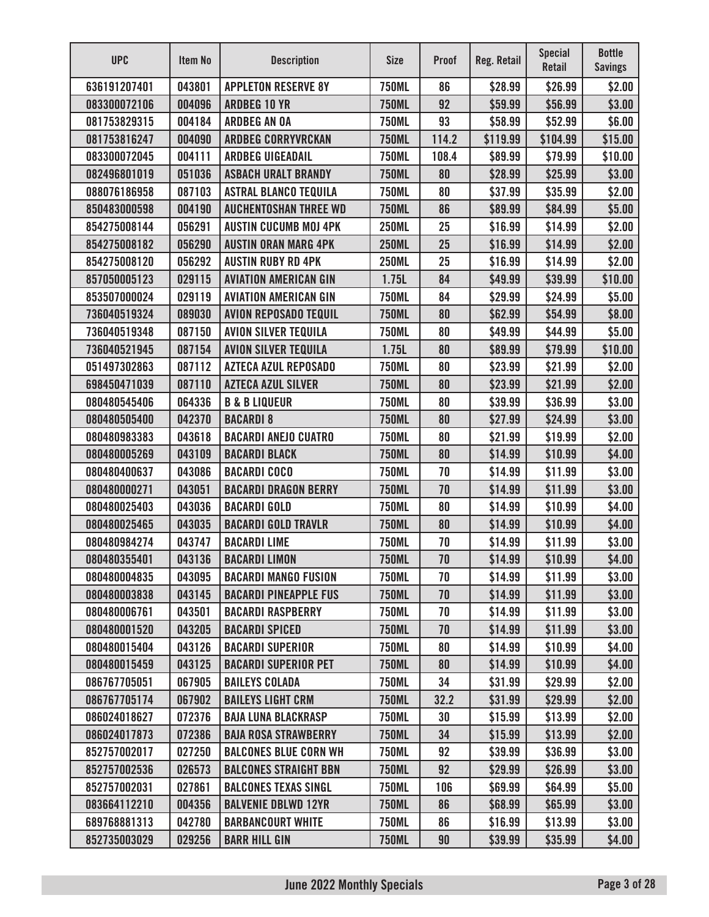| <b>UPC</b>   | Item No | <b>Description</b>           | <b>Size</b>  | <b>Proof</b> | Reg. Retail | <b>Special</b><br>Retail | <b>Bottle</b><br><b>Savings</b> |
|--------------|---------|------------------------------|--------------|--------------|-------------|--------------------------|---------------------------------|
| 636191207401 | 043801  | <b>APPLETON RESERVE 8Y</b>   | <b>750ML</b> | 86           | \$28.99     | \$26.99                  | \$2.00                          |
| 083300072106 | 004096  | <b>ARDBEG 10 YR</b>          | <b>750ML</b> | 92           | \$59.99     | \$56.99                  | \$3.00                          |
| 081753829315 | 004184  | <b>ARDBEG AN OA</b>          | <b>750ML</b> | 93           | \$58.99     | \$52.99                  | \$6.00                          |
| 081753816247 | 004090  | <b>ARDBEG CORRYVRCKAN</b>    | <b>750ML</b> | 114.2        | \$119.99    | \$104.99                 | \$15.00                         |
| 083300072045 | 004111  | <b>ARDBEG UIGEADAIL</b>      | <b>750ML</b> | 108.4        | \$89.99     | \$79.99                  | \$10.00                         |
| 082496801019 | 051036  | <b>ASBACH URALT BRANDY</b>   | <b>750ML</b> | 80           | \$28.99     | \$25.99                  | \$3.00                          |
| 088076186958 | 087103  | <b>ASTRAL BLANCO TEQUILA</b> | <b>750ML</b> | 80           | \$37.99     | \$35.99                  | \$2.00                          |
| 850483000598 | 004190  | <b>AUCHENTOSHAN THREE WD</b> | <b>750ML</b> | 86           | \$89.99     | \$84.99                  | \$5.00                          |
| 854275008144 | 056291  | <b>AUSTIN CUCUMB MOJ 4PK</b> | <b>250ML</b> | 25           | \$16.99     | \$14.99                  | \$2.00                          |
| 854275008182 | 056290  | <b>AUSTIN ORAN MARG 4PK</b>  | <b>250ML</b> | 25           | \$16.99     | \$14.99                  | \$2.00                          |
| 854275008120 | 056292  | <b>AUSTIN RUBY RD 4PK</b>    | <b>250ML</b> | 25           | \$16.99     | \$14.99                  | \$2.00                          |
| 857050005123 | 029115  | <b>AVIATION AMERICAN GIN</b> | 1.75L        | 84           | \$49.99     | \$39.99                  | \$10.00                         |
| 853507000024 | 029119  | <b>AVIATION AMERICAN GIN</b> | <b>750ML</b> | 84           | \$29.99     | \$24.99                  | \$5.00                          |
| 736040519324 | 089030  | <b>AVION REPOSADO TEQUIL</b> | <b>750ML</b> | 80           | \$62.99     | \$54.99                  | \$8.00                          |
| 736040519348 | 087150  | <b>AVION SILVER TEQUILA</b>  | <b>750ML</b> | 80           | \$49.99     | \$44.99                  | \$5.00                          |
| 736040521945 | 087154  | <b>AVION SILVER TEQUILA</b>  | 1.75L        | 80           | \$89.99     | \$79.99                  | \$10.00                         |
| 051497302863 | 087112  | <b>AZTECA AZUL REPOSADO</b>  | <b>750ML</b> | 80           | \$23.99     | \$21.99                  | \$2.00                          |
| 698450471039 | 087110  | <b>AZTECA AZUL SILVER</b>    | <b>750ML</b> | 80           | \$23.99     | \$21.99                  | \$2.00                          |
| 080480545406 | 064336  | <b>B &amp; B LIQUEUR</b>     | <b>750ML</b> | 80           | \$39.99     | \$36.99                  | \$3.00                          |
| 080480505400 | 042370  | <b>BACARDI 8</b>             | <b>750ML</b> | 80           | \$27.99     | \$24.99                  | \$3.00                          |
| 080480983383 | 043618  | <b>BACARDI ANEJO CUATRO</b>  | <b>750ML</b> | 80           | \$21.99     | \$19.99                  | \$2.00                          |
| 080480005269 | 043109  | <b>BACARDI BLACK</b>         | <b>750ML</b> | 80           | \$14.99     | \$10.99                  | \$4.00                          |
| 080480400637 | 043086  | <b>BACARDI COCO</b>          | <b>750ML</b> | 70           | \$14.99     | \$11.99                  | \$3.00                          |
| 080480000271 | 043051  | <b>BACARDI DRAGON BERRY</b>  | <b>750ML</b> | 70           | \$14.99     | \$11.99                  | \$3.00                          |
| 080480025403 | 043036  | <b>BACARDI GOLD</b>          | <b>750ML</b> | 80           | \$14.99     | \$10.99                  | \$4.00                          |
| 080480025465 | 043035  | <b>BACARDI GOLD TRAVLR</b>   | <b>750ML</b> | 80           | \$14.99     | \$10.99                  | \$4.00                          |
| 080480984274 | 043747  | <b>BACARDI LIME</b>          | <b>750ML</b> | 70           | \$14.99     | \$11.99                  | \$3.00                          |
| 080480355401 | 043136  | <b>BACARDI LIMON</b>         | <b>750ML</b> | 70           | \$14.99     | \$10.99                  | \$4.00                          |
| 080480004835 | 043095  | <b>BACARDI MANGO FUSION</b>  | <b>750ML</b> | 70           | \$14.99     | \$11.99                  | \$3.00                          |
| 080480003838 | 043145  | <b>BACARDI PINEAPPLE FUS</b> | <b>750ML</b> | 70           | \$14.99     | \$11.99                  | \$3.00                          |
| 080480006761 | 043501  | <b>BACARDI RASPBERRY</b>     | <b>750ML</b> | 70           | \$14.99     | \$11.99                  | \$3.00                          |
| 080480001520 | 043205  | <b>BACARDI SPICED</b>        | <b>750ML</b> | 70           | \$14.99     | \$11.99                  | \$3.00                          |
| 080480015404 | 043126  | <b>BACARDI SUPERIOR</b>      | <b>750ML</b> | 80           | \$14.99     | \$10.99                  | \$4.00                          |
| 080480015459 | 043125  | <b>BACARDI SUPERIOR PET</b>  | <b>750ML</b> | 80           | \$14.99     | \$10.99                  | \$4.00                          |
| 086767705051 | 067905  | <b>BAILEYS COLADA</b>        | <b>750ML</b> | 34           | \$31.99     | \$29.99                  | \$2.00                          |
| 086767705174 | 067902  | <b>BAILEYS LIGHT CRM</b>     | <b>750ML</b> | 32.2         | \$31.99     | \$29.99                  | \$2.00                          |
| 086024018627 | 072376  | <b>BAJA LUNA BLACKRASP</b>   | <b>750ML</b> | 30           | \$15.99     | \$13.99                  | \$2.00                          |
| 086024017873 | 072386  | <b>BAJA ROSA STRAWBERRY</b>  | <b>750ML</b> | 34           | \$15.99     | \$13.99                  | \$2.00                          |
| 852757002017 | 027250  | <b>BALCONES BLUE CORN WH</b> | <b>750ML</b> | 92           | \$39.99     | \$36.99                  | \$3.00                          |
| 852757002536 | 026573  | <b>BALCONES STRAIGHT BBN</b> | <b>750ML</b> | 92           | \$29.99     | \$26.99                  | \$3.00                          |
| 852757002031 | 027861  | <b>BALCONES TEXAS SINGL</b>  | <b>750ML</b> | 106          | \$69.99     | \$64.99                  | \$5.00                          |
| 083664112210 | 004356  | <b>BALVENIE DBLWD 12YR</b>   | <b>750ML</b> | 86           | \$68.99     | \$65.99                  | \$3.00                          |
| 689768881313 | 042780  | <b>BARBANCOURT WHITE</b>     | <b>750ML</b> | 86           | \$16.99     | \$13.99                  | \$3.00                          |
| 852735003029 | 029256  | <b>BARR HILL GIN</b>         | <b>750ML</b> | 90           | \$39.99     | \$35.99                  | \$4.00                          |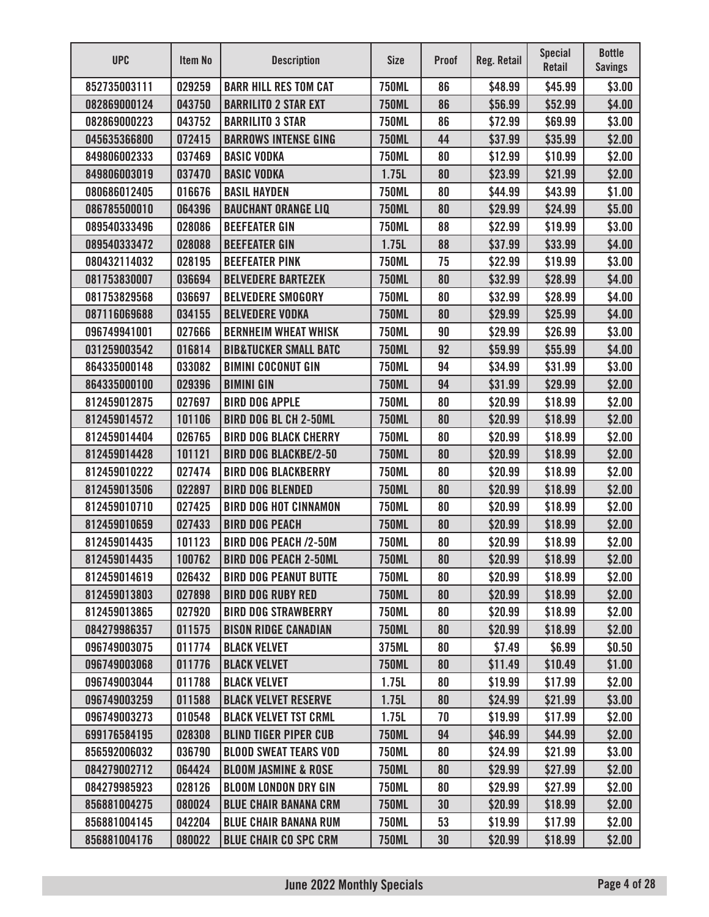| <b>UPC</b>   | Item No | <b>Description</b>               | <b>Size</b>  | <b>Proof</b> | <b>Reg. Retail</b> | <b>Special</b><br><b>Retail</b> | <b>Bottle</b><br><b>Savings</b> |
|--------------|---------|----------------------------------|--------------|--------------|--------------------|---------------------------------|---------------------------------|
| 852735003111 | 029259  | <b>BARR HILL RES TOM CAT</b>     | <b>750ML</b> | 86           | \$48.99            | \$45.99                         | \$3.00                          |
| 082869000124 | 043750  | <b>BARRILITO 2 STAR EXT</b>      | <b>750ML</b> | 86           | \$56.99            | \$52.99                         | \$4.00                          |
| 082869000223 | 043752  | <b>BARRILITO 3 STAR</b>          | <b>750ML</b> | 86           | \$72.99            | \$69.99                         | \$3.00                          |
| 045635366800 | 072415  | <b>BARROWS INTENSE GING</b>      | <b>750ML</b> | 44           | \$37.99            | \$35.99                         | \$2.00                          |
| 849806002333 | 037469  | <b>BASIC VODKA</b>               | <b>750ML</b> | 80           | \$12.99            | \$10.99                         | \$2.00                          |
| 849806003019 | 037470  | <b>BASIC VODKA</b>               | 1.75L        | 80           | \$23.99            | \$21.99                         | \$2.00                          |
| 080686012405 | 016676  | <b>BASIL HAYDEN</b>              | <b>750ML</b> | 80           | \$44.99            | \$43.99                         | \$1.00                          |
| 086785500010 | 064396  | <b>BAUCHANT ORANGE LIQ</b>       | <b>750ML</b> | 80           | \$29.99            | \$24.99                         | \$5.00                          |
| 089540333496 | 028086  | <b>BEEFEATER GIN</b>             | <b>750ML</b> | 88           | \$22.99            | \$19.99                         | \$3.00                          |
| 089540333472 | 028088  | <b>BEEFEATER GIN</b>             | 1.75L        | 88           | \$37.99            | \$33.99                         | \$4.00                          |
| 080432114032 | 028195  | <b>BEEFEATER PINK</b>            | <b>750ML</b> | 75           | \$22.99            | \$19.99                         | \$3.00                          |
| 081753830007 | 036694  | <b>BELVEDERE BARTEZEK</b>        | <b>750ML</b> | 80           | \$32.99            | \$28.99                         | \$4.00                          |
| 081753829568 | 036697  | <b>BELVEDERE SMOGORY</b>         | <b>750ML</b> | 80           | \$32.99            | \$28.99                         | \$4.00                          |
| 087116069688 | 034155  | <b>BELVEDERE VODKA</b>           | <b>750ML</b> | 80           | \$29.99            | \$25.99                         | \$4.00                          |
| 096749941001 | 027666  | <b>BERNHEIM WHEAT WHISK</b>      | <b>750ML</b> | 90           | \$29.99            | \$26.99                         | \$3.00                          |
| 031259003542 | 016814  | <b>BIB&amp;TUCKER SMALL BATC</b> | <b>750ML</b> | 92           | \$59.99            | \$55.99                         | \$4.00                          |
| 864335000148 | 033082  | <b>BIMINI COCONUT GIN</b>        | <b>750ML</b> | 94           | \$34.99            | \$31.99                         | \$3.00                          |
| 864335000100 | 029396  | <b>BIMINI GIN</b>                | <b>750ML</b> | 94           | \$31.99            | \$29.99                         | \$2.00                          |
| 812459012875 | 027697  | <b>BIRD DOG APPLE</b>            | <b>750ML</b> | 80           | \$20.99            | \$18.99                         | \$2.00                          |
| 812459014572 | 101106  | <b>BIRD DOG BL CH 2-50ML</b>     | <b>750ML</b> | 80           | \$20.99            | \$18.99                         | \$2.00                          |
| 812459014404 | 026765  | <b>BIRD DOG BLACK CHERRY</b>     | <b>750ML</b> | 80           | \$20.99            | \$18.99                         | \$2.00                          |
| 812459014428 | 101121  | <b>BIRD DOG BLACKBE/2-50</b>     | <b>750ML</b> | 80           | \$20.99            | \$18.99                         | \$2.00                          |
| 812459010222 | 027474  | <b>BIRD DOG BLACKBERRY</b>       | <b>750ML</b> | 80           | \$20.99            | \$18.99                         | \$2.00                          |
| 812459013506 | 022897  | <b>BIRD DOG BLENDED</b>          | <b>750ML</b> | 80           | \$20.99            | \$18.99                         | \$2.00                          |
| 812459010710 | 027425  | <b>BIRD DOG HOT CINNAMON</b>     | <b>750ML</b> | 80           | \$20.99            | \$18.99                         | \$2.00                          |
| 812459010659 | 027433  | <b>BIRD DOG PEACH</b>            | <b>750ML</b> | 80           | \$20.99            | \$18.99                         | \$2.00                          |
| 812459014435 | 101123  | <b>BIRD DOG PEACH /2-50M</b>     | 750ML        | 80           | \$20.99            | \$18.99                         | \$2.00                          |
| 812459014435 | 100762  | <b>BIRD DOG PEACH 2-50ML</b>     | <b>750ML</b> | 80           | \$20.99            | \$18.99                         | \$2.00                          |
| 812459014619 | 026432  | <b>BIRD DOG PEANUT BUTTE</b>     | <b>750ML</b> | 80           | \$20.99            | \$18.99                         | \$2.00                          |
| 812459013803 | 027898  | <b>BIRD DOG RUBY RED</b>         | <b>750ML</b> | 80           | \$20.99            | \$18.99                         | \$2.00                          |
| 812459013865 | 027920  | <b>BIRD DOG STRAWBERRY</b>       | <b>750ML</b> | 80           | \$20.99            | \$18.99                         | \$2.00                          |
| 084279986357 | 011575  | <b>BISON RIDGE CANADIAN</b>      | <b>750ML</b> | 80           | \$20.99            | \$18.99                         | \$2.00                          |
| 096749003075 | 011774  | <b>BLACK VELVET</b>              | 375ML        | 80           | \$7.49             | \$6.99                          | \$0.50                          |
| 096749003068 | 011776  | <b>BLACK VELVET</b>              | <b>750ML</b> | 80           | \$11.49            | \$10.49                         | \$1.00                          |
| 096749003044 | 011788  | <b>BLACK VELVET</b>              | 1.75L        | 80           | \$19.99            | \$17.99                         | \$2.00                          |
| 096749003259 | 011588  | <b>BLACK VELVET RESERVE</b>      | 1.75L        | 80           | \$24.99            | \$21.99                         | \$3.00                          |
| 096749003273 | 010548  | <b>BLACK VELVET TST CRML</b>     | 1.75L        | 70           | \$19.99            | \$17.99                         | \$2.00                          |
| 699176584195 | 028308  | <b>BLIND TIGER PIPER CUB</b>     | <b>750ML</b> | 94           | \$46.99            | \$44.99                         | \$2.00                          |
| 856592006032 | 036790  | <b>BLOOD SWEAT TEARS VOD</b>     | <b>750ML</b> | 80           | \$24.99            | \$21.99                         | \$3.00                          |
| 084279002712 | 064424  | <b>BLOOM JASMINE &amp; ROSE</b>  | <b>750ML</b> | 80           | \$29.99            | \$27.99                         | \$2.00                          |
| 084279985923 | 028126  | <b>BLOOM LONDON DRY GIN</b>      | <b>750ML</b> | 80           | \$29.99            | \$27.99                         | \$2.00                          |
| 856881004275 | 080024  | <b>BLUE CHAIR BANANA CRM</b>     | <b>750ML</b> | 30           | \$20.99            | \$18.99                         | \$2.00                          |
| 856881004145 | 042204  | <b>BLUE CHAIR BANANA RUM</b>     | <b>750ML</b> | 53           | \$19.99            | \$17.99                         | \$2.00                          |
| 856881004176 | 080022  | <b>BLUE CHAIR CO SPC CRM</b>     | <b>750ML</b> | 30           | \$20.99            | \$18.99                         | \$2.00                          |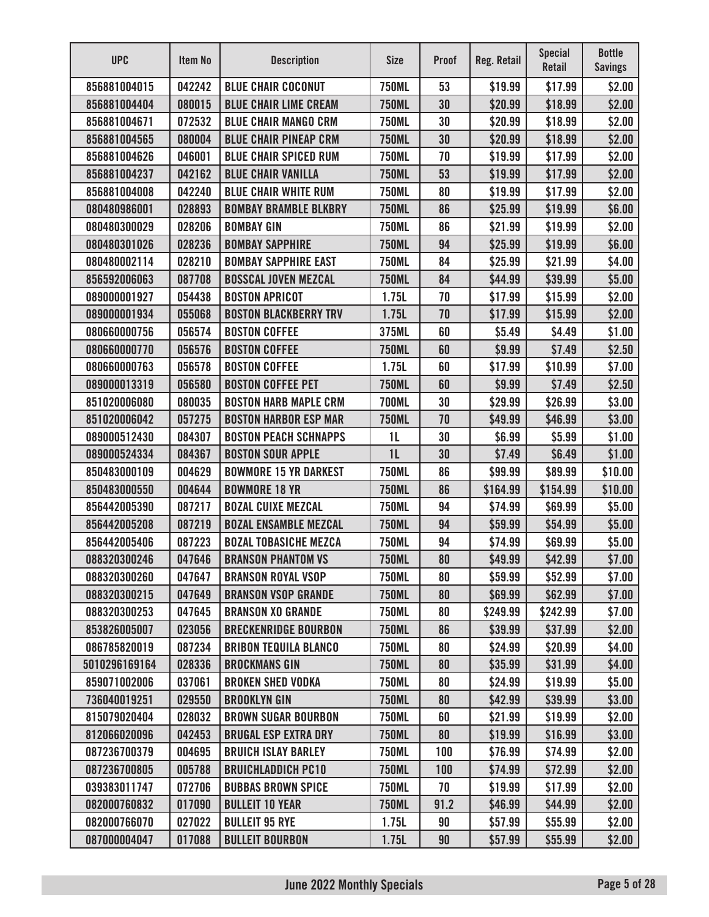| <b>UPC</b>    | Item No | <b>Description</b>           | <b>Size</b>    | <b>Proof</b> | Reg. Retail | <b>Special</b><br>Retail | <b>Bottle</b><br><b>Savings</b> |
|---------------|---------|------------------------------|----------------|--------------|-------------|--------------------------|---------------------------------|
| 856881004015  | 042242  | <b>BLUE CHAIR COCONUT</b>    | <b>750ML</b>   | 53           | \$19.99     | \$17.99                  | \$2.00                          |
| 856881004404  | 080015  | <b>BLUE CHAIR LIME CREAM</b> | <b>750ML</b>   | 30           | \$20.99     | \$18.99                  | \$2.00                          |
| 856881004671  | 072532  | <b>BLUE CHAIR MANGO CRM</b>  | <b>750ML</b>   | 30           | \$20.99     | \$18.99                  | \$2.00                          |
| 856881004565  | 080004  | <b>BLUE CHAIR PINEAP CRM</b> | <b>750ML</b>   | 30           | \$20.99     | \$18.99                  | \$2.00                          |
| 856881004626  | 046001  | <b>BLUE CHAIR SPICED RUM</b> | <b>750ML</b>   | 70           | \$19.99     | \$17.99                  | \$2.00                          |
| 856881004237  | 042162  | <b>BLUE CHAIR VANILLA</b>    | <b>750ML</b>   | 53           | \$19.99     | \$17.99                  | \$2.00                          |
| 856881004008  | 042240  | <b>BLUE CHAIR WHITE RUM</b>  | <b>750ML</b>   | 80           | \$19.99     | \$17.99                  | \$2.00                          |
| 080480986001  | 028893  | <b>BOMBAY BRAMBLE BLKBRY</b> | <b>750ML</b>   | 86           | \$25.99     | \$19.99                  | \$6.00                          |
| 080480300029  | 028206  | <b>BOMBAY GIN</b>            | <b>750ML</b>   | 86           | \$21.99     | \$19.99                  | \$2.00                          |
| 080480301026  | 028236  | <b>BOMBAY SAPPHIRE</b>       | <b>750ML</b>   | 94           | \$25.99     | \$19.99                  | \$6.00                          |
| 080480002114  | 028210  | <b>BOMBAY SAPPHIRE EAST</b>  | <b>750ML</b>   | 84           | \$25.99     | \$21.99                  | \$4.00                          |
| 856592006063  | 087708  | <b>BOSSCAL JOVEN MEZCAL</b>  | <b>750ML</b>   | 84           | \$44.99     | \$39.99                  | \$5.00                          |
| 089000001927  | 054438  | <b>BOSTON APRICOT</b>        | 1.75L          | 70           | \$17.99     | \$15.99                  | \$2.00                          |
| 089000001934  | 055068  | <b>BOSTON BLACKBERRY TRV</b> | 1.75L          | 70           | \$17.99     | \$15.99                  | \$2.00                          |
| 080660000756  | 056574  | <b>BOSTON COFFEE</b>         | 375ML          | 60           | \$5.49      | \$4.49                   | \$1.00                          |
| 080660000770  | 056576  | <b>BOSTON COFFEE</b>         | <b>750ML</b>   | 60           | \$9.99      | \$7.49                   | \$2.50                          |
| 080660000763  | 056578  | <b>BOSTON COFFEE</b>         | 1.75L          | 60           | \$17.99     | \$10.99                  | \$7.00                          |
| 089000013319  | 056580  | <b>BOSTON COFFEE PET</b>     | <b>750ML</b>   | 60           | \$9.99      | \$7.49                   | \$2.50                          |
| 851020006080  | 080035  | <b>BOSTON HARB MAPLE CRM</b> | <b>700ML</b>   | 30           | \$29.99     | \$26.99                  | \$3.00                          |
| 851020006042  | 057275  | <b>BOSTON HARBOR ESP MAR</b> | <b>750ML</b>   | 70           | \$49.99     | \$46.99                  | \$3.00                          |
| 089000512430  | 084307  | <b>BOSTON PEACH SCHNAPPS</b> | 1 <sub>L</sub> | 30           | \$6.99      | \$5.99                   | \$1.00                          |
| 089000524334  | 084367  | <b>BOSTON SOUR APPLE</b>     | 1 <sub>L</sub> | 30           | \$7.49      | \$6.49                   | \$1.00                          |
| 850483000109  | 004629  | <b>BOWMORE 15 YR DARKEST</b> | <b>750ML</b>   | 86           | \$99.99     | \$89.99                  | \$10.00                         |
| 850483000550  | 004644  | <b>BOWMORE 18 YR</b>         | <b>750ML</b>   | 86           | \$164.99    | \$154.99                 | \$10.00                         |
| 856442005390  | 087217  | <b>BOZAL CUIXE MEZCAL</b>    | <b>750ML</b>   | 94           | \$74.99     | \$69.99                  | \$5.00                          |
| 856442005208  | 087219  | <b>BOZAL ENSAMBLE MEZCAL</b> | <b>750ML</b>   | 94           | \$59.99     | \$54.99                  | \$5.00                          |
| 856442005406  | 087223  | <b>BOZAL TOBASICHE MEZCA</b> | <b>750ML</b>   | 94           | \$74.99     | \$69.99                  | \$5.00                          |
| 088320300246  | 047646  | <b>BRANSON PHANTOM VS</b>    | <b>750ML</b>   | 80           | \$49.99     | \$42.99                  | \$7.00                          |
| 088320300260  | 047647  | <b>BRANSON ROYAL VSOP</b>    | <b>750ML</b>   | 80           | \$59.99     | \$52.99                  | \$7.00                          |
| 088320300215  | 047649  | <b>BRANSON VSOP GRANDE</b>   | <b>750ML</b>   | 80           | \$69.99     | \$62.99                  | \$7.00                          |
| 088320300253  | 047645  | <b>BRANSON XO GRANDE</b>     | <b>750ML</b>   | 80           | \$249.99    | \$242.99                 | \$7.00                          |
| 853826005007  | 023056  | <b>BRECKENRIDGE BOURBON</b>  | <b>750ML</b>   | 86           | \$39.99     | \$37.99                  | \$2.00                          |
| 086785820019  | 087234  | <b>BRIBON TEQUILA BLANCO</b> | <b>750ML</b>   | 80           | \$24.99     | \$20.99                  | \$4.00                          |
| 5010296169164 | 028336  | <b>BROCKMANS GIN</b>         | <b>750ML</b>   | 80           | \$35.99     | \$31.99                  | \$4.00                          |
| 859071002006  | 037061  | <b>BROKEN SHED VODKA</b>     | <b>750ML</b>   | 80           | \$24.99     | \$19.99                  | \$5.00                          |
| 736040019251  | 029550  | <b>BROOKLYN GIN</b>          | <b>750ML</b>   | 80           | \$42.99     | \$39.99                  | \$3.00                          |
| 815079020404  | 028032  | <b>BROWN SUGAR BOURBON</b>   | <b>750ML</b>   | 60           | \$21.99     | \$19.99                  | \$2.00                          |
| 812066020096  | 042453  | <b>BRUGAL ESP EXTRA DRY</b>  | <b>750ML</b>   | 80           | \$19.99     | \$16.99                  | \$3.00                          |
| 087236700379  | 004695  | <b>BRUICH ISLAY BARLEY</b>   | <b>750ML</b>   | 100          | \$76.99     | \$74.99                  | \$2.00                          |
| 087236700805  | 005788  | <b>BRUICHLADDICH PC10</b>    | <b>750ML</b>   | 100          | \$74.99     | \$72.99                  | \$2.00                          |
| 039383011747  | 072706  | <b>BUBBAS BROWN SPICE</b>    | <b>750ML</b>   | 70           | \$19.99     | \$17.99                  | \$2.00                          |
| 082000760832  | 017090  | <b>BULLEIT 10 YEAR</b>       | <b>750ML</b>   | 91.2         | \$46.99     | \$44.99                  | \$2.00                          |
| 082000766070  | 027022  | <b>BULLEIT 95 RYE</b>        | 1.75L          | 90           | \$57.99     | \$55.99                  | \$2.00                          |
| 087000004047  | 017088  | <b>BULLEIT BOURBON</b>       | 1.75L          | 90           | \$57.99     | \$55.99                  | \$2.00                          |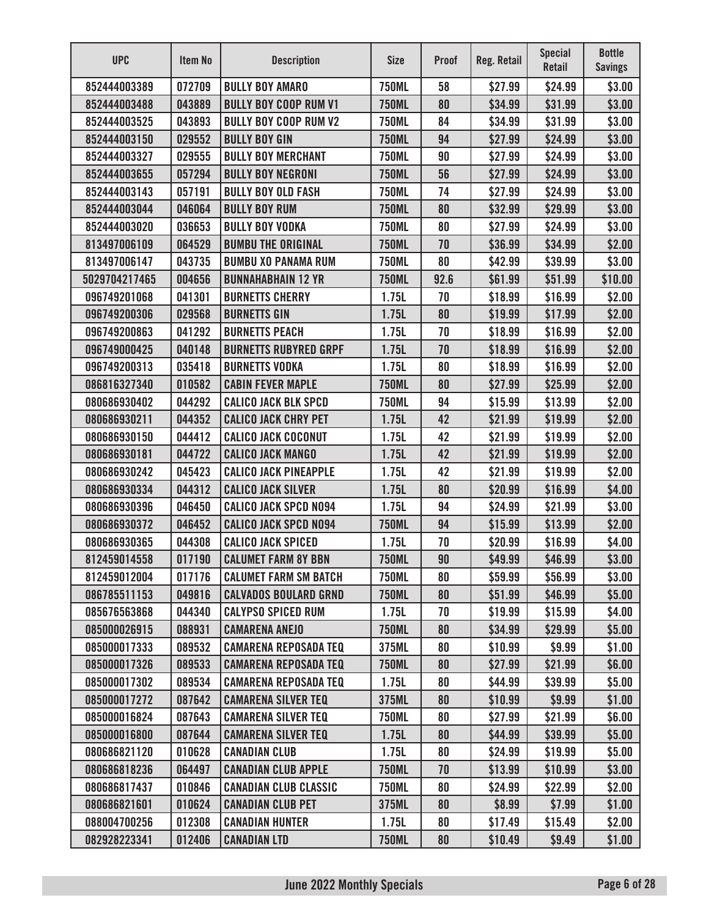| <b>UPC</b>    | <b>Item No</b> | <b>Description</b>           | <b>Size</b>  | <b>Proof</b> | Reg. Retail | <b>Special</b><br><b>Retail</b> | <b>Bottle</b><br><b>Savings</b> |
|---------------|----------------|------------------------------|--------------|--------------|-------------|---------------------------------|---------------------------------|
| 852444003389  | 072709         | <b>BULLY BOY AMARO</b>       | <b>750ML</b> | 58           | \$27.99     | \$24.99                         | \$3.00                          |
| 852444003488  | 043889         | <b>BULLY BOY COOP RUM V1</b> | <b>750ML</b> | 80           | \$34.99     | \$31.99                         | \$3.00                          |
| 852444003525  | 043893         | <b>BULLY BOY COOP RUM V2</b> | <b>750ML</b> | 84           | \$34.99     | \$31.99                         | \$3.00                          |
| 852444003150  | 029552         | <b>BULLY BOY GIN</b>         | <b>750ML</b> | 94           | \$27.99     | \$24.99                         | \$3.00                          |
| 852444003327  | 029555         | <b>BULLY BOY MERCHANT</b>    | <b>750ML</b> | 90           | \$27.99     | \$24.99                         | \$3.00                          |
| 852444003655  | 057294         | <b>BULLY BOY NEGRONI</b>     | <b>750ML</b> | 56           | \$27.99     | \$24.99                         | \$3.00                          |
| 852444003143  | 057191         | <b>BULLY BOY OLD FASH</b>    | <b>750ML</b> | 74           | \$27.99     | \$24.99                         | \$3.00                          |
| 852444003044  | 046064         | <b>BULLY BOY RUM</b>         | <b>750ML</b> | 80           | \$32.99     | \$29.99                         | \$3.00                          |
| 852444003020  | 036653         | <b>BULLY BOY VODKA</b>       | <b>750ML</b> | 80           | \$27.99     | \$24.99                         | \$3.00                          |
| 813497006109  | 064529         | <b>BUMBU THE ORIGINAL</b>    | <b>750ML</b> | 70           | \$36.99     | \$34.99                         | \$2.00                          |
| 813497006147  | 043735         | <b>BUMBU XO PANAMA RUM</b>   | <b>750ML</b> | 80           | \$42.99     | \$39.99                         | \$3.00                          |
| 5029704217465 | 004656         | <b>BUNNAHABHAIN 12 YR</b>    | <b>750ML</b> | 92.6         | \$61.99     | \$51.99                         | \$10.00                         |
| 096749201068  | 041301         | <b>BURNETTS CHERRY</b>       | 1.75L        | 70           | \$18.99     | \$16.99                         | \$2.00                          |
| 096749200306  | 029568         | <b>BURNETTS GIN</b>          | 1.75L        | 80           | \$19.99     | \$17.99                         | \$2.00                          |
| 096749200863  | 041292         | <b>BURNETTS PEACH</b>        | 1.75L        | 70           | \$18.99     | \$16.99                         | \$2.00                          |
| 096749000425  | 040148         | <b>BURNETTS RUBYRED GRPF</b> | 1.75L        | 70           | \$18.99     | \$16.99                         | \$2.00                          |
| 096749200313  | 035418         | <b>BURNETTS VODKA</b>        | 1.75L        | 80           | \$18.99     | \$16.99                         | \$2.00                          |
| 086816327340  | 010582         | <b>CABIN FEVER MAPLE</b>     | <b>750ML</b> | 80           | \$27.99     | \$25.99                         | \$2.00                          |
| 080686930402  | 044292         | <b>CALICO JACK BLK SPCD</b>  | <b>750ML</b> | 94           | \$15.99     | \$13.99                         | \$2.00                          |
| 080686930211  | 044352         | <b>CALICO JACK CHRY PET</b>  | 1.75L        | 42           | \$21.99     | \$19.99                         | \$2.00                          |
| 080686930150  | 044412         | <b>CALICO JACK COCONUT</b>   | 1.75L        | 42           | \$21.99     | \$19.99                         | \$2.00                          |
| 080686930181  | 044722         | <b>CALICO JACK MANGO</b>     | 1.75L        | 42           | \$21.99     | \$19.99                         | \$2.00                          |
| 080686930242  | 045423         | <b>CALICO JACK PINEAPPLE</b> | 1.75L        | 42           | \$21.99     | \$19.99                         | \$2.00                          |
| 080686930334  | 044312         | <b>CALICO JACK SILVER</b>    | 1.75L        | 80           | \$20.99     | \$16.99                         | \$4.00                          |
| 080686930396  | 046450         | <b>CALICO JACK SPCD N094</b> | 1.75L        | 94           | \$24.99     | \$21.99                         | \$3.00                          |
| 080686930372  | 046452         | <b>CALICO JACK SPCD N094</b> | <b>750ML</b> | 94           | \$15.99     | \$13.99                         | \$2.00                          |
| 080686930365  | 044308         | <b>CALICO JACK SPICED</b>    | 1.75L        | 70           | \$20.99     | \$16.99                         | \$4.00                          |
| 812459014558  | 017190         | <b>CALUMET FARM 8Y BBN</b>   | <b>750ML</b> | 90           | \$49.99     | \$46.99                         | \$3.00                          |
| 812459012004  | 017176         | <b>CALUMET FARM SM BATCH</b> | <b>750ML</b> | 80           | \$59.99     | \$56.99                         | \$3.00                          |
| 086785511153  | 049816         | <b>CALVADOS BOULARD GRND</b> | <b>750ML</b> | 80           | \$51.99     | \$46.99                         | \$5.00                          |
| 085676563868  | 044340         | <b>CALYPSO SPICED RUM</b>    | 1.75L        | 70           | \$19.99     | \$15.99                         | \$4.00                          |
| 085000026915  | 088931         | <b>CAMARENA ANEJO</b>        | <b>750ML</b> | 80           | \$34.99     | \$29.99                         | \$5.00                          |
| 085000017333  | 089532         | <b>CAMARENA REPOSADA TEQ</b> | 375ML        | 80           | \$10.99     | \$9.99                          | \$1.00                          |
| 085000017326  | 089533         | <b>CAMARENA REPOSADA TEQ</b> | <b>750ML</b> | 80           | \$27.99     | \$21.99                         | \$6.00                          |
| 085000017302  | 089534         | <b>CAMARENA REPOSADA TEQ</b> | 1.75L        | 80           | \$44.99     | \$39.99                         | \$5.00                          |
| 085000017272  | 087642         | <b>CAMARENA SILVER TEQ</b>   | 375ML        | 80           | \$10.99     | \$9.99                          | \$1.00                          |
| 085000016824  | 087643         | <b>CAMARENA SILVER TEQ</b>   | <b>750ML</b> | 80           | \$27.99     | \$21.99                         | \$6.00                          |
| 085000016800  | 087644         | <b>CAMARENA SILVER TEQ</b>   | 1.75L        | 80           | \$44.99     | \$39.99                         | \$5.00                          |
| 080686821120  | 010628         | <b>CANADIAN CLUB</b>         | 1.75L        | 80           | \$24.99     | \$19.99                         | \$5.00                          |
| 080686818236  | 064497         | <b>CANADIAN CLUB APPLE</b>   | <b>750ML</b> | 70           | \$13.99     | \$10.99                         | \$3.00                          |
| 080686817437  | 010846         | <b>CANADIAN CLUB CLASSIC</b> | <b>750ML</b> | 80           | \$24.99     | \$22.99                         | \$2.00                          |
| 080686821601  | 010624         | <b>CANADIAN CLUB PET</b>     | 375ML        | 80           | \$8.99      | \$7.99                          | \$1.00                          |
| 088004700256  | 012308         | <b>CANADIAN HUNTER</b>       | 1.75L        | 80           | \$17.49     | \$15.49                         | \$2.00                          |
| 082928223341  | 012406         | <b>CANADIAN LTD</b>          | <b>750ML</b> | 80           | \$10.49     | \$9.49                          | \$1.00                          |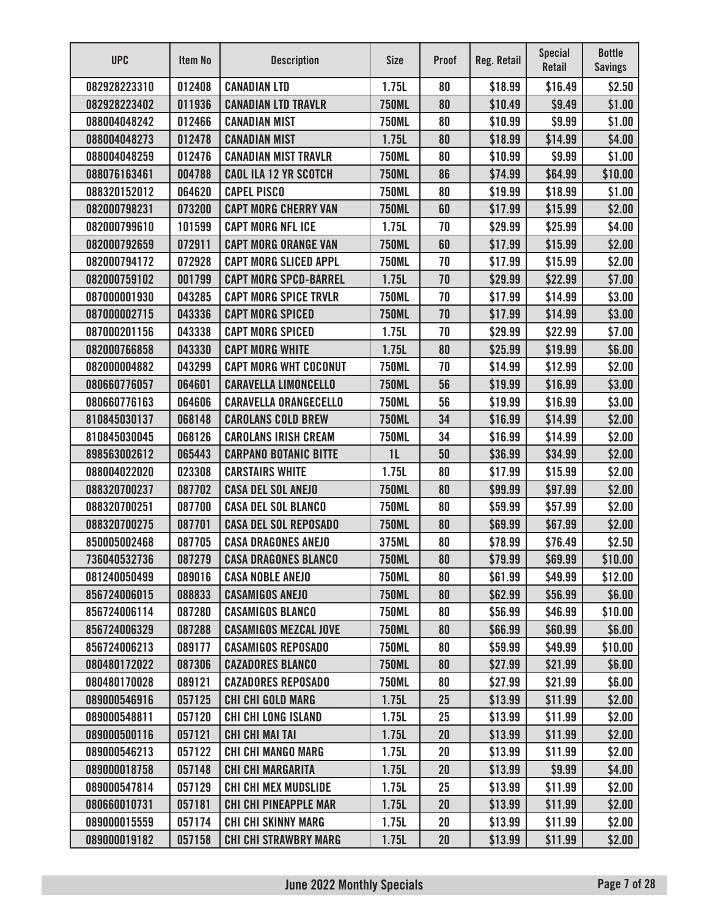| <b>UPC</b>   | Item No | <b>Description</b>           | <b>Size</b>  | <b>Proof</b> | Reg. Retail | <b>Special</b><br>Retail | <b>Bottle</b><br><b>Savings</b> |
|--------------|---------|------------------------------|--------------|--------------|-------------|--------------------------|---------------------------------|
| 082928223310 | 012408  | <b>CANADIAN LTD</b>          | 1.75L        | 80           | \$18.99     | \$16.49                  | \$2.50                          |
| 082928223402 | 011936  | <b>CANADIAN LTD TRAVLR</b>   | <b>750ML</b> | 80           | \$10.49     | \$9.49                   | \$1.00                          |
| 088004048242 | 012466  | <b>CANADIAN MIST</b>         | <b>750ML</b> | 80           | \$10.99     | \$9.99                   | \$1.00                          |
| 088004048273 | 012478  | <b>CANADIAN MIST</b>         | 1.75L        | 80           | \$18.99     | \$14.99                  | \$4.00                          |
| 088004048259 | 012476  | <b>CANADIAN MIST TRAVLR</b>  | <b>750ML</b> | 80           | \$10.99     | \$9.99                   | \$1.00                          |
| 088076163461 | 004788  | <b>CAOL ILA 12 YR SCOTCH</b> | <b>750ML</b> | 86           | \$74.99     | \$64.99                  | \$10.00                         |
| 088320152012 | 064620  | <b>CAPEL PISCO</b>           | <b>750ML</b> | 80           | \$19.99     | \$18.99                  | \$1.00                          |
| 082000798231 | 073200  | <b>CAPT MORG CHERRY VAN</b>  | <b>750ML</b> | 60           | \$17.99     | \$15.99                  | \$2.00                          |
| 082000799610 | 101599  | <b>CAPT MORG NFL ICE</b>     | 1.75L        | 70           | \$29.99     | \$25.99                  | \$4.00                          |
| 082000792659 | 072911  | <b>CAPT MORG ORANGE VAN</b>  | <b>750ML</b> | 60           | \$17.99     | \$15.99                  | \$2.00                          |
| 082000794172 | 072928  | <b>CAPT MORG SLICED APPL</b> | <b>750ML</b> | 70           | \$17.99     | \$15.99                  | \$2.00                          |
| 082000759102 | 001799  | <b>CAPT MORG SPCD-BARREL</b> | 1.75L        | 70           | \$29.99     | \$22.99                  | \$7.00                          |
| 087000001930 | 043285  | <b>CAPT MORG SPICE TRVLR</b> | <b>750ML</b> | 70           | \$17.99     | \$14.99                  | \$3.00                          |
| 087000002715 | 043336  | <b>CAPT MORG SPICED</b>      | <b>750ML</b> | 70           | \$17.99     | \$14.99                  | \$3.00                          |
| 087000201156 | 043338  | <b>CAPT MORG SPICED</b>      | 1.75L        | 70           | \$29.99     | \$22.99                  | \$7.00                          |
| 082000766858 | 043330  | <b>CAPT MORG WHITE</b>       | 1.75L        | 80           | \$25.99     | \$19.99                  | \$6.00                          |
| 082000004882 | 043299  | <b>CAPT MORG WHT COCONUT</b> | <b>750ML</b> | 70           | \$14.99     | \$12.99                  | \$2.00                          |
| 080660776057 | 064601  | <b>CARAVELLA LIMONCELLO</b>  | <b>750ML</b> | 56           | \$19.99     | \$16.99                  | \$3.00                          |
| 080660776163 | 064606  | <b>CARAVELLA ORANGECELLO</b> | <b>750ML</b> | 56           | \$19.99     | \$16.99                  | \$3.00                          |
| 810845030137 | 068148  | <b>CAROLANS COLD BREW</b>    | <b>750ML</b> | 34           | \$16.99     | \$14.99                  | \$2.00                          |
| 810845030045 | 068126  | <b>CAROLANS IRISH CREAM</b>  | <b>750ML</b> | 34           | \$16.99     | \$14.99                  | \$2.00                          |
| 898563002612 | 065443  | <b>CARPANO BOTANIC BITTE</b> | 1L           | 50           | \$36.99     | \$34.99                  | \$2.00                          |
| 088004022020 | 023308  | <b>CARSTAIRS WHITE</b>       | 1.75L        | 80           | \$17.99     | \$15.99                  | \$2.00                          |
| 088320700237 | 087702  | <b>CASA DEL SOL ANEJO</b>    | <b>750ML</b> | 80           | \$99.99     | \$97.99                  | \$2.00                          |
| 088320700251 | 087700  | <b>CASA DEL SOL BLANCO</b>   | <b>750ML</b> | 80           | \$59.99     | \$57.99                  | \$2.00                          |
| 088320700275 | 087701  | <b>CASA DEL SOL REPOSADO</b> | <b>750ML</b> | 80           | \$69.99     | \$67.99                  | \$2.00                          |
| 850005002468 | 087705  | <b>CASA DRAGONES ANEJO</b>   | 375ML        | 80           | \$78.99     | \$76.49                  | \$2.50                          |
| 736040532736 | 087279  | <b>CASA DRAGONES BLANCO</b>  | <b>750ML</b> | 80           | \$79.99     | \$69.99                  | \$10.00                         |
| 081240050499 | 089016  | <b>CASA NOBLE ANEJO</b>      | <b>750ML</b> | 80           | \$61.99     | \$49.99                  | \$12.00                         |
| 856724006015 | 088833  | <b>CASAMIGOS ANEJO</b>       | <b>750ML</b> | 80           | \$62.99     | \$56.99                  | \$6.00                          |
| 856724006114 | 087280  | <b>CASAMIGOS BLANCO</b>      | <b>750ML</b> | 80           | \$56.99     | \$46.99                  | \$10.00                         |
| 856724006329 | 087288  | <b>CASAMIGOS MEZCAL JOVE</b> | <b>750ML</b> | 80           | \$66.99     | \$60.99                  | \$6.00                          |
| 856724006213 | 089177  | <b>CASAMIGOS REPOSADO</b>    | <b>750ML</b> | 80           | \$59.99     | \$49.99                  | \$10.00                         |
| 080480172022 | 087306  | <b>CAZADORES BLANCO</b>      | <b>750ML</b> | 80           | \$27.99     | \$21.99                  | \$6.00                          |
| 080480170028 | 089121  | <b>CAZADORES REPOSADO</b>    | <b>750ML</b> | 80           | \$27.99     | \$21.99                  | \$6.00                          |
| 089000546916 | 057125  | <b>CHI CHI GOLD MARG</b>     | 1.75L        | 25           | \$13.99     | \$11.99                  | \$2.00                          |
| 089000548811 | 057120  | <b>CHI CHI LONG ISLAND</b>   | 1.75L        | 25           | \$13.99     | \$11.99                  | \$2.00                          |
| 089000500116 | 057121  | <b>CHI CHI MAI TAI</b>       | 1.75L        | 20           | \$13.99     | \$11.99                  | \$2.00                          |
| 089000546213 | 057122  | <b>CHI CHI MANGO MARG</b>    | 1.75L        | 20           | \$13.99     | \$11.99                  | \$2.00                          |
| 089000018758 | 057148  | <b>CHI CHI MARGARITA</b>     | 1.75L        | 20           | \$13.99     | \$9.99                   | \$4.00                          |
| 089000547814 | 057129  | <b>CHI CHI MEX MUDSLIDE</b>  | 1.75L        | 25           | \$13.99     | \$11.99                  | \$2.00                          |
| 080660010731 | 057181  | <b>CHI CHI PINEAPPLE MAR</b> | 1.75L        | 20           | \$13.99     | \$11.99                  | \$2.00                          |
| 089000015559 | 057174  | <b>CHI CHI SKINNY MARG</b>   | 1.75L        | 20           | \$13.99     | \$11.99                  | \$2.00                          |
| 089000019182 | 057158  | <b>CHI CHI STRAWBRY MARG</b> | 1.75L        | 20           | \$13.99     | \$11.99                  | \$2.00                          |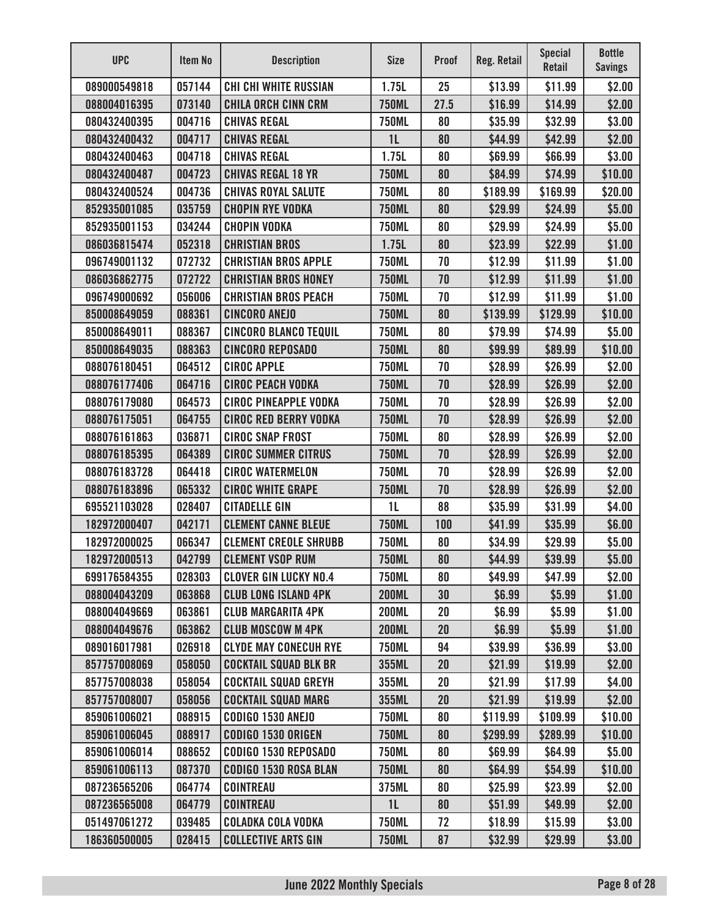| <b>UPC</b>   | <b>Item No</b> | <b>Description</b>           | <b>Size</b>    | <b>Proof</b> | <b>Reg. Retail</b> | <b>Special</b><br><b>Retail</b> | <b>Bottle</b><br><b>Savings</b> |
|--------------|----------------|------------------------------|----------------|--------------|--------------------|---------------------------------|---------------------------------|
| 089000549818 | 057144         | <b>CHI CHI WHITE RUSSIAN</b> | 1.75L          | 25           | \$13.99            | \$11.99                         | \$2.00                          |
| 088004016395 | 073140         | <b>CHILA ORCH CINN CRM</b>   | <b>750ML</b>   | 27.5         | \$16.99            | \$14.99                         | \$2.00                          |
| 080432400395 | 004716         | <b>CHIVAS REGAL</b>          | <b>750ML</b>   | 80           | \$35.99            | \$32.99                         | \$3.00                          |
| 080432400432 | 004717         | <b>CHIVAS REGAL</b>          | 1 <sub>L</sub> | 80           | \$44.99            | \$42.99                         | \$2.00                          |
| 080432400463 | 004718         | <b>CHIVAS REGAL</b>          | 1.75L          | 80           | \$69.99            | \$66.99                         | \$3.00                          |
| 080432400487 | 004723         | <b>CHIVAS REGAL 18 YR</b>    | <b>750ML</b>   | 80           | \$84.99            | \$74.99                         | \$10.00                         |
| 080432400524 | 004736         | <b>CHIVAS ROYAL SALUTE</b>   | <b>750ML</b>   | 80           | \$189.99           | \$169.99                        | \$20.00                         |
| 852935001085 | 035759         | <b>CHOPIN RYE VODKA</b>      | <b>750ML</b>   | 80           | \$29.99            | \$24.99                         | \$5.00                          |
| 852935001153 | 034244         | <b>CHOPIN VODKA</b>          | <b>750ML</b>   | 80           | \$29.99            | \$24.99                         | \$5.00                          |
| 086036815474 | 052318         | <b>CHRISTIAN BROS</b>        | 1.75L          | 80           | \$23.99            | \$22.99                         | \$1.00                          |
| 096749001132 | 072732         | <b>CHRISTIAN BROS APPLE</b>  | <b>750ML</b>   | 70           | \$12.99            | \$11.99                         | \$1.00                          |
| 086036862775 | 072722         | <b>CHRISTIAN BROS HONEY</b>  | <b>750ML</b>   | 70           | \$12.99            | \$11.99                         | \$1.00                          |
| 096749000692 | 056006         | <b>CHRISTIAN BROS PEACH</b>  | <b>750ML</b>   | 70           | \$12.99            | \$11.99                         | \$1.00                          |
| 850008649059 | 088361         | <b>CINCORO ANEJO</b>         | <b>750ML</b>   | 80           | \$139.99           | \$129.99                        | \$10.00                         |
| 850008649011 | 088367         | <b>CINCORO BLANCO TEQUIL</b> | <b>750ML</b>   | 80           | \$79.99            | \$74.99                         | \$5.00                          |
| 850008649035 | 088363         | <b>CINCORO REPOSADO</b>      | <b>750ML</b>   | 80           | \$99.99            | \$89.99                         | \$10.00                         |
| 088076180451 | 064512         | <b>CIROC APPLE</b>           | <b>750ML</b>   | 70           | \$28.99            | \$26.99                         | \$2.00                          |
| 088076177406 | 064716         | <b>CIROC PEACH VODKA</b>     | <b>750ML</b>   | 70           | \$28.99            | \$26.99                         | \$2.00                          |
| 088076179080 | 064573         | <b>CIROC PINEAPPLE VODKA</b> | <b>750ML</b>   | 70           | \$28.99            | \$26.99                         | \$2.00                          |
| 088076175051 | 064755         | <b>CIROC RED BERRY VODKA</b> | <b>750ML</b>   | 70           | \$28.99            | \$26.99                         | \$2.00                          |
| 088076161863 | 036871         | <b>CIROC SNAP FROST</b>      | <b>750ML</b>   | 80           | \$28.99            | \$26.99                         | \$2.00                          |
| 088076185395 | 064389         | <b>CIROC SUMMER CITRUS</b>   | <b>750ML</b>   | 70           | \$28.99            | \$26.99                         | \$2.00                          |
| 088076183728 | 064418         | <b>CIROC WATERMELON</b>      | <b>750ML</b>   | 70           | \$28.99            | \$26.99                         | \$2.00                          |
| 088076183896 | 065332         | <b>CIROC WHITE GRAPE</b>     | <b>750ML</b>   | 70           | \$28.99            | \$26.99                         | \$2.00                          |
| 695521103028 | 028407         | <b>CITADELLE GIN</b>         | 1L             | 88           | \$35.99            | \$31.99                         | \$4.00                          |
| 182972000407 | 042171         | <b>CLEMENT CANNE BLEUE</b>   | <b>750ML</b>   | 100          | \$41.99            | \$35.99                         | \$6.00                          |
| 182972000025 | 066347         | <b>CLEMENT CREOLE SHRUBB</b> | <b>750ML</b>   | 80           | \$34.99            | \$29.99                         | \$5.00                          |
| 182972000513 | 042799         | <b>CLEMENT VSOP RUM</b>      | <b>750ML</b>   | 80           | \$44.99            | \$39.99                         | \$5.00                          |
| 699176584355 | 028303         | <b>CLOVER GIN LUCKY NO.4</b> | <b>750ML</b>   | 80           | \$49.99            | \$47.99                         | \$2.00                          |
| 088004043209 | 063868         | <b>CLUB LONG ISLAND 4PK</b>  | <b>200ML</b>   | 30           | \$6.99             | \$5.99                          | \$1.00                          |
| 088004049669 | 063861         | <b>CLUB MARGARITA 4PK</b>    | <b>200ML</b>   | 20           | \$6.99             | \$5.99                          | \$1.00                          |
| 088004049676 | 063862         | <b>CLUB MOSCOW M 4PK</b>     | <b>200ML</b>   | 20           | \$6.99             | \$5.99                          | \$1.00                          |
| 089016017981 | 026918         | <b>CLYDE MAY CONECUH RYE</b> | <b>750ML</b>   | 94           | \$39.99            | \$36.99                         | \$3.00                          |
| 857757008069 | 058050         | <b>COCKTAIL SQUAD BLK BR</b> | 355ML          | 20           | \$21.99            | \$19.99                         | \$2.00                          |
| 857757008038 | 058054         | <b>COCKTAIL SQUAD GREYH</b>  | 355ML          | 20           | \$21.99            | \$17.99                         | \$4.00                          |
| 857757008007 | 058056         | <b>COCKTAIL SQUAD MARG</b>   | 355ML          | 20           | \$21.99            | \$19.99                         | \$2.00                          |
| 859061006021 | 088915         | <b>CODIGO 1530 ANEJO</b>     | <b>750ML</b>   | 80           | \$119.99           | \$109.99                        | \$10.00                         |
| 859061006045 | 088917         | <b>CODIGO 1530 ORIGEN</b>    | <b>750ML</b>   | 80           | \$299.99           | \$289.99                        | \$10.00                         |
| 859061006014 | 088652         | CODIGO 1530 REPOSADO         | <b>750ML</b>   | 80           | \$69.99            | \$64.99                         | \$5.00                          |
| 859061006113 | 087370         | <b>CODIGO 1530 ROSA BLAN</b> | <b>750ML</b>   | 80           | \$64.99            | \$54.99                         | \$10.00                         |
| 087236565206 | 064774         | <b>COINTREAU</b>             | 375ML          | 80           | \$25.99            | \$23.99                         | \$2.00                          |
| 087236565008 | 064779         | <b>COINTREAU</b>             | 1L             | 80           | \$51.99            | \$49.99                         | \$2.00                          |
| 051497061272 | 039485         | <b>COLADKA COLA VODKA</b>    | <b>750ML</b>   | 72           | \$18.99            | \$15.99                         | \$3.00                          |
| 186360500005 | 028415         | <b>COLLECTIVE ARTS GIN</b>   | <b>750ML</b>   | 87           | \$32.99            | \$29.99                         | \$3.00                          |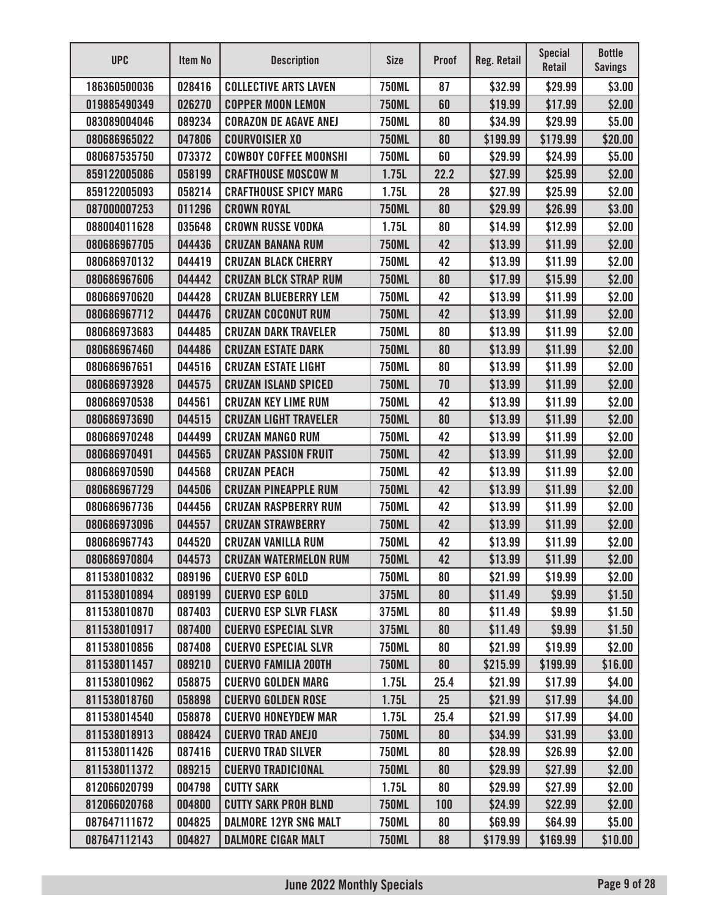| <b>UPC</b>   | Item No | <b>Description</b>           | <b>Size</b>  | <b>Proof</b> | Reg. Retail | <b>Special</b><br><b>Retail</b> | <b>Bottle</b><br><b>Savings</b> |
|--------------|---------|------------------------------|--------------|--------------|-------------|---------------------------------|---------------------------------|
| 186360500036 | 028416  | <b>COLLECTIVE ARTS LAVEN</b> | <b>750ML</b> | 87           | \$32.99     | \$29.99                         | \$3.00                          |
| 019885490349 | 026270  | <b>COPPER MOON LEMON</b>     | <b>750ML</b> | 60           | \$19.99     | \$17.99                         | \$2.00                          |
| 083089004046 | 089234  | <b>CORAZON DE AGAVE ANEJ</b> | <b>750ML</b> | 80           | \$34.99     | \$29.99                         | \$5.00                          |
| 080686965022 | 047806  | <b>COURVOISIER XO</b>        | <b>750ML</b> | 80           | \$199.99    | \$179.99                        | \$20.00                         |
| 080687535750 | 073372  | <b>COWBOY COFFEE MOONSHI</b> | <b>750ML</b> | 60           | \$29.99     | \$24.99                         | \$5.00                          |
| 859122005086 | 058199  | <b>CRAFTHOUSE MOSCOW M</b>   | 1.75L        | 22.2         | \$27.99     | \$25.99                         | \$2.00                          |
| 859122005093 | 058214  | <b>CRAFTHOUSE SPICY MARG</b> | 1.75L        | 28           | \$27.99     | \$25.99                         | \$2.00                          |
| 087000007253 | 011296  | <b>CROWN ROYAL</b>           | <b>750ML</b> | 80           | \$29.99     | \$26.99                         | \$3.00                          |
| 088004011628 | 035648  | <b>CROWN RUSSE VODKA</b>     | 1.75L        | 80           | \$14.99     | \$12.99                         | \$2.00                          |
| 080686967705 | 044436  | <b>CRUZAN BANANA RUM</b>     | <b>750ML</b> | 42           | \$13.99     | \$11.99                         | \$2.00                          |
| 080686970132 | 044419  | <b>CRUZAN BLACK CHERRY</b>   | <b>750ML</b> | 42           | \$13.99     | \$11.99                         | \$2.00                          |
| 080686967606 | 044442  | <b>CRUZAN BLCK STRAP RUM</b> | <b>750ML</b> | 80           | \$17.99     | \$15.99                         | \$2.00                          |
| 080686970620 | 044428  | <b>CRUZAN BLUEBERRY LEM</b>  | <b>750ML</b> | 42           | \$13.99     | \$11.99                         | \$2.00                          |
| 080686967712 | 044476  | <b>CRUZAN COCONUT RUM</b>    | <b>750ML</b> | 42           | \$13.99     | \$11.99                         | \$2.00                          |
| 080686973683 | 044485  | <b>CRUZAN DARK TRAVELER</b>  | <b>750ML</b> | 80           | \$13.99     | \$11.99                         | \$2.00                          |
| 080686967460 | 044486  | <b>CRUZAN ESTATE DARK</b>    | <b>750ML</b> | 80           | \$13.99     | \$11.99                         | \$2.00                          |
| 080686967651 | 044516  | <b>CRUZAN ESTATE LIGHT</b>   | <b>750ML</b> | 80           | \$13.99     | \$11.99                         | \$2.00                          |
| 080686973928 | 044575  | <b>CRUZAN ISLAND SPICED</b>  | <b>750ML</b> | 70           | \$13.99     | \$11.99                         | \$2.00                          |
| 080686970538 | 044561  | <b>CRUZAN KEY LIME RUM</b>   | <b>750ML</b> | 42           | \$13.99     | \$11.99                         | \$2.00                          |
| 080686973690 | 044515  | <b>CRUZAN LIGHT TRAVELER</b> | <b>750ML</b> | 80           | \$13.99     | \$11.99                         | \$2.00                          |
| 080686970248 | 044499  | <b>CRUZAN MANGO RUM</b>      | <b>750ML</b> | 42           | \$13.99     | \$11.99                         | \$2.00                          |
| 080686970491 | 044565  | <b>CRUZAN PASSION FRUIT</b>  | <b>750ML</b> | 42           | \$13.99     | \$11.99                         | \$2.00                          |
| 080686970590 | 044568  | <b>CRUZAN PEACH</b>          | <b>750ML</b> | 42           | \$13.99     | \$11.99                         | \$2.00                          |
| 080686967729 | 044506  | <b>CRUZAN PINEAPPLE RUM</b>  | <b>750ML</b> | 42           | \$13.99     | \$11.99                         | \$2.00                          |
| 080686967736 | 044456  | <b>CRUZAN RASPBERRY RUM</b>  | <b>750ML</b> | 42           | \$13.99     | \$11.99                         | \$2.00                          |
| 080686973096 | 044557  | <b>CRUZAN STRAWBERRY</b>     | <b>750ML</b> | 42           | \$13.99     | \$11.99                         | \$2.00                          |
| 080686967743 | 044520  | <b>CRUZAN VANILLA RUM</b>    | <b>750ML</b> | 42           | \$13.99     | \$11.99                         | \$2.00                          |
| 080686970804 | 044573  | <b>CRUZAN WATERMELON RUM</b> | <b>750ML</b> | 42           | \$13.99     | \$11.99                         | \$2.00                          |
| 811538010832 | 089196  | <b>CUERVO ESP GOLD</b>       | <b>750ML</b> | 80           | \$21.99     | \$19.99                         | \$2.00                          |
| 811538010894 | 089199  | <b>CUERVO ESP GOLD</b>       | 375ML        | 80           | \$11.49     | \$9.99                          | \$1.50                          |
| 811538010870 | 087403  | <b>CUERVO ESP SLVR FLASK</b> | 375ML        | 80           | \$11.49     | \$9.99                          | \$1.50                          |
| 811538010917 | 087400  | <b>CUERVO ESPECIAL SLVR</b>  | 375ML        | 80           | \$11.49     | \$9.99                          | \$1.50                          |
| 811538010856 | 087408  | <b>CUERVO ESPECIAL SLVR</b>  | <b>750ML</b> | 80           | \$21.99     | \$19.99                         | \$2.00                          |
| 811538011457 | 089210  | <b>CUERVO FAMILIA 200TH</b>  | <b>750ML</b> | 80           | \$215.99    | \$199.99                        | \$16.00                         |
| 811538010962 | 058875  | <b>CUERVO GOLDEN MARG</b>    | 1.75L        | 25.4         | \$21.99     | \$17.99                         | \$4.00                          |
| 811538018760 | 058898  | <b>CUERVO GOLDEN ROSE</b>    | 1.75L        | 25           | \$21.99     | \$17.99                         | \$4.00                          |
| 811538014540 | 058878  | <b>CUERVO HONEYDEW MAR</b>   | 1.75L        | 25.4         | \$21.99     | \$17.99                         | \$4.00                          |
| 811538018913 | 088424  | <b>CUERVO TRAD ANEJO</b>     | <b>750ML</b> | 80           | \$34.99     | \$31.99                         | \$3.00                          |
| 811538011426 | 087416  | <b>CUERVO TRAD SILVER</b>    | <b>750ML</b> | 80           | \$28.99     | \$26.99                         | \$2.00                          |
| 811538011372 | 089215  | <b>CUERVO TRADICIONAL</b>    | <b>750ML</b> | 80           | \$29.99     | \$27.99                         | \$2.00                          |
| 812066020799 | 004798  | <b>CUTTY SARK</b>            | 1.75L        | 80           | \$29.99     | \$27.99                         | \$2.00                          |
| 812066020768 | 004800  | <b>CUTTY SARK PROH BLND</b>  | <b>750ML</b> | 100          | \$24.99     | \$22.99                         | \$2.00                          |
| 087647111672 | 004825  | <b>DALMORE 12YR SNG MALT</b> | <b>750ML</b> | 80           | \$69.99     | \$64.99                         | \$5.00                          |
| 087647112143 | 004827  | <b>DALMORE CIGAR MALT</b>    | <b>750ML</b> | 88           | \$179.99    | \$169.99                        | \$10.00                         |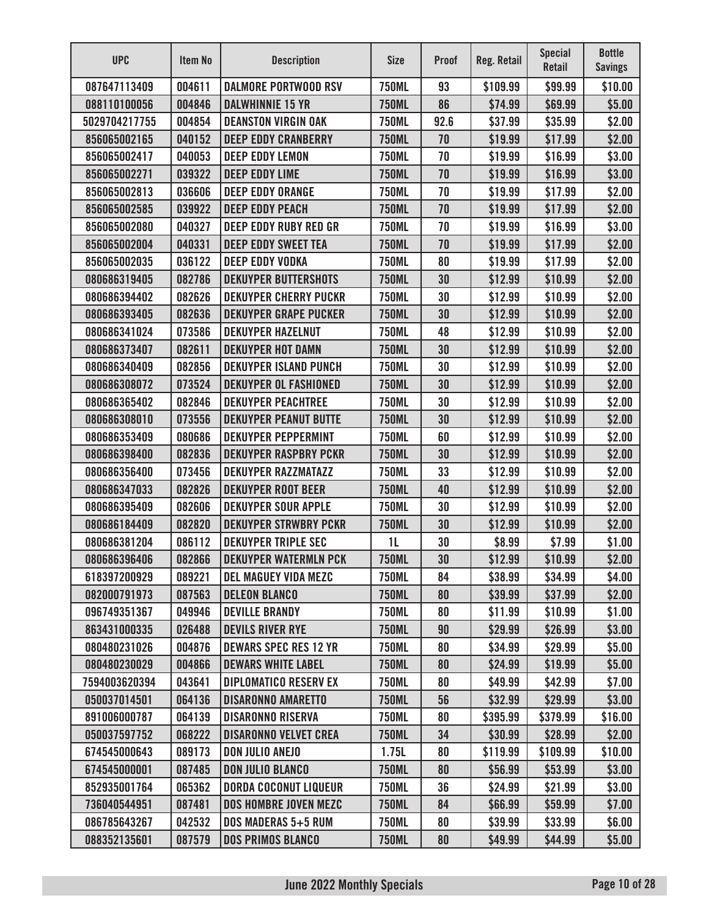| <b>UPC</b>    | Item No | <b>Description</b>           | <b>Size</b>  | <b>Proof</b> | <b>Reg. Retail</b> | <b>Special</b><br><b>Retail</b> | <b>Bottle</b><br><b>Savings</b> |
|---------------|---------|------------------------------|--------------|--------------|--------------------|---------------------------------|---------------------------------|
| 087647113409  | 004611  | <b>DALMORE PORTWOOD RSV</b>  | <b>750ML</b> | 93           | \$109.99           | \$99.99                         | \$10.00                         |
| 088110100056  | 004846  | <b>DALWHINNIE 15 YR</b>      | <b>750ML</b> | 86           | \$74.99            | \$69.99                         | \$5.00                          |
| 5029704217755 | 004854  | <b>DEANSTON VIRGIN OAK</b>   | <b>750ML</b> | 92.6         | \$37.99            | \$35.99                         | \$2.00                          |
| 856065002165  | 040152  | <b>DEEP EDDY CRANBERRY</b>   | <b>750ML</b> | 70           | \$19.99            | \$17.99                         | \$2.00                          |
| 856065002417  | 040053  | <b>DEEP EDDY LEMON</b>       | <b>750ML</b> | 70           | \$19.99            | \$16.99                         | \$3.00                          |
| 856065002271  | 039322  | <b>DEEP EDDY LIME</b>        | <b>750ML</b> | 70           | \$19.99            | \$16.99                         | \$3.00                          |
| 856065002813  | 036606  | <b>DEEP EDDY ORANGE</b>      | <b>750ML</b> | 70           | \$19.99            | \$17.99                         | \$2.00                          |
| 856065002585  | 039922  | <b>DEEP EDDY PEACH</b>       | <b>750ML</b> | 70           | \$19.99            | \$17.99                         | \$2.00                          |
| 856065002080  | 040327  | <b>DEEP EDDY RUBY RED GR</b> | <b>750ML</b> | 70           | \$19.99            | \$16.99                         | \$3.00                          |
| 856065002004  | 040331  | <b>DEEP EDDY SWEET TEA</b>   | <b>750ML</b> | 70           | \$19.99            | \$17.99                         | \$2.00                          |
| 856065002035  | 036122  | <b>DEEP EDDY VODKA</b>       | <b>750ML</b> | 80           | \$19.99            | \$17.99                         | \$2.00                          |
| 080686319405  | 082786  | <b>DEKUYPER BUTTERSHOTS</b>  | <b>750ML</b> | 30           | \$12.99            | \$10.99                         | \$2.00                          |
| 080686394402  | 082626  | <b>DEKUYPER CHERRY PUCKR</b> | <b>750ML</b> | 30           | \$12.99            | \$10.99                         | \$2.00                          |
| 080686393405  | 082636  | <b>DEKUYPER GRAPE PUCKER</b> | <b>750ML</b> | 30           | \$12.99            | \$10.99                         | \$2.00                          |
| 080686341024  | 073586  | <b>DEKUYPER HAZELNUT</b>     | <b>750ML</b> | 48           | \$12.99            | \$10.99                         | \$2.00                          |
| 080686373407  | 082611  | <b>DEKUYPER HOT DAMN</b>     | <b>750ML</b> | 30           | \$12.99            | \$10.99                         | \$2.00                          |
| 080686340409  | 082856  | <b>DEKUYPER ISLAND PUNCH</b> | <b>750ML</b> | 30           | \$12.99            | \$10.99                         | \$2.00                          |
| 080686308072  | 073524  | <b>DEKUYPER OL FASHIONED</b> | <b>750ML</b> | 30           | \$12.99            | \$10.99                         | \$2.00                          |
| 080686365402  | 082846  | <b>DEKUYPER PEACHTREE</b>    | <b>750ML</b> | 30           | \$12.99            | \$10.99                         | \$2.00                          |
| 080686308010  | 073556  | <b>DEKUYPER PEANUT BUTTE</b> | <b>750ML</b> | 30           | \$12.99            | \$10.99                         | \$2.00                          |
| 080686353409  | 080686  | <b>DEKUYPER PEPPERMINT</b>   | <b>750ML</b> | 60           | \$12.99            | \$10.99                         | \$2.00                          |
| 080686398400  | 082836  | <b>DEKUYPER RASPBRY PCKR</b> | <b>750ML</b> | 30           | \$12.99            | \$10.99                         | \$2.00                          |
| 080686356400  | 073456  | <b>DEKUYPER RAZZMATAZZ</b>   | <b>750ML</b> | 33           | \$12.99            | \$10.99                         | \$2.00                          |
| 080686347033  | 082826  | <b>DEKUYPER ROOT BEER</b>    | <b>750ML</b> | 40           | \$12.99            | \$10.99                         | \$2.00                          |
| 080686395409  | 082606  | <b>DEKUYPER SOUR APPLE</b>   | <b>750ML</b> | 30           | \$12.99            | \$10.99                         | \$2.00                          |
| 080686184409  | 082820  | <b>DEKUYPER STRWBRY PCKR</b> | <b>750ML</b> | 30           | \$12.99            | \$10.99                         | \$2.00                          |
| 080686381204  | 086112  | <b>DEKUYPER TRIPLE SEC</b>   | 1L           | 30           | \$8.99             | \$7.99                          | \$1.00                          |
| 080686396406  | 082866  | <b>DEKUYPER WATERMLN PCK</b> | <b>750ML</b> | 30           | \$12.99            | \$10.99                         | \$2.00                          |
| 618397200929  | 089221  | <b>DEL MAGUEY VIDA MEZC</b>  | <b>750ML</b> | 84           | \$38.99            | \$34.99                         | \$4.00                          |
| 082000791973  | 087563  | <b>DELEON BLANCO</b>         | <b>750ML</b> | 80           | \$39.99            | \$37.99                         | \$2.00                          |
| 096749351367  | 049946  | <b>DEVILLE BRANDY</b>        | <b>750ML</b> | 80           | \$11.99            | \$10.99                         | \$1.00                          |
| 863431000335  | 026488  | <b>DEVILS RIVER RYE</b>      | <b>750ML</b> | 90           | \$29.99            | \$26.99                         | \$3.00                          |
| 080480231026  | 004876  | <b>DEWARS SPEC RES 12 YR</b> | <b>750ML</b> | 80           | \$34.99            | \$29.99                         | \$5.00                          |
| 080480230029  | 004866  | <b>DEWARS WHITE LABEL</b>    | <b>750ML</b> | 80           | \$24.99            | \$19.99                         | \$5.00                          |
| 7594003620394 | 043641  | <b>DIPLOMATICO RESERV EX</b> | <b>750ML</b> | 80           | \$49.99            | \$42.99                         | \$7.00                          |
| 050037014501  | 064136  | <b>DISARONNO AMARETTO</b>    | <b>750ML</b> | 56           | \$32.99            | \$29.99                         | \$3.00                          |
| 891006000787  | 064139  | <b>DISARONNO RISERVA</b>     | <b>750ML</b> | 80           | \$395.99           | \$379.99                        | \$16.00                         |
| 050037597752  | 068222  | <b>DISARONNO VELVET CREA</b> | <b>750ML</b> | 34           | \$30.99            | \$28.99                         | \$2.00                          |
| 674545000643  | 089173  | <b>DON JULIO ANEJO</b>       | 1.75L        | 80           | \$119.99           | \$109.99                        | \$10.00                         |
| 674545000001  | 087485  | <b>DON JULIO BLANCO</b>      | <b>750ML</b> | 80           | \$56.99            | \$53.99                         | \$3.00                          |
| 852935001764  | 065362  | <b>DORDA COCONUT LIQUEUR</b> | <b>750ML</b> | 36           | \$24.99            | \$21.99                         | \$3.00                          |
| 736040544951  | 087481  | <b>DOS HOMBRE JOVEN MEZC</b> | <b>750ML</b> | 84           | \$66.99            | \$59.99                         | \$7.00                          |
| 086785643267  | 042532  | DOS MADERAS 5+5 RUM          | <b>750ML</b> | 80           | \$39.99            | \$33.99                         | \$6.00                          |
| 088352135601  | 087579  | <b>DOS PRIMOS BLANCO</b>     | <b>750ML</b> | 80           | \$49.99            | \$44.99                         | \$5.00                          |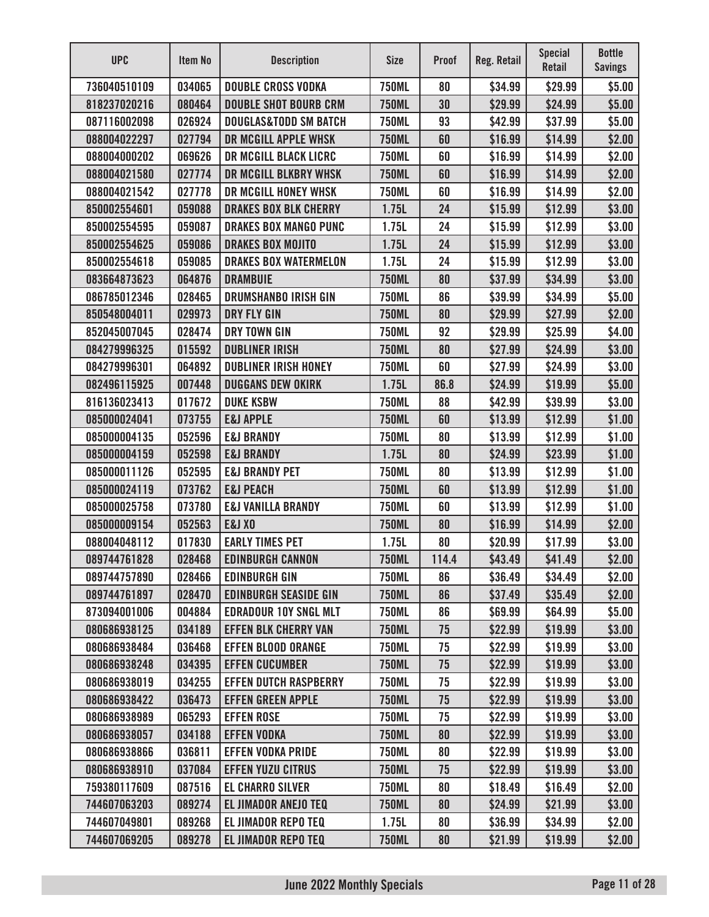| <b>UPC</b>   | Item No | <b>Description</b>               | <b>Size</b>  | <b>Proof</b> | Reg. Retail | <b>Special</b><br><b>Retail</b> | <b>Bottle</b><br><b>Savings</b> |
|--------------|---------|----------------------------------|--------------|--------------|-------------|---------------------------------|---------------------------------|
| 736040510109 | 034065  | <b>DOUBLE CROSS VODKA</b>        | <b>750ML</b> | 80           | \$34.99     | \$29.99                         | \$5.00                          |
| 818237020216 | 080464  | <b>DOUBLE SHOT BOURB CRM</b>     | <b>750ML</b> | 30           | \$29.99     | \$24.99                         | \$5.00                          |
| 087116002098 | 026924  | <b>DOUGLAS&amp;TODD SM BATCH</b> | <b>750ML</b> | 93           | \$42.99     | \$37.99                         | \$5.00                          |
| 088004022297 | 027794  | DR MCGILL APPLE WHSK             | <b>750ML</b> | 60           | \$16.99     | \$14.99                         | \$2.00                          |
| 088004000202 | 069626  | <b>DR MCGILL BLACK LICRC</b>     | <b>750ML</b> | 60           | \$16.99     | \$14.99                         | \$2.00                          |
| 088004021580 | 027774  | DR MCGILL BLKBRY WHSK            | <b>750ML</b> | 60           | \$16.99     | \$14.99                         | \$2.00                          |
| 088004021542 | 027778  | DR MCGILL HONEY WHSK             | <b>750ML</b> | 60           | \$16.99     | \$14.99                         | \$2.00                          |
| 850002554601 | 059088  | <b>DRAKES BOX BLK CHERRY</b>     | 1.75L        | 24           | \$15.99     | \$12.99                         | \$3.00                          |
| 850002554595 | 059087  | <b>DRAKES BOX MANGO PUNC</b>     | 1.75L        | 24           | \$15.99     | \$12.99                         | \$3.00                          |
| 850002554625 | 059086  | <b>DRAKES BOX MOJITO</b>         | 1.75L        | 24           | \$15.99     | \$12.99                         | \$3.00                          |
| 850002554618 | 059085  | <b>DRAKES BOX WATERMELON</b>     | 1.75L        | 24           | \$15.99     | \$12.99                         | \$3.00                          |
| 083664873623 | 064876  | <b>DRAMBUIE</b>                  | <b>750ML</b> | 80           | \$37.99     | \$34.99                         | \$3.00                          |
| 086785012346 | 028465  | <b>DRUMSHANBO IRISH GIN</b>      | <b>750ML</b> | 86           | \$39.99     | \$34.99                         | \$5.00                          |
| 850548004011 | 029973  | <b>DRY FLY GIN</b>               | <b>750ML</b> | 80           | \$29.99     | \$27.99                         | \$2.00                          |
| 852045007045 | 028474  | <b>DRY TOWN GIN</b>              | <b>750ML</b> | 92           | \$29.99     | \$25.99                         | \$4.00                          |
| 084279996325 | 015592  | <b>DUBLINER IRISH</b>            | <b>750ML</b> | 80           | \$27.99     | \$24.99                         | \$3.00                          |
| 084279996301 | 064892  | <b>DUBLINER IRISH HONEY</b>      | <b>750ML</b> | 60           | \$27.99     | \$24.99                         | \$3.00                          |
| 082496115925 | 007448  | <b>DUGGANS DEW OKIRK</b>         | 1.75L        | 86.8         | \$24.99     | \$19.99                         | \$5.00                          |
| 816136023413 | 017672  | <b>DUKE KSBW</b>                 | <b>750ML</b> | 88           | \$42.99     | \$39.99                         | \$3.00                          |
| 085000024041 | 073755  | <b>E&amp;J APPLE</b>             | <b>750ML</b> | 60           | \$13.99     | \$12.99                         | \$1.00                          |
| 085000004135 | 052596  | <b>E&amp;J BRANDY</b>            | <b>750ML</b> | 80           | \$13.99     | \$12.99                         | \$1.00                          |
| 085000004159 | 052598  | <b>E&amp;J BRANDY</b>            | 1.75L        | 80           | \$24.99     | \$23.99                         | \$1.00                          |
| 085000011126 | 052595  | <b>E&amp;J BRANDY PET</b>        | <b>750ML</b> | 80           | \$13.99     | \$12.99                         | \$1.00                          |
| 085000024119 | 073762  | <b>E&amp;J PEACH</b>             | <b>750ML</b> | 60           | \$13.99     | \$12.99                         | \$1.00                          |
| 085000025758 | 073780  | <b>E&amp;J VANILLA BRANDY</b>    | <b>750ML</b> | 60           | \$13.99     | \$12.99                         | \$1.00                          |
| 085000009154 | 052563  | <b>E&amp;J XO</b>                | <b>750ML</b> | 80           | \$16.99     | \$14.99                         | \$2.00                          |
| 088004048112 | 017830  | <b>EARLY TIMES PET</b>           | 1.75L        | 80           | \$20.99     | \$17.99                         | \$3.00                          |
| 089744761828 | 028468  | <b>EDINBURGH CANNON</b>          | <b>750ML</b> | 114.4        | \$43.49     | \$41.49                         | \$2.00                          |
| 089744757890 | 028466  | <b>EDINBURGH GIN</b>             | <b>750ML</b> | 86           | \$36.49     | \$34.49                         | \$2.00                          |
| 089744761897 | 028470  | <b>EDINBURGH SEASIDE GIN</b>     | <b>750ML</b> | 86           | \$37.49     | \$35.49                         | \$2.00                          |
| 873094001006 | 004884  | <b>EDRADOUR 10Y SNGL MLT</b>     | <b>750ML</b> | 86           | \$69.99     | \$64.99                         | \$5.00                          |
| 080686938125 | 034189  | <b>EFFEN BLK CHERRY VAN</b>      | <b>750ML</b> | 75           | \$22.99     | \$19.99                         | \$3.00                          |
| 080686938484 | 036468  | <b>EFFEN BLOOD ORANGE</b>        | <b>750ML</b> | 75           | \$22.99     | \$19.99                         | \$3.00                          |
| 080686938248 | 034395  | <b>EFFEN CUCUMBER</b>            | <b>750ML</b> | 75           | \$22.99     | \$19.99                         | \$3.00                          |
| 080686938019 | 034255  | <b>EFFEN DUTCH RASPBERRY</b>     | <b>750ML</b> | 75           | \$22.99     | \$19.99                         | \$3.00                          |
| 080686938422 | 036473  | <b>EFFEN GREEN APPLE</b>         | <b>750ML</b> | 75           | \$22.99     | \$19.99                         | \$3.00                          |
| 080686938989 | 065293  | <b>EFFEN ROSE</b>                | <b>750ML</b> | 75           | \$22.99     | \$19.99                         | \$3.00                          |
| 080686938057 | 034188  | <b>EFFEN VODKA</b>               | <b>750ML</b> | 80           | \$22.99     | \$19.99                         | \$3.00                          |
| 080686938866 | 036811  | <b>EFFEN VODKA PRIDE</b>         | <b>750ML</b> | 80           | \$22.99     | \$19.99                         | \$3.00                          |
| 080686938910 | 037084  | <b>EFFEN YUZU CITRUS</b>         | <b>750ML</b> | 75           | \$22.99     | \$19.99                         | \$3.00                          |
| 759380117609 | 087516  | <b>EL CHARRO SILVER</b>          | <b>750ML</b> | 80           | \$18.49     | \$16.49                         | \$2.00                          |
| 744607063203 | 089274  | <b>EL JIMADOR ANEJO TEQ</b>      | <b>750ML</b> | 80           | \$24.99     | \$21.99                         | \$3.00                          |
| 744607049801 | 089268  | <b>EL JIMADOR REPO TEQ</b>       | 1.75L        | 80           | \$36.99     | \$34.99                         | \$2.00                          |
| 744607069205 | 089278  | <b>EL JIMADOR REPO TEQ</b>       | <b>750ML</b> | 80           | \$21.99     | \$19.99                         | \$2.00                          |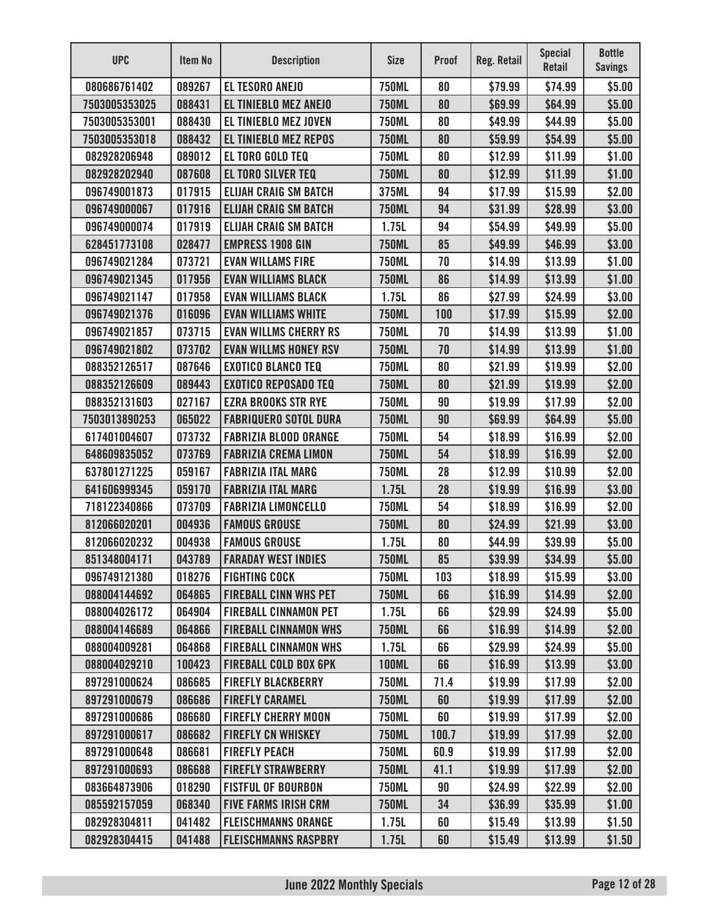| <b>UPC</b>    | <b>Item No</b> | <b>Description</b>           | <b>Size</b>  | <b>Proof</b> | <b>Reg. Retail</b> | <b>Special</b><br><b>Retail</b> | <b>Bottle</b><br><b>Savings</b> |
|---------------|----------------|------------------------------|--------------|--------------|--------------------|---------------------------------|---------------------------------|
| 080686761402  | 089267         | <b>EL TESORO ANEJO</b>       | <b>750ML</b> | 80           | \$79.99            | \$74.99                         | \$5.00                          |
| 7503005353025 | 088431         | EL TINIEBLO MEZ ANEJO        | <b>750ML</b> | 80           | \$69.99            | \$64.99                         | \$5.00                          |
| 7503005353001 | 088430         | <b>EL TINIEBLO MEZ JOVEN</b> | <b>750ML</b> | 80           | \$49.99            | \$44.99                         | \$5.00                          |
| 7503005353018 | 088432         | <b>EL TINIEBLO MEZ REPOS</b> | <b>750ML</b> | 80           | \$59.99            | \$54.99                         | \$5.00                          |
| 082928206948  | 089012         | EL TORO GOLD TEQ             | <b>750ML</b> | 80           | \$12.99            | \$11.99                         | \$1.00                          |
| 082928202940  | 087608         | <b>EL TORO SILVER TEQ</b>    | <b>750ML</b> | 80           | \$12.99            | \$11.99                         | \$1.00                          |
| 096749001873  | 017915         | <b>ELIJAH CRAIG SM BATCH</b> | 375ML        | 94           | \$17.99            | \$15.99                         | \$2.00                          |
| 096749000067  | 017916         | <b>ELIJAH CRAIG SM BATCH</b> | <b>750ML</b> | 94           | \$31.99            | \$28.99                         | \$3.00                          |
| 096749000074  | 017919         | <b>ELIJAH CRAIG SM BATCH</b> | 1.75L        | 94           | \$54.99            | \$49.99                         | \$5.00                          |
| 628451773108  | 028477         | <b>EMPRESS 1908 GIN</b>      | <b>750ML</b> | 85           | \$49.99            | \$46.99                         | \$3.00                          |
| 096749021284  | 073721         | <b>EVAN WILLAMS FIRE</b>     | <b>750ML</b> | 70           | \$14.99            | \$13.99                         | \$1.00                          |
| 096749021345  | 017956         | <b>EVAN WILLIAMS BLACK</b>   | <b>750ML</b> | 86           | \$14.99            | \$13.99                         | \$1.00                          |
| 096749021147  | 017958         | <b>EVAN WILLIAMS BLACK</b>   | 1.75L        | 86           | \$27.99            | \$24.99                         | \$3.00                          |
| 096749021376  | 016096         | <b>EVAN WILLIAMS WHITE</b>   | <b>750ML</b> | 100          | \$17.99            | \$15.99                         | \$2.00                          |
| 096749021857  | 073715         | <b>EVAN WILLMS CHERRY RS</b> | <b>750ML</b> | 70           | \$14.99            | \$13.99                         | \$1.00                          |
| 096749021802  | 073702         | <b>EVAN WILLMS HONEY RSV</b> | <b>750ML</b> | 70           | \$14.99            | \$13.99                         | \$1.00                          |
| 088352126517  | 087646         | <b>EXOTICO BLANCO TEQ</b>    | <b>750ML</b> | 80           | \$21.99            | \$19.99                         | \$2.00                          |
| 088352126609  | 089443         | <b>EXOTICO REPOSADO TEQ</b>  | <b>750ML</b> | 80           | \$21.99            | \$19.99                         | \$2.00                          |
| 088352131603  | 027167         | <b>EZRA BROOKS STR RYE</b>   | <b>750ML</b> | 90           | \$19.99            | \$17.99                         | \$2.00                          |
| 7503013890253 | 065022         | <b>FABRIQUERO SOTOL DURA</b> | <b>750ML</b> | 90           | \$69.99            | \$64.99                         | \$5.00                          |
| 617401004607  | 073732         | <b>FABRIZIA BLOOD ORANGE</b> | <b>750ML</b> | 54           | \$18.99            | \$16.99                         | \$2.00                          |
| 648609835052  | 073769         | <b>FABRIZIA CREMA LIMON</b>  | <b>750ML</b> | 54           | \$18.99            | \$16.99                         | \$2.00                          |
| 637801271225  | 059167         | <b>FABRIZIA ITAL MARG</b>    | <b>750ML</b> | 28           | \$12.99            | \$10.99                         | \$2.00                          |
| 641606999345  | 059170         | <b>FABRIZIA ITAL MARG</b>    | 1.75L        | 28           | \$19.99            | \$16.99                         | \$3.00                          |
| 718122340866  | 073709         | <b>FABRIZIA LIMONCELLO</b>   | <b>750ML</b> | 54           | \$18.99            | \$16.99                         | \$2.00                          |
| 812066020201  | 004936         | <b>FAMOUS GROUSE</b>         | <b>750ML</b> | 80           | \$24.99            | \$21.99                         | \$3.00                          |
| 812066020232  | 004938         | <b>FAMOUS GROUSE</b>         | 1.75L        | 80           | \$44.99            | \$39.99                         | \$5.00                          |
| 851348004171  | 043789         | <b>FARADAY WEST INDIES</b>   | <b>750ML</b> | 85           | \$39.99            | \$34.99                         | \$5.00                          |
| 096749121380  | 018276         | <b>FIGHTING COCK</b>         | <b>750ML</b> | 103          | \$18.99            | \$15.99                         | \$3.00                          |
| 088004144692  | 064865         | <b>FIREBALL CINN WHS PET</b> | <b>750ML</b> | 66           | \$16.99            | \$14.99                         | \$2.00                          |
| 088004026172  | 064904         | <b>FIREBALL CINNAMON PET</b> | 1.75L        | 66           | \$29.99            | \$24.99                         | \$5.00                          |
| 088004146689  | 064866         | <b>FIREBALL CINNAMON WHS</b> | <b>750ML</b> | 66           | \$16.99            | \$14.99                         | \$2.00                          |
| 088004009281  | 064868         | <b>FIREBALL CINNAMON WHS</b> | 1.75L        | 66           | \$29.99            | \$24.99                         | \$5.00                          |
| 088004029210  | 100423         | <b>FIREBALL COLD BOX 6PK</b> | <b>100ML</b> | 66           | \$16.99            | \$13.99                         | \$3.00                          |
| 897291000624  | 086685         | <b>FIREFLY BLACKBERRY</b>    | <b>750ML</b> | 71.4         | \$19.99            | \$17.99                         | \$2.00                          |
| 897291000679  | 086686         | <b>FIREFLY CARAMEL</b>       | <b>750ML</b> | 60           | \$19.99            | \$17.99                         | \$2.00                          |
| 897291000686  | 086680         | <b>FIREFLY CHERRY MOON</b>   | <b>750ML</b> | 60           | \$19.99            | \$17.99                         | \$2.00                          |
| 897291000617  | 086682         | <b>FIREFLY CN WHISKEY</b>    | <b>750ML</b> | 100.7        | \$19.99            | \$17.99                         | \$2.00                          |
| 897291000648  | 086681         | <b>FIREFLY PEACH</b>         | <b>750ML</b> | 60.9         | \$19.99            | \$17.99                         | \$2.00                          |
| 897291000693  | 086688         | <b>FIREFLY STRAWBERRY</b>    | <b>750ML</b> | 41.1         | \$19.99            | \$17.99                         | \$2.00                          |
| 083664873906  | 018290         | <b>FISTFUL OF BOURBON</b>    | <b>750ML</b> | 90           | \$24.99            | \$22.99                         | \$2.00                          |
| 085592157059  | 068340         | <b>FIVE FARMS IRISH CRM</b>  | <b>750ML</b> | 34           | \$36.99            | \$35.99                         | \$1.00                          |
| 082928304811  | 041482         | <b>FLEISCHMANNS ORANGE</b>   | 1.75L        | 60           | \$15.49            | \$13.99                         | \$1.50                          |
| 082928304415  | 041488         | <b>FLEISCHMANNS RASPBRY</b>  | 1.75L        | 60           | \$15.49            | \$13.99                         | \$1.50                          |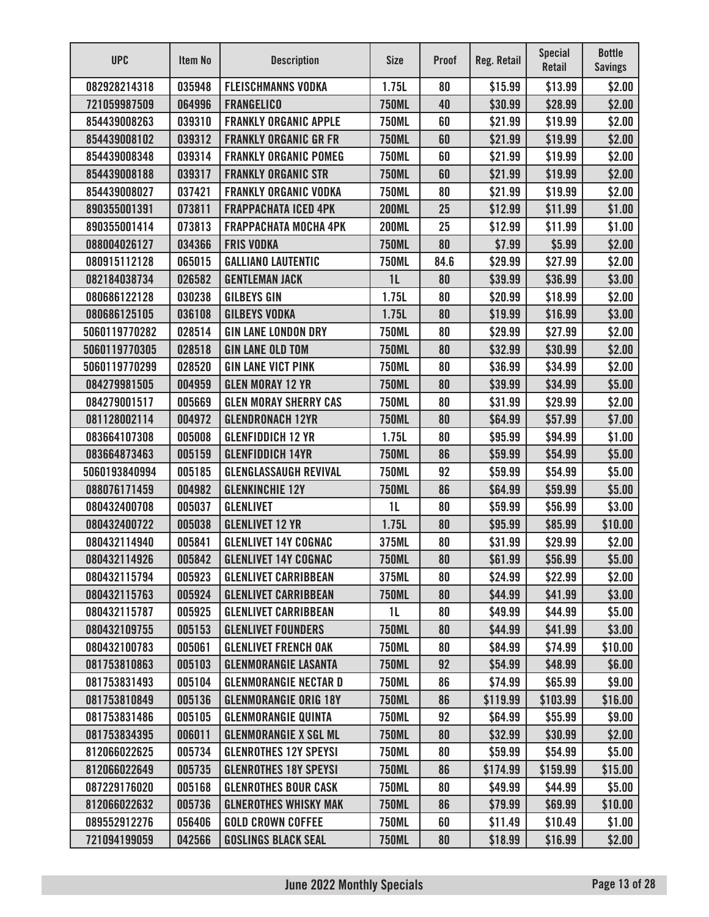| <b>UPC</b>    | Item No | <b>Description</b>           | <b>Size</b>    | <b>Proof</b> | Reg. Retail | <b>Special</b><br><b>Retail</b> | <b>Bottle</b><br><b>Savings</b> |
|---------------|---------|------------------------------|----------------|--------------|-------------|---------------------------------|---------------------------------|
| 082928214318  | 035948  | <b>FLEISCHMANNS VODKA</b>    | 1.75L          | 80           | \$15.99     | \$13.99                         | \$2.00                          |
| 721059987509  | 064996  | <b>FRANGELICO</b>            | <b>750ML</b>   | 40           | \$30.99     | \$28.99                         | \$2.00                          |
| 854439008263  | 039310  | <b>FRANKLY ORGANIC APPLE</b> | <b>750ML</b>   | 60           | \$21.99     | \$19.99                         | \$2.00                          |
| 854439008102  | 039312  | <b>FRANKLY ORGANIC GR FR</b> | <b>750ML</b>   | 60           | \$21.99     | \$19.99                         | \$2.00                          |
| 854439008348  | 039314  | <b>FRANKLY ORGANIC POMEG</b> | <b>750ML</b>   | 60           | \$21.99     | \$19.99                         | \$2.00                          |
| 854439008188  | 039317  | <b>FRANKLY ORGANIC STR</b>   | <b>750ML</b>   | 60           | \$21.99     | \$19.99                         | \$2.00                          |
| 854439008027  | 037421  | <b>FRANKLY ORGANIC VODKA</b> | <b>750ML</b>   | 80           | \$21.99     | \$19.99                         | \$2.00                          |
| 890355001391  | 073811  | <b>FRAPPACHATA ICED 4PK</b>  | <b>200ML</b>   | 25           | \$12.99     | \$11.99                         | \$1.00                          |
| 890355001414  | 073813  | <b>FRAPPACHATA MOCHA 4PK</b> | <b>200ML</b>   | 25           | \$12.99     | \$11.99                         | \$1.00                          |
| 088004026127  | 034366  | <b>FRIS VODKA</b>            | <b>750ML</b>   | 80           | \$7.99      | \$5.99                          | \$2.00                          |
| 080915112128  | 065015  | <b>GALLIANO LAUTENTIC</b>    | <b>750ML</b>   | 84.6         | \$29.99     | \$27.99                         | \$2.00                          |
| 082184038734  | 026582  | <b>GENTLEMAN JACK</b>        | 1 <sub>L</sub> | 80           | \$39.99     | \$36.99                         | \$3.00                          |
| 080686122128  | 030238  | <b>GILBEYS GIN</b>           | 1.75L          | 80           | \$20.99     | \$18.99                         | \$2.00                          |
| 080686125105  | 036108  | <b>GILBEYS VODKA</b>         | 1.75L          | 80           | \$19.99     | \$16.99                         | \$3.00                          |
| 5060119770282 | 028514  | <b>GIN LANE LONDON DRY</b>   | <b>750ML</b>   | 80           | \$29.99     | \$27.99                         | \$2.00                          |
| 5060119770305 | 028518  | <b>GIN LANE OLD TOM</b>      | <b>750ML</b>   | 80           | \$32.99     | \$30.99                         | \$2.00                          |
| 5060119770299 | 028520  | <b>GIN LANE VICT PINK</b>    | <b>750ML</b>   | 80           | \$36.99     | \$34.99                         | \$2.00                          |
| 084279981505  | 004959  | <b>GLEN MORAY 12 YR</b>      | <b>750ML</b>   | 80           | \$39.99     | \$34.99                         | \$5.00                          |
| 084279001517  | 005669  | <b>GLEN MORAY SHERRY CAS</b> | <b>750ML</b>   | 80           | \$31.99     | \$29.99                         | \$2.00                          |
| 081128002114  | 004972  | <b>GLENDRONACH 12YR</b>      | <b>750ML</b>   | 80           | \$64.99     | \$57.99                         | \$7.00                          |
| 083664107308  | 005008  | <b>GLENFIDDICH 12 YR</b>     | 1.75L          | 80           | \$95.99     | \$94.99                         | \$1.00                          |
| 083664873463  | 005159  | <b>GLENFIDDICH 14YR</b>      | <b>750ML</b>   | 86           | \$59.99     | \$54.99                         | \$5.00                          |
| 5060193840994 | 005185  | <b>GLENGLASSAUGH REVIVAL</b> | <b>750ML</b>   | 92           | \$59.99     | \$54.99                         | \$5.00                          |
| 088076171459  | 004982  | <b>GLENKINCHIE 12Y</b>       | <b>750ML</b>   | 86           | \$64.99     | \$59.99                         | \$5.00                          |
| 080432400708  | 005037  | <b>GLENLIVET</b>             | 1 <sub>L</sub> | 80           | \$59.99     | \$56.99                         | \$3.00                          |
| 080432400722  | 005038  | <b>GLENLIVET 12 YR</b>       | 1.75L          | 80           | \$95.99     | \$85.99                         | \$10.00                         |
| 080432114940  | 005841  | <b>GLENLIVET 14Y COGNAC</b>  | 375ML          | 80           | \$31.99     | \$29.99                         | \$2.00                          |
| 080432114926  | 005842  | <b>GLENLIVET 14Y COGNAC</b>  | <b>750ML</b>   | 80           | \$61.99     | \$56.99                         | \$5.00                          |
| 080432115794  | 005923  | <b>GLENLIVET CARRIBBEAN</b>  | 375ML          | 80           | \$24.99     | \$22.99                         | \$2.00                          |
| 080432115763  | 005924  | <b>GLENLIVET CARRIBBEAN</b>  | <b>750ML</b>   | 80           | \$44.99     | \$41.99                         | \$3.00                          |
| 080432115787  | 005925  | <b>GLENLIVET CARRIBBEAN</b>  | 1L             | 80           | \$49.99     | \$44.99                         | \$5.00                          |
| 080432109755  | 005153  | <b>GLENLIVET FOUNDERS</b>    | <b>750ML</b>   | 80           | \$44.99     | \$41.99                         | \$3.00                          |
| 080432100783  | 005061  | <b>GLENLIVET FRENCH OAK</b>  | <b>750ML</b>   | 80           | \$84.99     | \$74.99                         | \$10.00                         |
| 081753810863  | 005103  | <b>GLENMORANGIE LASANTA</b>  | <b>750ML</b>   | 92           | \$54.99     | \$48.99                         | \$6.00                          |
| 081753831493  | 005104  | <b>GLENMORANGIE NECTAR D</b> | <b>750ML</b>   | 86           | \$74.99     | \$65.99                         | \$9.00                          |
| 081753810849  | 005136  | <b>GLENMORANGIE ORIG 18Y</b> | <b>750ML</b>   | 86           | \$119.99    | \$103.99                        | \$16.00                         |
| 081753831486  | 005105  | <b>GLENMORANGIE QUINTA</b>   | <b>750ML</b>   | 92           | \$64.99     | \$55.99                         | \$9.00                          |
| 081753834395  | 006011  | <b>GLENMORANGIE X SGL ML</b> | <b>750ML</b>   | 80           | \$32.99     | \$30.99                         | \$2.00                          |
| 812066022625  | 005734  | <b>GLENROTHES 12Y SPEYSI</b> | <b>750ML</b>   | 80           | \$59.99     | \$54.99                         | \$5.00                          |
| 812066022649  | 005735  | <b>GLENROTHES 18Y SPEYSI</b> | <b>750ML</b>   | 86           | \$174.99    | \$159.99                        | \$15.00                         |
| 087229176020  | 005168  | <b>GLENROTHES BOUR CASK</b>  | <b>750ML</b>   | 80           | \$49.99     | \$44.99                         | \$5.00                          |
| 812066022632  | 005736  | <b>GLNEROTHES WHISKY MAK</b> | <b>750ML</b>   | 86           | \$79.99     | \$69.99                         | \$10.00                         |
| 089552912276  | 056406  | <b>GOLD CROWN COFFEE</b>     | <b>750ML</b>   | 60           | \$11.49     | \$10.49                         | \$1.00                          |
| 721094199059  | 042566  | <b>GOSLINGS BLACK SEAL</b>   | <b>750ML</b>   | 80           | \$18.99     | \$16.99                         | \$2.00                          |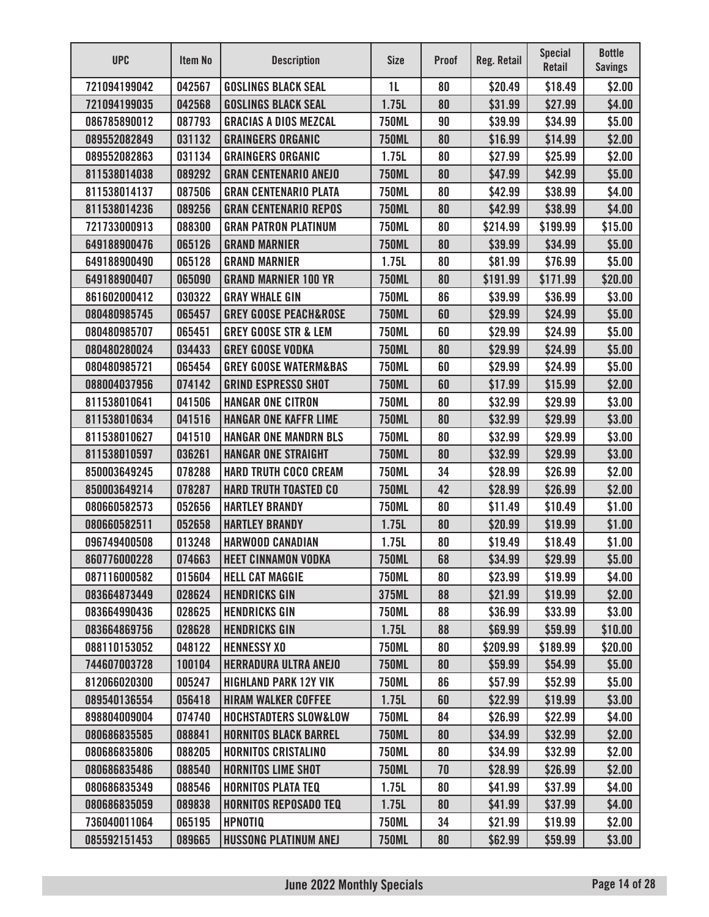| <b>UPC</b>   | Item No | <b>Description</b>               | <b>Size</b>    | <b>Proof</b> | <b>Reg. Retail</b> | <b>Special</b><br><b>Retail</b> | <b>Bottle</b><br><b>Savings</b> |
|--------------|---------|----------------------------------|----------------|--------------|--------------------|---------------------------------|---------------------------------|
| 721094199042 | 042567  | <b>GOSLINGS BLACK SEAL</b>       | 1 <sub>L</sub> | 80           | \$20.49            | \$18.49                         | \$2.00                          |
| 721094199035 | 042568  | <b>GOSLINGS BLACK SEAL</b>       | 1.75L          | 80           | \$31.99            | \$27.99                         | \$4.00                          |
| 086785890012 | 087793  | <b>GRACIAS A DIOS MEZCAL</b>     | <b>750ML</b>   | 90           | \$39.99            | \$34.99                         | \$5.00                          |
| 089552082849 | 031132  | <b>GRAINGERS ORGANIC</b>         | <b>750ML</b>   | 80           | \$16.99            | \$14.99                         | \$2.00                          |
| 089552082863 | 031134  | <b>GRAINGERS ORGANIC</b>         | 1.75L          | 80           | \$27.99            | \$25.99                         | \$2.00                          |
| 811538014038 | 089292  | <b>GRAN CENTENARIO ANEJO</b>     | <b>750ML</b>   | 80           | \$47.99            | \$42.99                         | \$5.00                          |
| 811538014137 | 087506  | <b>GRAN CENTENARIO PLATA</b>     | <b>750ML</b>   | 80           | \$42.99            | \$38.99                         | \$4.00                          |
| 811538014236 | 089256  | <b>GRAN CENTENARIO REPOS</b>     | <b>750ML</b>   | 80           | \$42.99            | \$38.99                         | \$4.00                          |
| 721733000913 | 088300  | <b>GRAN PATRON PLATINUM</b>      | <b>750ML</b>   | 80           | \$214.99           | \$199.99                        | \$15.00                         |
| 649188900476 | 065126  | <b>GRAND MARNIER</b>             | <b>750ML</b>   | 80           | \$39.99            | \$34.99                         | \$5.00                          |
| 649188900490 | 065128  | <b>GRAND MARNIER</b>             | 1.75L          | 80           | \$81.99            | \$76.99                         | \$5.00                          |
| 649188900407 | 065090  | <b>GRAND MARNIER 100 YR</b>      | <b>750ML</b>   | 80           | \$191.99           | \$171.99                        | \$20.00                         |
| 861602000412 | 030322  | <b>GRAY WHALE GIN</b>            | <b>750ML</b>   | 86           | \$39.99            | \$36.99                         | \$3.00                          |
| 080480985745 | 065457  | <b>GREY GOOSE PEACH&amp;ROSE</b> | <b>750ML</b>   | 60           | \$29.99            | \$24.99                         | \$5.00                          |
| 080480985707 | 065451  | <b>GREY GOOSE STR &amp; LEM</b>  | <b>750ML</b>   | 60           | \$29.99            | \$24.99                         | \$5.00                          |
| 080480280024 | 034433  | <b>GREY GOOSE VODKA</b>          | <b>750ML</b>   | 80           | \$29.99            | \$24.99                         | \$5.00                          |
| 080480985721 | 065454  | <b>GREY GOOSE WATERM&amp;BAS</b> | <b>750ML</b>   | 60           | \$29.99            | \$24.99                         | \$5.00                          |
| 088004037956 | 074142  | <b>GRIND ESPRESSO SHOT</b>       | <b>750ML</b>   | 60           | \$17.99            | \$15.99                         | \$2.00                          |
| 811538010641 | 041506  | <b>HANGAR ONE CITRON</b>         | <b>750ML</b>   | 80           | \$32.99            | \$29.99                         | \$3.00                          |
| 811538010634 | 041516  | <b>HANGAR ONE KAFFR LIME</b>     | <b>750ML</b>   | 80           | \$32.99            | \$29.99                         | \$3.00                          |
| 811538010627 | 041510  | <b>HANGAR ONE MANDRN BLS</b>     | <b>750ML</b>   | 80           | \$32.99            | \$29.99                         | \$3.00                          |
| 811538010597 | 036261  | <b>HANGAR ONE STRAIGHT</b>       | <b>750ML</b>   | 80           | \$32.99            | \$29.99                         | \$3.00                          |
| 850003649245 | 078288  | <b>HARD TRUTH COCO CREAM</b>     | <b>750ML</b>   | 34           | \$28.99            | \$26.99                         | \$2.00                          |
| 850003649214 | 078287  | <b>HARD TRUTH TOASTED CO</b>     | <b>750ML</b>   | 42           | \$28.99            | \$26.99                         | \$2.00                          |
| 080660582573 | 052656  | <b>HARTLEY BRANDY</b>            | <b>750ML</b>   | 80           | \$11.49            | \$10.49                         | \$1.00                          |
| 080660582511 | 052658  | <b>HARTLEY BRANDY</b>            | 1.75L          | 80           | \$20.99            | \$19.99                         | \$1.00                          |
| 096749400508 | 013248  | <b>HARWOOD CANADIAN</b>          | 1.75L          | 80           | \$19.49            | \$18.49                         | \$1.00                          |
| 860776000228 | 074663  | <b>HEET CINNAMON VODKA</b>       | <b>750ML</b>   | 68           | \$34.99            | \$29.99                         | \$5.00                          |
| 087116000582 | 015604  | <b>HELL CAT MAGGIE</b>           | <b>750ML</b>   | 80           | \$23.99            | \$19.99                         | \$4.00                          |
| 083664873449 | 028624  | <b>HENDRICKS GIN</b>             | 375ML          | 88           | \$21.99            | \$19.99                         | \$2.00                          |
| 083664990436 | 028625  | <b>HENDRICKS GIN</b>             | <b>750ML</b>   | 88           | \$36.99            | \$33.99                         | \$3.00                          |
| 083664869756 | 028628  | <b>HENDRICKS GIN</b>             | 1.75L          | 88           | \$69.99            | \$59.99                         | \$10.00                         |
| 088110153052 | 048122  | <b>HENNESSY XO</b>               | <b>750ML</b>   | 80           | \$209.99           | \$189.99                        | \$20.00                         |
| 744607003728 | 100104  | <b>HERRADURA ULTRA ANEJO</b>     | <b>750ML</b>   | 80           | \$59.99            | \$54.99                         | \$5.00                          |
| 812066020300 | 005247  | <b>HIGHLAND PARK 12Y VIK</b>     | <b>750ML</b>   | 86           | \$57.99            | \$52.99                         | \$5.00                          |
| 089540136554 | 056418  | <b>HIRAM WALKER COFFEE</b>       | 1.75L          | 60           | \$22.99            | \$19.99                         | \$3.00                          |
| 898804009004 | 074740  | <b>HOCHSTADTERS SLOW&amp;LOW</b> | <b>750ML</b>   | 84           | \$26.99            | \$22.99                         | \$4.00                          |
| 080686835585 | 088841  | <b>HORNITOS BLACK BARREL</b>     | <b>750ML</b>   | 80           | \$34.99            | \$32.99                         | \$2.00                          |
| 080686835806 | 088205  | <b>HORNITOS CRISTALINO</b>       | <b>750ML</b>   | 80           | \$34.99            | \$32.99                         | \$2.00                          |
| 080686835486 | 088540  | <b>HORNITOS LIME SHOT</b>        | <b>750ML</b>   | 70           | \$28.99            | \$26.99                         | \$2.00                          |
| 080686835349 | 088546  | <b>HORNITOS PLATA TEQ</b>        | 1.75L          | 80           | \$41.99            | \$37.99                         | \$4.00                          |
| 080686835059 | 089838  | <b>HORNITOS REPOSADO TEQ</b>     | 1.75L          | 80           | \$41.99            | \$37.99                         | \$4.00                          |
| 736040011064 | 065195  | <b>HPNOTIQ</b>                   | <b>750ML</b>   | 34           | \$21.99            | \$19.99                         | \$2.00                          |
| 085592151453 | 089665  | <b>HUSSONG PLATINUM ANEJ</b>     | <b>750ML</b>   | 80           | \$62.99            | \$59.99                         | \$3.00                          |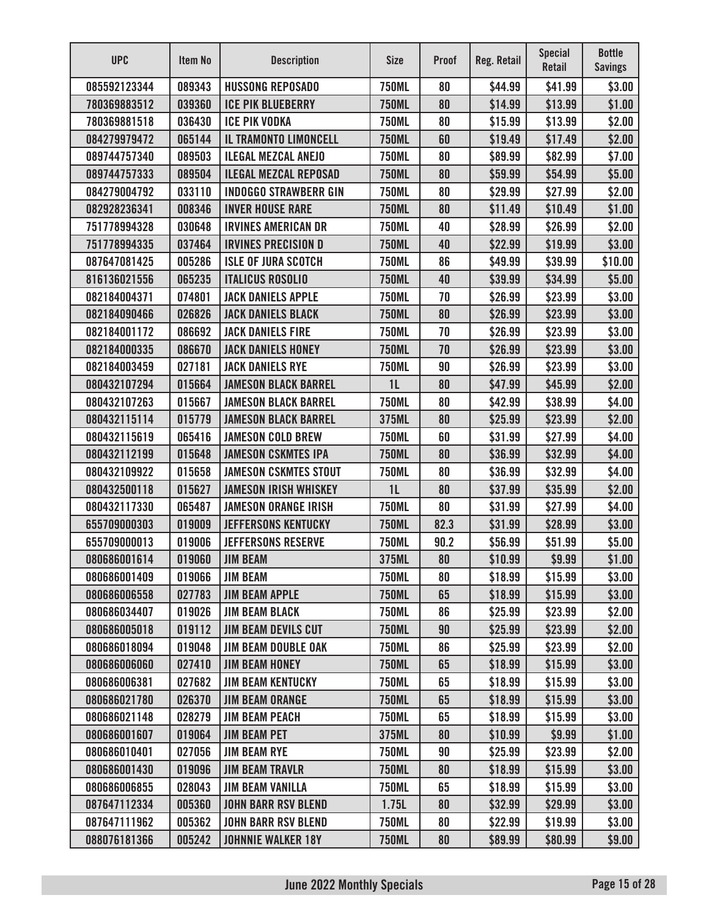| <b>UPC</b>   | Item No | <b>Description</b>           | <b>Size</b>    | <b>Proof</b> | Reg. Retail | <b>Special</b><br><b>Retail</b> | <b>Bottle</b><br><b>Savings</b> |
|--------------|---------|------------------------------|----------------|--------------|-------------|---------------------------------|---------------------------------|
| 085592123344 | 089343  | <b>HUSSONG REPOSADO</b>      | <b>750ML</b>   | 80           | \$44.99     | \$41.99                         | \$3.00                          |
| 780369883512 | 039360  | <b>ICE PIK BLUEBERRY</b>     | <b>750ML</b>   | 80           | \$14.99     | \$13.99                         | \$1.00                          |
| 780369881518 | 036430  | <b>ICE PIK VODKA</b>         | <b>750ML</b>   | 80           | \$15.99     | \$13.99                         | \$2.00                          |
| 084279979472 | 065144  | IL TRAMONTO LIMONCELL        | <b>750ML</b>   | 60           | \$19.49     | \$17.49                         | \$2.00                          |
| 089744757340 | 089503  | <b>ILEGAL MEZCAL ANEJO</b>   | <b>750ML</b>   | 80           | \$89.99     | \$82.99                         | \$7.00                          |
| 089744757333 | 089504  | <b>ILEGAL MEZCAL REPOSAD</b> | <b>750ML</b>   | 80           | \$59.99     | \$54.99                         | \$5.00                          |
| 084279004792 | 033110  | <b>INDOGGO STRAWBERR GIN</b> | <b>750ML</b>   | 80           | \$29.99     | \$27.99                         | \$2.00                          |
| 082928236341 | 008346  | <b>INVER HOUSE RARE</b>      | <b>750ML</b>   | 80           | \$11.49     | \$10.49                         | \$1.00                          |
| 751778994328 | 030648  | <b>IRVINES AMERICAN DR</b>   | <b>750ML</b>   | 40           | \$28.99     | \$26.99                         | \$2.00                          |
| 751778994335 | 037464  | <b>IRVINES PRECISION D</b>   | <b>750ML</b>   | 40           | \$22.99     | \$19.99                         | \$3.00                          |
| 087647081425 | 005286  | <b>ISLE OF JURA SCOTCH</b>   | <b>750ML</b>   | 86           | \$49.99     | \$39.99                         | \$10.00                         |
| 816136021556 | 065235  | <b>ITALICUS ROSOLIO</b>      | <b>750ML</b>   | 40           | \$39.99     | \$34.99                         | \$5.00                          |
| 082184004371 | 074801  | <b>JACK DANIELS APPLE</b>    | <b>750ML</b>   | 70           | \$26.99     | \$23.99                         | \$3.00                          |
| 082184090466 | 026826  | <b>JACK DANIELS BLACK</b>    | <b>750ML</b>   | 80           | \$26.99     | \$23.99                         | \$3.00                          |
| 082184001172 | 086692  | <b>JACK DANIELS FIRE</b>     | <b>750ML</b>   | 70           | \$26.99     | \$23.99                         | \$3.00                          |
| 082184000335 | 086670  | <b>JACK DANIELS HONEY</b>    | <b>750ML</b>   | 70           | \$26.99     | \$23.99                         | \$3.00                          |
| 082184003459 | 027181  | <b>JACK DANIELS RYE</b>      | <b>750ML</b>   | 90           | \$26.99     | \$23.99                         | \$3.00                          |
| 080432107294 | 015664  | <b>JAMESON BLACK BARREL</b>  | 1 <sub>L</sub> | 80           | \$47.99     | \$45.99                         | \$2.00                          |
| 080432107263 | 015667  | <b>JAMESON BLACK BARREL</b>  | <b>750ML</b>   | 80           | \$42.99     | \$38.99                         | \$4.00                          |
| 080432115114 | 015779  | <b>JAMESON BLACK BARREL</b>  | 375ML          | 80           | \$25.99     | \$23.99                         | \$2.00                          |
| 080432115619 | 065416  | <b>JAMESON COLD BREW</b>     | <b>750ML</b>   | 60           | \$31.99     | \$27.99                         | \$4.00                          |
| 080432112199 | 015648  | <b>JAMESON CSKMTES IPA</b>   | <b>750ML</b>   | 80           | \$36.99     | \$32.99                         | \$4.00                          |
| 080432109922 | 015658  | <b>JAMESON CSKMTES STOUT</b> | <b>750ML</b>   | 80           | \$36.99     | \$32.99                         | \$4.00                          |
| 080432500118 | 015627  | <b>JAMESON IRISH WHISKEY</b> | 1L             | 80           | \$37.99     | \$35.99                         | \$2.00                          |
| 080432117330 | 065487  | <b>JAMESON ORANGE IRISH</b>  | <b>750ML</b>   | 80           | \$31.99     | \$27.99                         | \$4.00                          |
| 655709000303 | 019009  | <b>JEFFERSONS KENTUCKY</b>   | <b>750ML</b>   | 82.3         | \$31.99     | \$28.99                         | \$3.00                          |
| 655709000013 | 019006  | <b>JEFFERSONS RESERVE</b>    | <b>750ML</b>   | 90.2         | \$56.99     | \$51.99                         | \$5.00                          |
| 080686001614 | 019060  | <b>JIM BEAM</b>              | 375ML          | 80           | \$10.99     | \$9.99                          | \$1.00                          |
| 080686001409 | 019066  | <b>JIM BEAM</b>              | <b>750ML</b>   | 80           | \$18.99     | \$15.99                         | \$3.00                          |
| 080686006558 | 027783  | <b>JIM BEAM APPLE</b>        | <b>750ML</b>   | 65           | \$18.99     | \$15.99                         | \$3.00                          |
| 080686034407 | 019026  | <b>JIM BEAM BLACK</b>        | <b>750ML</b>   | 86           | \$25.99     | \$23.99                         | \$2.00                          |
| 080686005018 | 019112  | <b>JIM BEAM DEVILS CUT</b>   | <b>750ML</b>   | 90           | \$25.99     | \$23.99                         | \$2.00                          |
| 080686018094 | 019048  | <b>JIM BEAM DOUBLE OAK</b>   | <b>750ML</b>   | 86           | \$25.99     | \$23.99                         | \$2.00                          |
| 080686006060 | 027410  | <b>JIM BEAM HONEY</b>        | <b>750ML</b>   | 65           | \$18.99     | \$15.99                         | \$3.00                          |
| 080686006381 | 027682  | <b>JIM BEAM KENTUCKY</b>     | <b>750ML</b>   | 65           | \$18.99     | \$15.99                         | \$3.00                          |
| 080686021780 | 026370  | <b>JIM BEAM ORANGE</b>       | <b>750ML</b>   | 65           | \$18.99     | \$15.99                         | \$3.00                          |
| 080686021148 | 028279  | <b>JIM BEAM PEACH</b>        | <b>750ML</b>   | 65           | \$18.99     | \$15.99                         | \$3.00                          |
| 080686001607 | 019064  | <b>JIM BEAM PET</b>          | 375ML          | 80           | \$10.99     | \$9.99                          | \$1.00                          |
| 080686010401 | 027056  | <b>JIM BEAM RYE</b>          | <b>750ML</b>   | 90           | \$25.99     | \$23.99                         | \$2.00                          |
| 080686001430 | 019096  | <b>JIM BEAM TRAVLR</b>       | <b>750ML</b>   | 80           | \$18.99     | \$15.99                         | \$3.00                          |
| 080686006855 | 028043  | <b>JIM BEAM VANILLA</b>      | <b>750ML</b>   | 65           | \$18.99     | \$15.99                         | \$3.00                          |
| 087647112334 | 005360  | <b>JOHN BARR RSV BLEND</b>   | 1.75L          | 80           | \$32.99     | \$29.99                         | \$3.00                          |
| 087647111962 | 005362  | <b>JOHN BARR RSV BLEND</b>   | <b>750ML</b>   | 80           | \$22.99     | \$19.99                         | \$3.00                          |
| 088076181366 | 005242  | <b>JOHNNIE WALKER 18Y</b>    | <b>750ML</b>   | 80           | \$89.99     | \$80.99                         | \$9.00                          |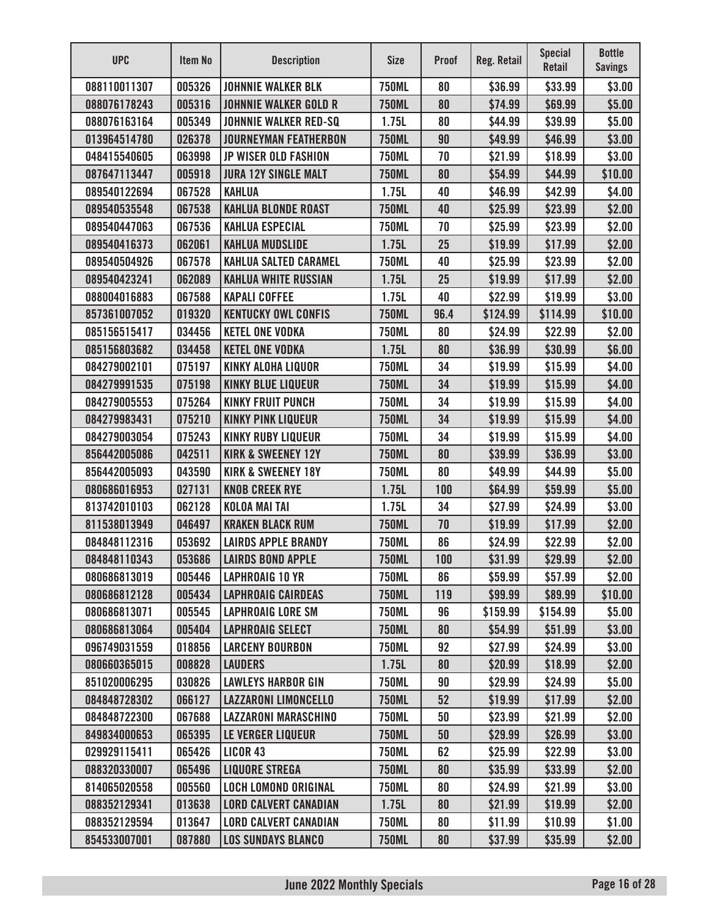| <b>UPC</b>   | <b>Item No</b> | <b>Description</b>            | <b>Size</b>  | <b>Proof</b> | <b>Reg. Retail</b> | <b>Special</b><br>Retail | <b>Bottle</b><br><b>Savings</b> |
|--------------|----------------|-------------------------------|--------------|--------------|--------------------|--------------------------|---------------------------------|
| 088110011307 | 005326         | <b>JOHNNIE WALKER BLK</b>     | <b>750ML</b> | 80           | \$36.99            | \$33.99                  | \$3.00                          |
| 088076178243 | 005316         | <b>JOHNNIE WALKER GOLD R</b>  | <b>750ML</b> | 80           | \$74.99            | \$69.99                  | \$5.00                          |
| 088076163164 | 005349         | <b>JOHNNIE WALKER RED-SQ</b>  | 1.75L        | 80           | \$44.99            | \$39.99                  | \$5.00                          |
| 013964514780 | 026378         | <b>JOURNEYMAN FEATHERBON</b>  | <b>750ML</b> | 90           | \$49.99            | \$46.99                  | \$3.00                          |
| 048415540605 | 063998         | <b>JP WISER OLD FASHION</b>   | <b>750ML</b> | 70           | \$21.99            | \$18.99                  | \$3.00                          |
| 087647113447 | 005918         | <b>JURA 12Y SINGLE MALT</b>   | <b>750ML</b> | 80           | \$54.99            | \$44.99                  | \$10.00                         |
| 089540122694 | 067528         | <b>KAHLUA</b>                 | 1.75L        | 40           | \$46.99            | \$42.99                  | \$4.00                          |
| 089540535548 | 067538         | <b>KAHLUA BLONDE ROAST</b>    | <b>750ML</b> | 40           | \$25.99            | \$23.99                  | \$2.00                          |
| 089540447063 | 067536         | <b>KAHLUA ESPECIAL</b>        | <b>750ML</b> | 70           | \$25.99            | \$23.99                  | \$2.00                          |
| 089540416373 | 062061         | <b>KAHLUA MUDSLIDE</b>        | 1.75L        | 25           | \$19.99            | \$17.99                  | \$2.00                          |
| 089540504926 | 067578         | <b>KAHLUA SALTED CARAMEL</b>  | <b>750ML</b> | 40           | \$25.99            | \$23.99                  | \$2.00                          |
| 089540423241 | 062089         | <b>KAHLUA WHITE RUSSIAN</b>   | 1.75L        | 25           | \$19.99            | \$17.99                  | \$2.00                          |
| 088004016883 | 067588         | <b>KAPALI COFFEE</b>          | 1.75L        | 40           | \$22.99            | \$19.99                  | \$3.00                          |
| 857361007052 | 019320         | <b>KENTUCKY OWL CONFIS</b>    | <b>750ML</b> | 96.4         | \$124.99           | \$114.99                 | \$10.00                         |
| 085156515417 | 034456         | <b>KETEL ONE VODKA</b>        | <b>750ML</b> | 80           | \$24.99            | \$22.99                  | \$2.00                          |
| 085156803682 | 034458         | <b>KETEL ONE VODKA</b>        | 1.75L        | 80           | \$36.99            | \$30.99                  | \$6.00                          |
| 084279002101 | 075197         | <b>KINKY ALOHA LIQUOR</b>     | <b>750ML</b> | 34           | \$19.99            | \$15.99                  | \$4.00                          |
| 084279991535 | 075198         | <b>KINKY BLUE LIQUEUR</b>     | <b>750ML</b> | 34           | \$19.99            | \$15.99                  | \$4.00                          |
| 084279005553 | 075264         | <b>KINKY FRUIT PUNCH</b>      | <b>750ML</b> | 34           | \$19.99            | \$15.99                  | \$4.00                          |
| 084279983431 | 075210         | <b>KINKY PINK LIQUEUR</b>     | <b>750ML</b> | 34           | \$19.99            | \$15.99                  | \$4.00                          |
| 084279003054 | 075243         | <b>KINKY RUBY LIQUEUR</b>     | <b>750ML</b> | 34           | \$19.99            | \$15.99                  | \$4.00                          |
| 856442005086 | 042511         | <b>KIRK &amp; SWEENEY 12Y</b> | <b>750ML</b> | 80           | \$39.99            | \$36.99                  | \$3.00                          |
| 856442005093 | 043590         | <b>KIRK &amp; SWEENEY 18Y</b> | <b>750ML</b> | 80           | \$49.99            | \$44.99                  | \$5.00                          |
| 080686016953 | 027131         | <b>KNOB CREEK RYE</b>         | 1.75L        | 100          | \$64.99            | \$59.99                  | \$5.00                          |
| 813742010103 | 062128         | <b>KOLOA MAI TAI</b>          | 1.75L        | 34           | \$27.99            | \$24.99                  | \$3.00                          |
| 811538013949 | 046497         | <b>KRAKEN BLACK RUM</b>       | <b>750ML</b> | 70           | \$19.99            | \$17.99                  | \$2.00                          |
| 084848112316 | 053692         | <b>LAIRDS APPLE BRANDY</b>    | <b>750ML</b> | 86           | \$24.99            | \$22.99                  | \$2.00                          |
| 084848110343 | 053686         | <b>LAIRDS BOND APPLE</b>      | <b>750ML</b> | 100          | \$31.99            | \$29.99                  | \$2.00                          |
| 080686813019 | 005446         | <b>LAPHROAIG 10 YR</b>        | <b>750ML</b> | 86           | \$59.99            | \$57.99                  | \$2.00                          |
| 080686812128 | 005434         | <b>LAPHROAIG CAIRDEAS</b>     | <b>750ML</b> | 119          | \$99.99            | \$89.99                  | \$10.00                         |
| 080686813071 | 005545         | <b>LAPHROAIG LORE SM</b>      | <b>750ML</b> | 96           | \$159.99           | \$154.99                 | \$5.00                          |
| 080686813064 | 005404         | <b>LAPHROAIG SELECT</b>       | <b>750ML</b> | 80           | \$54.99            | \$51.99                  | \$3.00                          |
| 096749031559 | 018856         | <b>LARCENY BOURBON</b>        | <b>750ML</b> | 92           | \$27.99            | \$24.99                  | \$3.00                          |
| 080660365015 | 008828         | <b>LAUDERS</b>                | 1.75L        | 80           | \$20.99            | \$18.99                  | \$2.00                          |
| 851020006295 | 030826         | <b>LAWLEYS HARBOR GIN</b>     | <b>750ML</b> | 90           | \$29.99            | \$24.99                  | \$5.00                          |
| 084848728302 | 066127         | <b>LAZZARONI LIMONCELLO</b>   | <b>750ML</b> | 52           | \$19.99            | \$17.99                  | \$2.00                          |
| 084848722300 | 067688         | <b>LAZZARONI MARASCHINO</b>   | <b>750ML</b> | 50           | \$23.99            | \$21.99                  | \$2.00                          |
| 849834000653 | 065395         | <b>LE VERGER LIQUEUR</b>      | <b>750ML</b> | 50           | \$29.99            | \$26.99                  | \$3.00                          |
| 029929115411 | 065426         | <b>LICOR 43</b>               | <b>750ML</b> | 62           | \$25.99            | \$22.99                  | \$3.00                          |
| 088320330007 | 065496         | <b>LIQUORE STREGA</b>         | <b>750ML</b> | 80           | \$35.99            | \$33.99                  | \$2.00                          |
| 814065020558 | 005560         | <b>LOCH LOMOND ORIGINAL</b>   | <b>750ML</b> | 80           | \$24.99            | \$21.99                  | \$3.00                          |
| 088352129341 | 013638         | <b>LORD CALVERT CANADIAN</b>  | 1.75L        | 80           | \$21.99            | \$19.99                  | \$2.00                          |
| 088352129594 | 013647         | <b>LORD CALVERT CANADIAN</b>  | <b>750ML</b> | 80           | \$11.99            | \$10.99                  | \$1.00                          |
| 854533007001 | 087880         | <b>LOS SUNDAYS BLANCO</b>     | <b>750ML</b> | 80           | \$37.99            | \$35.99                  | \$2.00                          |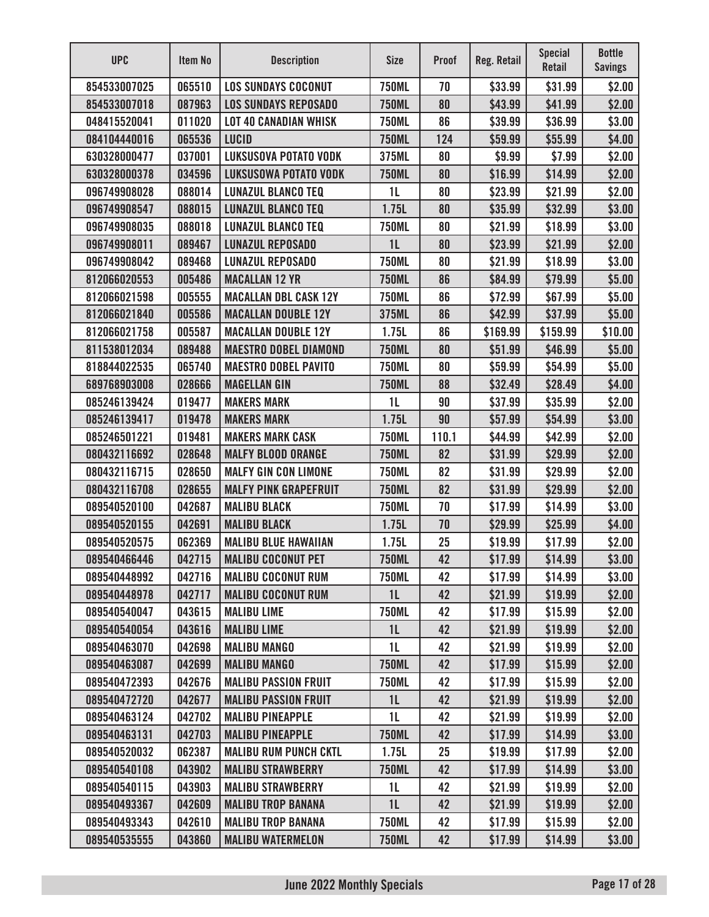| <b>UPC</b>   | Item No | <b>Description</b>           | <b>Size</b>    | <b>Proof</b> | Reg. Retail | <b>Special</b><br><b>Retail</b> | <b>Bottle</b><br><b>Savings</b> |
|--------------|---------|------------------------------|----------------|--------------|-------------|---------------------------------|---------------------------------|
| 854533007025 | 065510  | <b>LOS SUNDAYS COCONUT</b>   | <b>750ML</b>   | 70           | \$33.99     | \$31.99                         | \$2.00                          |
| 854533007018 | 087963  | <b>LOS SUNDAYS REPOSADO</b>  | <b>750ML</b>   | 80           | \$43.99     | \$41.99                         | \$2.00                          |
| 048415520041 | 011020  | <b>LOT 40 CANADIAN WHISK</b> | <b>750ML</b>   | 86           | \$39.99     | \$36.99                         | \$3.00                          |
| 084104440016 | 065536  | <b>LUCID</b>                 | <b>750ML</b>   | 124          | \$59.99     | \$55.99                         | \$4.00                          |
| 630328000477 | 037001  | <b>LUKSUSOVA POTATO VODK</b> | 375ML          | 80           | \$9.99      | \$7.99                          | \$2.00                          |
| 630328000378 | 034596  | <b>LUKSUSOWA POTATO VODK</b> | <b>750ML</b>   | 80           | \$16.99     | \$14.99                         | \$2.00                          |
| 096749908028 | 088014  | <b>LUNAZUL BLANCO TEQ</b>    | 1 <sub>L</sub> | 80           | \$23.99     | \$21.99                         | \$2.00                          |
| 096749908547 | 088015  | <b>LUNAZUL BLANCO TEQ</b>    | 1.75L          | 80           | \$35.99     | \$32.99                         | \$3.00                          |
| 096749908035 | 088018  | <b>LUNAZUL BLANCO TEQ</b>    | <b>750ML</b>   | 80           | \$21.99     | \$18.99                         | \$3.00                          |
| 096749908011 | 089467  | <b>LUNAZUL REPOSADO</b>      | 1 <sub>L</sub> | 80           | \$23.99     | \$21.99                         | \$2.00                          |
| 096749908042 | 089468  | <b>LUNAZUL REPOSADO</b>      | <b>750ML</b>   | 80           | \$21.99     | \$18.99                         | \$3.00                          |
| 812066020553 | 005486  | <b>MACALLAN 12 YR</b>        | <b>750ML</b>   | 86           | \$84.99     | \$79.99                         | \$5.00                          |
| 812066021598 | 005555  | <b>MACALLAN DBL CASK 12Y</b> | <b>750ML</b>   | 86           | \$72.99     | \$67.99                         | \$5.00                          |
| 812066021840 | 005586  | <b>MACALLAN DOUBLE 12Y</b>   | 375ML          | 86           | \$42.99     | \$37.99                         | \$5.00                          |
| 812066021758 | 005587  | <b>MACALLAN DOUBLE 12Y</b>   | 1.75L          | 86           | \$169.99    | \$159.99                        | \$10.00                         |
| 811538012034 | 089488  | <b>MAESTRO DOBEL DIAMOND</b> | <b>750ML</b>   | 80           | \$51.99     | \$46.99                         | \$5.00                          |
| 818844022535 | 065740  | <b>MAESTRO DOBEL PAVITO</b>  | <b>750ML</b>   | 80           | \$59.99     | \$54.99                         | \$5.00                          |
| 689768903008 | 028666  | <b>MAGELLAN GIN</b>          | <b>750ML</b>   | 88           | \$32.49     | \$28.49                         | \$4.00                          |
| 085246139424 | 019477  | <b>MAKERS MARK</b>           | 1 <sub>L</sub> | 90           | \$37.99     | \$35.99                         | \$2.00                          |
| 085246139417 | 019478  | <b>MAKERS MARK</b>           | 1.75L          | 90           | \$57.99     | \$54.99                         | \$3.00                          |
| 085246501221 | 019481  | <b>MAKERS MARK CASK</b>      | <b>750ML</b>   | 110.1        | \$44.99     | \$42.99                         | \$2.00                          |
| 080432116692 | 028648  | <b>MALFY BLOOD ORANGE</b>    | <b>750ML</b>   | 82           | \$31.99     | \$29.99                         | \$2.00                          |
| 080432116715 | 028650  | <b>MALFY GIN CON LIMONE</b>  | <b>750ML</b>   | 82           | \$31.99     | \$29.99                         | \$2.00                          |
| 080432116708 | 028655  | <b>MALFY PINK GRAPEFRUIT</b> | <b>750ML</b>   | 82           | \$31.99     | \$29.99                         | \$2.00                          |
| 089540520100 | 042687  | <b>MALIBU BLACK</b>          | <b>750ML</b>   | 70           | \$17.99     | \$14.99                         | \$3.00                          |
| 089540520155 | 042691  | <b>MALIBU BLACK</b>          | 1.75L          | 70           | \$29.99     | \$25.99                         | \$4.00                          |
| 089540520575 | 062369  | <b>MALIBU BLUE HAWAIIAN</b>  | 1.75L          | 25           | \$19.99     | \$17.99                         | \$2.00                          |
| 089540466446 | 042715  | <b>MALIBU COCONUT PET</b>    | <b>750ML</b>   | 42           | \$17.99     | \$14.99                         | \$3.00                          |
| 089540448992 | 042716  | <b>MALIBU COCONUT RUM</b>    | <b>750ML</b>   | 42           | \$17.99     | \$14.99                         | \$3.00                          |
| 089540448978 | 042717  | <b>MALIBU COCONUT RUM</b>    | 1L             | 42           | \$21.99     | \$19.99                         | \$2.00                          |
| 089540540047 | 043615  | <b>MALIBU LIME</b>           | <b>750ML</b>   | 42           | \$17.99     | \$15.99                         | \$2.00                          |
| 089540540054 | 043616  | <b>MALIBU LIME</b>           | 1 <sub>L</sub> | 42           | \$21.99     | \$19.99                         | \$2.00                          |
| 089540463070 | 042698  | <b>MALIBU MANGO</b>          | 1L             | 42           | \$21.99     | \$19.99                         | \$2.00                          |
| 089540463087 | 042699  | <b>MALIBU MANGO</b>          | <b>750ML</b>   | 42           | \$17.99     | \$15.99                         | \$2.00                          |
| 089540472393 | 042676  | <b>MALIBU PASSION FRUIT</b>  | <b>750ML</b>   | 42           | \$17.99     | \$15.99                         | \$2.00                          |
| 089540472720 | 042677  | <b>MALIBU PASSION FRUIT</b>  | 1 <sub>L</sub> | 42           | \$21.99     | \$19.99                         | \$2.00                          |
| 089540463124 | 042702  | <b>MALIBU PINEAPPLE</b>      | 1L             | 42           | \$21.99     | \$19.99                         | \$2.00                          |
| 089540463131 | 042703  | <b>MALIBU PINEAPPLE</b>      | <b>750ML</b>   | 42           | \$17.99     | \$14.99                         | \$3.00                          |
| 089540520032 | 062387  | <b>MALIBU RUM PUNCH CKTL</b> | 1.75L          | 25           | \$19.99     | \$17.99                         | \$2.00                          |
| 089540540108 | 043902  | <b>MALIBU STRAWBERRY</b>     | <b>750ML</b>   | 42           | \$17.99     | \$14.99                         | \$3.00                          |
| 089540540115 | 043903  | <b>MALIBU STRAWBERRY</b>     | 1L             | 42           | \$21.99     | \$19.99                         | \$2.00                          |
| 089540493367 | 042609  | <b>MALIBU TROP BANANA</b>    | 1 <sub>L</sub> | 42           | \$21.99     | \$19.99                         | \$2.00                          |
| 089540493343 | 042610  | <b>MALIBU TROP BANANA</b>    | <b>750ML</b>   | 42           | \$17.99     | \$15.99                         | \$2.00                          |
| 089540535555 | 043860  | <b>MALIBU WATERMELON</b>     | <b>750ML</b>   | 42           | \$17.99     | \$14.99                         | \$3.00                          |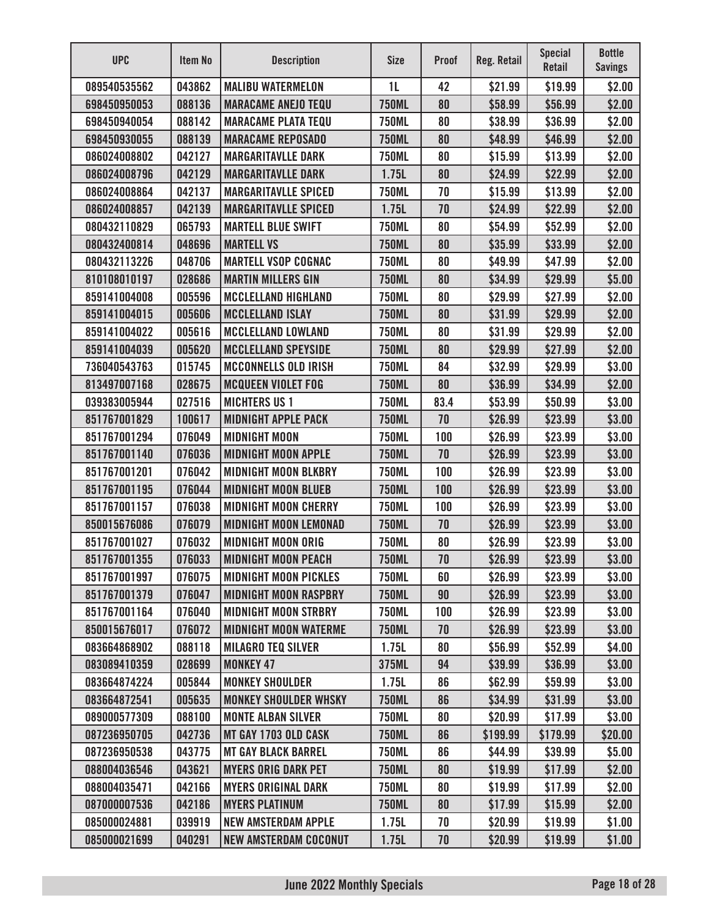| <b>UPC</b>   | Item No | <b>Description</b>           | <b>Size</b>    | <b>Proof</b> | <b>Reg. Retail</b> | <b>Special</b><br>Retail | <b>Bottle</b><br><b>Savings</b> |
|--------------|---------|------------------------------|----------------|--------------|--------------------|--------------------------|---------------------------------|
| 089540535562 | 043862  | <b>MALIBU WATERMELON</b>     | 1 <sub>L</sub> | 42           | \$21.99            | \$19.99                  | \$2.00                          |
| 698450950053 | 088136  | <b>MARACAME ANEJO TEQU</b>   | <b>750ML</b>   | 80           | \$58.99            | \$56.99                  | \$2.00                          |
| 698450940054 | 088142  | <b>MARACAME PLATA TEQU</b>   | <b>750ML</b>   | 80           | \$38.99            | \$36.99                  | \$2.00                          |
| 698450930055 | 088139  | <b>MARACAME REPOSADO</b>     | <b>750ML</b>   | 80           | \$48.99            | \$46.99                  | \$2.00                          |
| 086024008802 | 042127  | <b>MARGARITAVLLE DARK</b>    | <b>750ML</b>   | 80           | \$15.99            | \$13.99                  | \$2.00                          |
| 086024008796 | 042129  | <b>MARGARITAVLLE DARK</b>    | 1.75L          | 80           | \$24.99            | \$22.99                  | \$2.00                          |
| 086024008864 | 042137  | <b>MARGARITAVLLE SPICED</b>  | <b>750ML</b>   | 70           | \$15.99            | \$13.99                  | \$2.00                          |
| 086024008857 | 042139  | <b>MARGARITAVLLE SPICED</b>  | 1.75L          | 70           | \$24.99            | \$22.99                  | \$2.00                          |
| 080432110829 | 065793  | <b>MARTELL BLUE SWIFT</b>    | <b>750ML</b>   | 80           | \$54.99            | \$52.99                  | \$2.00                          |
| 080432400814 | 048696  | <b>MARTELL VS</b>            | <b>750ML</b>   | 80           | \$35.99            | \$33.99                  | \$2.00                          |
| 080432113226 | 048706  | <b>MARTELL VSOP COGNAC</b>   | <b>750ML</b>   | 80           | \$49.99            | \$47.99                  | \$2.00                          |
| 810108010197 | 028686  | <b>MARTIN MILLERS GIN</b>    | <b>750ML</b>   | 80           | \$34.99            | \$29.99                  | \$5.00                          |
| 859141004008 | 005596  | <b>MCCLELLAND HIGHLAND</b>   | <b>750ML</b>   | 80           | \$29.99            | \$27.99                  | \$2.00                          |
| 859141004015 | 005606  | <b>MCCLELLAND ISLAY</b>      | <b>750ML</b>   | 80           | \$31.99            | \$29.99                  | \$2.00                          |
| 859141004022 | 005616  | <b>MCCLELLAND LOWLAND</b>    | <b>750ML</b>   | 80           | \$31.99            | \$29.99                  | \$2.00                          |
| 859141004039 | 005620  | <b>MCCLELLAND SPEYSIDE</b>   | <b>750ML</b>   | 80           | \$29.99            | \$27.99                  | \$2.00                          |
| 736040543763 | 015745  | <b>MCCONNELLS OLD IRISH</b>  | <b>750ML</b>   | 84           | \$32.99            | \$29.99                  | \$3.00                          |
| 813497007168 | 028675  | <b>MCQUEEN VIOLET FOG</b>    | <b>750ML</b>   | 80           | \$36.99            | \$34.99                  | \$2.00                          |
| 039383005944 | 027516  | <b>MICHTERS US 1</b>         | <b>750ML</b>   | 83.4         | \$53.99            | \$50.99                  | \$3.00                          |
| 851767001829 | 100617  | <b>MIDNIGHT APPLE PACK</b>   | <b>750ML</b>   | 70           | \$26.99            | \$23.99                  | \$3.00                          |
| 851767001294 | 076049  | <b>MIDNIGHT MOON</b>         | <b>750ML</b>   | 100          | \$26.99            | \$23.99                  | \$3.00                          |
| 851767001140 | 076036  | <b>MIDNIGHT MOON APPLE</b>   | <b>750ML</b>   | 70           | \$26.99            | \$23.99                  | \$3.00                          |
| 851767001201 | 076042  | <b>MIDNIGHT MOON BLKBRY</b>  | <b>750ML</b>   | 100          | \$26.99            | \$23.99                  | \$3.00                          |
| 851767001195 | 076044  | <b>MIDNIGHT MOON BLUEB</b>   | <b>750ML</b>   | 100          | \$26.99            | \$23.99                  | \$3.00                          |
| 851767001157 | 076038  | <b>MIDNIGHT MOON CHERRY</b>  | <b>750ML</b>   | 100          | \$26.99            | \$23.99                  | \$3.00                          |
| 850015676086 | 076079  | <b>MIDNIGHT MOON LEMONAD</b> | <b>750ML</b>   | 70           | \$26.99            | \$23.99                  | \$3.00                          |
| 851767001027 | 076032  | <b>MIDNIGHT MOON ORIG</b>    | <b>750ML</b>   | 80           | \$26.99            | \$23.99                  | \$3.00                          |
| 851767001355 | 076033  | <b>MIDNIGHT MOON PEACH</b>   | <b>750ML</b>   | 70           | \$26.99            | \$23.99                  | \$3.00                          |
| 851767001997 | 076075  | <b>MIDNIGHT MOON PICKLES</b> | <b>750ML</b>   | 60           | \$26.99            | \$23.99                  | \$3.00                          |
| 851767001379 | 076047  | <b>MIDNIGHT MOON RASPBRY</b> | <b>750ML</b>   | 90           | \$26.99            | \$23.99                  | \$3.00                          |
| 851767001164 | 076040  | <b>MIDNIGHT MOON STRBRY</b>  | <b>750ML</b>   | 100          | \$26.99            | \$23.99                  | \$3.00                          |
| 850015676017 | 076072  | <b>MIDNIGHT MOON WATERME</b> | <b>750ML</b>   | 70           | \$26.99            | \$23.99                  | \$3.00                          |
| 083664868902 | 088118  | <b>MILAGRO TEQ SILVER</b>    | 1.75L          | 80           | \$56.99            | \$52.99                  | \$4.00                          |
| 083089410359 | 028699  | <b>MONKEY 47</b>             | 375ML          | 94           | \$39.99            | \$36.99                  | \$3.00                          |
| 083664874224 | 005844  | <b>MONKEY SHOULDER</b>       | 1.75L          | 86           | \$62.99            | \$59.99                  | \$3.00                          |
| 083664872541 | 005635  | <b>MONKEY SHOULDER WHSKY</b> | <b>750ML</b>   | 86           | \$34.99            | \$31.99                  | \$3.00                          |
| 089000577309 | 088100  | <b>MONTE ALBAN SILVER</b>    | <b>750ML</b>   | 80           | \$20.99            | \$17.99                  | \$3.00                          |
| 087236950705 | 042736  | MT GAY 1703 OLD CASK         | <b>750ML</b>   | 86           | \$199.99           | \$179.99                 | \$20.00                         |
| 087236950538 | 043775  | <b>MT GAY BLACK BARREL</b>   | <b>750ML</b>   | 86           | \$44.99            | \$39.99                  | \$5.00                          |
| 088004036546 | 043621  | <b>MYERS ORIG DARK PET</b>   | <b>750ML</b>   | 80           | \$19.99            | \$17.99                  | \$2.00                          |
| 088004035471 | 042166  | <b>MYERS ORIGINAL DARK</b>   | <b>750ML</b>   | 80           | \$19.99            | \$17.99                  | \$2.00                          |
| 087000007536 | 042186  | <b>MYERS PLATINUM</b>        | <b>750ML</b>   | 80           | \$17.99            | \$15.99                  | \$2.00                          |
| 085000024881 | 039919  | <b>NEW AMSTERDAM APPLE</b>   | 1.75L          | 70           | \$20.99            | \$19.99                  | \$1.00                          |
| 085000021699 | 040291  | <b>NEW AMSTERDAM COCONUT</b> | 1.75L          | 70           | \$20.99            | \$19.99                  | \$1.00                          |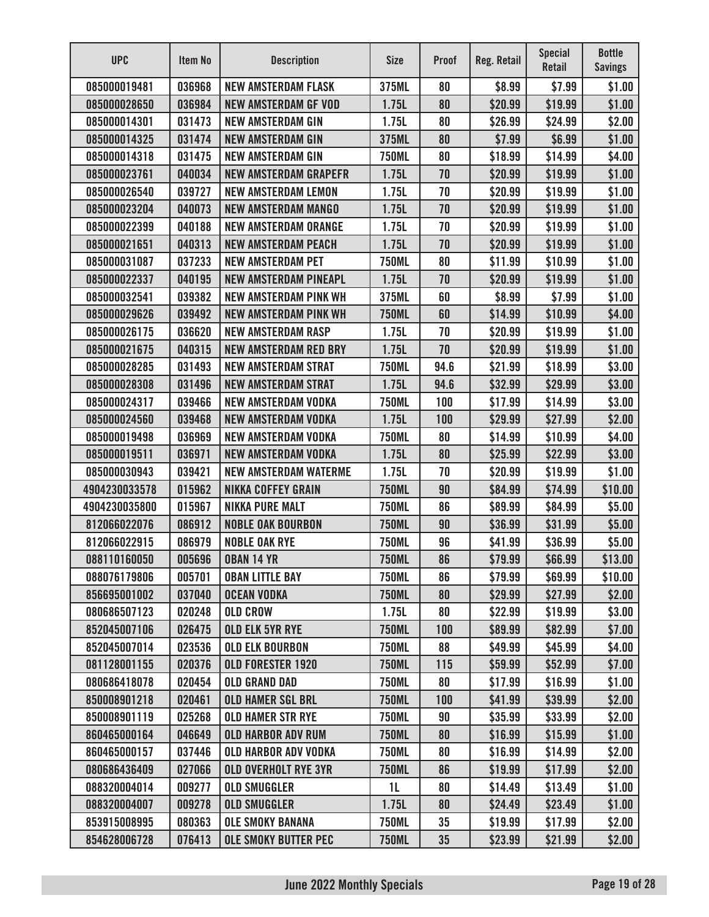| <b>UPC</b>    | Item No | <b>Description</b>           | <b>Size</b>    | <b>Proof</b> | Reg. Retail | <b>Special</b><br>Retail | <b>Bottle</b><br><b>Savings</b> |
|---------------|---------|------------------------------|----------------|--------------|-------------|--------------------------|---------------------------------|
| 085000019481  | 036968  | <b>NEW AMSTERDAM FLASK</b>   | 375ML          | 80           | \$8.99      | \$7.99                   | \$1.00                          |
| 085000028650  | 036984  | <b>NEW AMSTERDAM GF VOD</b>  | 1.75L          | 80           | \$20.99     | \$19.99                  | \$1.00                          |
| 085000014301  | 031473  | <b>NEW AMSTERDAM GIN</b>     | 1.75L          | 80           | \$26.99     | \$24.99                  | \$2.00                          |
| 085000014325  | 031474  | <b>NEW AMSTERDAM GIN</b>     | 375ML          | 80           | \$7.99      | \$6.99                   | \$1.00                          |
| 085000014318  | 031475  | <b>NEW AMSTERDAM GIN</b>     | <b>750ML</b>   | 80           | \$18.99     | \$14.99                  | \$4.00                          |
| 085000023761  | 040034  | <b>NEW AMSTERDAM GRAPEFR</b> | 1.75L          | 70           | \$20.99     | \$19.99                  | \$1.00                          |
| 085000026540  | 039727  | <b>NEW AMSTERDAM LEMON</b>   | 1.75L          | 70           | \$20.99     | \$19.99                  | \$1.00                          |
| 085000023204  | 040073  | <b>NEW AMSTERDAM MANGO</b>   | 1.75L          | 70           | \$20.99     | \$19.99                  | \$1.00                          |
| 085000022399  | 040188  | <b>NEW AMSTERDAM ORANGE</b>  | 1.75L          | 70           | \$20.99     | \$19.99                  | \$1.00                          |
| 085000021651  | 040313  | <b>NEW AMSTERDAM PEACH</b>   | 1.75L          | 70           | \$20.99     | \$19.99                  | \$1.00                          |
| 085000031087  | 037233  | <b>NEW AMSTERDAM PET</b>     | <b>750ML</b>   | 80           | \$11.99     | \$10.99                  | \$1.00                          |
| 085000022337  | 040195  | <b>NEW AMSTERDAM PINEAPL</b> | 1.75L          | 70           | \$20.99     | \$19.99                  | \$1.00                          |
| 085000032541  | 039382  | <b>NEW AMSTERDAM PINK WH</b> | 375ML          | 60           | \$8.99      | \$7.99                   | \$1.00                          |
| 085000029626  | 039492  | <b>NEW AMSTERDAM PINK WH</b> | <b>750ML</b>   | 60           | \$14.99     | \$10.99                  | \$4.00                          |
| 085000026175  | 036620  | <b>NEW AMSTERDAM RASP</b>    | 1.75L          | 70           | \$20.99     | \$19.99                  | \$1.00                          |
| 085000021675  | 040315  | <b>NEW AMSTERDAM RED BRY</b> | 1.75L          | 70           | \$20.99     | \$19.99                  | \$1.00                          |
| 085000028285  | 031493  | <b>NEW AMSTERDAM STRAT</b>   | <b>750ML</b>   | 94.6         | \$21.99     | \$18.99                  | \$3.00                          |
| 085000028308  | 031496  | <b>NEW AMSTERDAM STRAT</b>   | 1.75L          | 94.6         | \$32.99     | \$29.99                  | \$3.00                          |
| 085000024317  | 039466  | <b>NEW AMSTERDAM VODKA</b>   | <b>750ML</b>   | 100          | \$17.99     | \$14.99                  | \$3.00                          |
| 085000024560  | 039468  | <b>NEW AMSTERDAM VODKA</b>   | 1.75L          | 100          | \$29.99     | \$27.99                  | \$2.00                          |
| 085000019498  | 036969  | <b>NEW AMSTERDAM VODKA</b>   | <b>750ML</b>   | 80           | \$14.99     | \$10.99                  | \$4.00                          |
| 085000019511  | 036971  | <b>NEW AMSTERDAM VODKA</b>   | 1.75L          | 80           | \$25.99     | \$22.99                  | \$3.00                          |
| 085000030943  | 039421  | <b>NEW AMSTERDAM WATERME</b> | 1.75L          | 70           | \$20.99     | \$19.99                  | \$1.00                          |
| 4904230033578 | 015962  | <b>NIKKA COFFEY GRAIN</b>    | <b>750ML</b>   | 90           | \$84.99     | \$74.99                  | \$10.00                         |
| 4904230035800 | 015967  | <b>NIKKA PURE MALT</b>       | <b>750ML</b>   | 86           | \$89.99     | \$84.99                  | \$5.00                          |
| 812066022076  | 086912  | <b>NOBLE OAK BOURBON</b>     | <b>750ML</b>   | 90           | \$36.99     | \$31.99                  | \$5.00                          |
| 812066022915  | 086979  | <b>NOBLE OAK RYE</b>         | <b>750ML</b>   | 96           | \$41.99     | \$36.99                  | \$5.00                          |
| 088110160050  | 005696  | <b>OBAN 14 YR</b>            | <b>750ML</b>   | 86           | \$79.99     | \$66.99                  | \$13.00                         |
| 088076179806  | 005701  | <b>OBAN LITTLE BAY</b>       | <b>750ML</b>   | 86           | \$79.99     | \$69.99                  | \$10.00                         |
| 856695001002  | 037040  | <b>OCEAN VODKA</b>           | <b>750ML</b>   | 80           | \$29.99     | \$27.99                  | \$2.00                          |
| 080686507123  | 020248  | <b>OLD CROW</b>              | 1.75L          | 80           | \$22.99     | \$19.99                  | \$3.00                          |
| 852045007106  | 026475  | <b>OLD ELK 5YR RYE</b>       | <b>750ML</b>   | 100          | \$89.99     | \$82.99                  | \$7.00                          |
| 852045007014  | 023536  | <b>OLD ELK BOURBON</b>       | <b>750ML</b>   | 88           | \$49.99     | \$45.99                  | \$4.00                          |
| 081128001155  | 020376  | OLD FORESTER 1920            | <b>750ML</b>   | 115          | \$59.99     | \$52.99                  | \$7.00                          |
| 080686418078  | 020454  | <b>OLD GRAND DAD</b>         | <b>750ML</b>   | 80           | \$17.99     | \$16.99                  | \$1.00                          |
| 850008901218  | 020461  | <b>OLD HAMER SGL BRL</b>     | <b>750ML</b>   | 100          | \$41.99     | \$39.99                  | \$2.00                          |
| 850008901119  | 025268  | <b>OLD HAMER STR RYE</b>     | <b>750ML</b>   | 90           | \$35.99     | \$33.99                  | \$2.00                          |
| 860465000164  | 046649  | <b>OLD HARBOR ADV RUM</b>    | <b>750ML</b>   | 80           | \$16.99     | \$15.99                  | \$1.00                          |
| 860465000157  | 037446  | <b>OLD HARBOR ADV VODKA</b>  | <b>750ML</b>   | 80           | \$16.99     | \$14.99                  | \$2.00                          |
| 080686436409  | 027066  | <b>OLD OVERHOLT RYE 3YR</b>  | <b>750ML</b>   | 86           | \$19.99     | \$17.99                  | \$2.00                          |
| 088320004014  | 009277  | <b>OLD SMUGGLER</b>          | 1 <sub>L</sub> | 80           | \$14.49     | \$13.49                  | \$1.00                          |
| 088320004007  | 009278  | <b>OLD SMUGGLER</b>          | 1.75L          | 80           | \$24.49     | \$23.49                  | \$1.00                          |
| 853915008995  | 080363  | <b>OLE SMOKY BANANA</b>      | <b>750ML</b>   | 35           | \$19.99     | \$17.99                  | \$2.00                          |
| 854628006728  | 076413  | <b>OLE SMOKY BUTTER PEC</b>  | <b>750ML</b>   | 35           | \$23.99     | \$21.99                  | \$2.00                          |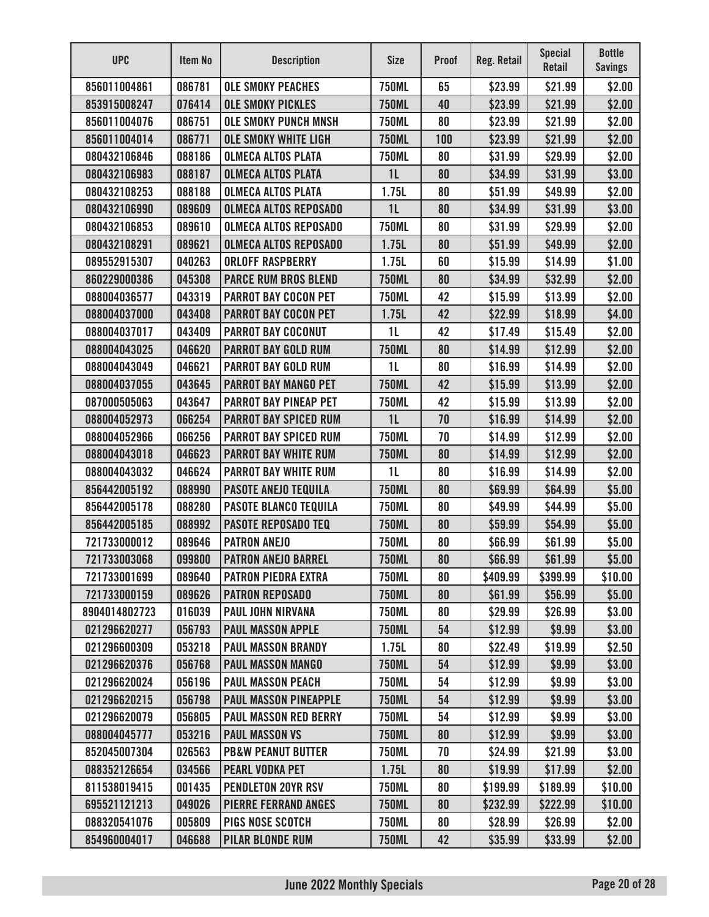| <b>UPC</b>    | Item No | <b>Description</b>            | <b>Size</b>    | <b>Proof</b> | <b>Reg. Retail</b> | <b>Special</b><br><b>Retail</b> | <b>Bottle</b><br><b>Savings</b> |
|---------------|---------|-------------------------------|----------------|--------------|--------------------|---------------------------------|---------------------------------|
| 856011004861  | 086781  | <b>OLE SMOKY PEACHES</b>      | <b>750ML</b>   | 65           | \$23.99            | \$21.99                         | \$2.00                          |
| 853915008247  | 076414  | <b>OLE SMOKY PICKLES</b>      | <b>750ML</b>   | 40           | \$23.99            | \$21.99                         | \$2.00                          |
| 856011004076  | 086751  | <b>OLE SMOKY PUNCH MNSH</b>   | <b>750ML</b>   | 80           | \$23.99            | \$21.99                         | \$2.00                          |
| 856011004014  | 086771  | <b>OLE SMOKY WHITE LIGH</b>   | <b>750ML</b>   | 100          | \$23.99            | \$21.99                         | \$2.00                          |
| 080432106846  | 088186  | <b>OLMECA ALTOS PLATA</b>     | <b>750ML</b>   | 80           | \$31.99            | \$29.99                         | \$2.00                          |
| 080432106983  | 088187  | <b>OLMECA ALTOS PLATA</b>     | 1 <sub>L</sub> | 80           | \$34.99            | \$31.99                         | \$3.00                          |
| 080432108253  | 088188  | <b>OLMECA ALTOS PLATA</b>     | 1.75L          | 80           | \$51.99            | \$49.99                         | \$2.00                          |
| 080432106990  | 089609  | <b>OLMECA ALTOS REPOSADO</b>  | 1 <sub>L</sub> | 80           | \$34.99            | \$31.99                         | \$3.00                          |
| 080432106853  | 089610  | <b>OLMECA ALTOS REPOSADO</b>  | <b>750ML</b>   | 80           | \$31.99            | \$29.99                         | \$2.00                          |
| 080432108291  | 089621  | <b>OLMECA ALTOS REPOSADO</b>  | 1.75L          | 80           | \$51.99            | \$49.99                         | \$2.00                          |
| 089552915307  | 040263  | <b>ORLOFF RASPBERRY</b>       | 1.75L          | 60           | \$15.99            | \$14.99                         | \$1.00                          |
| 860229000386  | 045308  | <b>PARCE RUM BROS BLEND</b>   | <b>750ML</b>   | 80           | \$34.99            | \$32.99                         | \$2.00                          |
| 088004036577  | 043319  | <b>PARROT BAY COCON PET</b>   | <b>750ML</b>   | 42           | \$15.99            | \$13.99                         | \$2.00                          |
| 088004037000  | 043408  | <b>PARROT BAY COCON PET</b>   | 1.75L          | 42           | \$22.99            | \$18.99                         | \$4.00                          |
| 088004037017  | 043409  | <b>PARROT BAY COCONUT</b>     | 1 <sub>L</sub> | 42           | \$17.49            | \$15.49                         | \$2.00                          |
| 088004043025  | 046620  | <b>PARROT BAY GOLD RUM</b>    | <b>750ML</b>   | 80           | \$14.99            | \$12.99                         | \$2.00                          |
| 088004043049  | 046621  | <b>PARROT BAY GOLD RUM</b>    | 1 <sub>L</sub> | 80           | \$16.99            | \$14.99                         | \$2.00                          |
| 088004037055  | 043645  | <b>PARROT BAY MANGO PET</b>   | <b>750ML</b>   | 42           | \$15.99            | \$13.99                         | \$2.00                          |
| 087000505063  | 043647  | <b>PARROT BAY PINEAP PET</b>  | <b>750ML</b>   | 42           | \$15.99            | \$13.99                         | \$2.00                          |
| 088004052973  | 066254  | <b>PARROT BAY SPICED RUM</b>  | 1L             | 70           | \$16.99            | \$14.99                         | \$2.00                          |
| 088004052966  | 066256  | <b>PARROT BAY SPICED RUM</b>  | <b>750ML</b>   | 70           | \$14.99            | \$12.99                         | \$2.00                          |
| 088004043018  | 046623  | <b>PARROT BAY WHITE RUM</b>   | <b>750ML</b>   | 80           | \$14.99            | \$12.99                         | \$2.00                          |
| 088004043032  | 046624  | <b>PARROT BAY WHITE RUM</b>   | 1 <sub>L</sub> | 80           | \$16.99            | \$14.99                         | \$2.00                          |
| 856442005192  | 088990  | <b>PASOTE ANEJO TEQUILA</b>   | <b>750ML</b>   | 80           | \$69.99            | \$64.99                         | \$5.00                          |
| 856442005178  | 088280  | <b>PASOTE BLANCO TEQUILA</b>  | <b>750ML</b>   | 80           | \$49.99            | \$44.99                         | \$5.00                          |
| 856442005185  | 088992  | <b>PASOTE REPOSADO TEQ</b>    | <b>750ML</b>   | 80           | \$59.99            | \$54.99                         | \$5.00                          |
| 721733000012  | 089646  | <b>PATRON ANEJO</b>           | <b>750ML</b>   | 80           | \$66.99            | \$61.99                         | \$5.00                          |
| 721733003068  | 099800  | <b>PATRON ANEJO BARREL</b>    | <b>750ML</b>   | 80           | \$66.99            | \$61.99                         | \$5.00                          |
| 721733001699  | 089640  | <b>PATRON PIEDRA EXTRA</b>    | <b>750ML</b>   | 80           | \$409.99           | \$399.99                        | \$10.00                         |
| 721733000159  | 089626  | <b>PATRON REPOSADO</b>        | <b>750ML</b>   | 80           | \$61.99            | \$56.99                         | \$5.00                          |
| 8904014802723 | 016039  | <b>PAUL JOHN NIRVANA</b>      | <b>750ML</b>   | 80           | \$29.99            | \$26.99                         | \$3.00                          |
| 021296620277  | 056793  | <b>PAUL MASSON APPLE</b>      | <b>750ML</b>   | 54           | \$12.99            | \$9.99                          | \$3.00                          |
| 021296600309  | 053218  | <b>PAUL MASSON BRANDY</b>     | 1.75L          | 80           | \$22.49            | \$19.99                         | \$2.50                          |
| 021296620376  | 056768  | <b>PAUL MASSON MANGO</b>      | <b>750ML</b>   | 54           | \$12.99            | \$9.99                          | \$3.00                          |
| 021296620024  | 056196  | <b>PAUL MASSON PEACH</b>      | <b>750ML</b>   | 54           | \$12.99            | \$9.99                          | \$3.00                          |
| 021296620215  | 056798  | <b>PAUL MASSON PINEAPPLE</b>  | <b>750ML</b>   | 54           | \$12.99            | \$9.99                          | \$3.00                          |
| 021296620079  | 056805  | <b>PAUL MASSON RED BERRY</b>  | <b>750ML</b>   | 54           | \$12.99            | \$9.99                          | \$3.00                          |
| 088004045777  | 053216  | <b>PAUL MASSON VS</b>         | <b>750ML</b>   | 80           | \$12.99            | \$9.99                          | \$3.00                          |
| 852045007304  | 026563  | <b>PB&amp;W PEANUT BUTTER</b> | <b>750ML</b>   | 70           | \$24.99            | \$21.99                         | \$3.00                          |
| 088352126654  | 034566  | <b>PEARL VODKA PET</b>        | 1.75L          | 80           | \$19.99            | \$17.99                         | \$2.00                          |
| 811538019415  | 001435  | <b>PENDLETON 20YR RSV</b>     | <b>750ML</b>   | 80           | \$199.99           | \$189.99                        | \$10.00                         |
| 695521121213  | 049026  | <b>PIERRE FERRAND ANGES</b>   | <b>750ML</b>   | 80           | \$232.99           | \$222.99                        | \$10.00                         |
| 088320541076  | 005809  | <b>PIGS NOSE SCOTCH</b>       | <b>750ML</b>   | 80           | \$28.99            | \$26.99                         | \$2.00                          |
| 854960004017  | 046688  | <b>PILAR BLONDE RUM</b>       | <b>750ML</b>   | 42           | \$35.99            | \$33.99                         | \$2.00                          |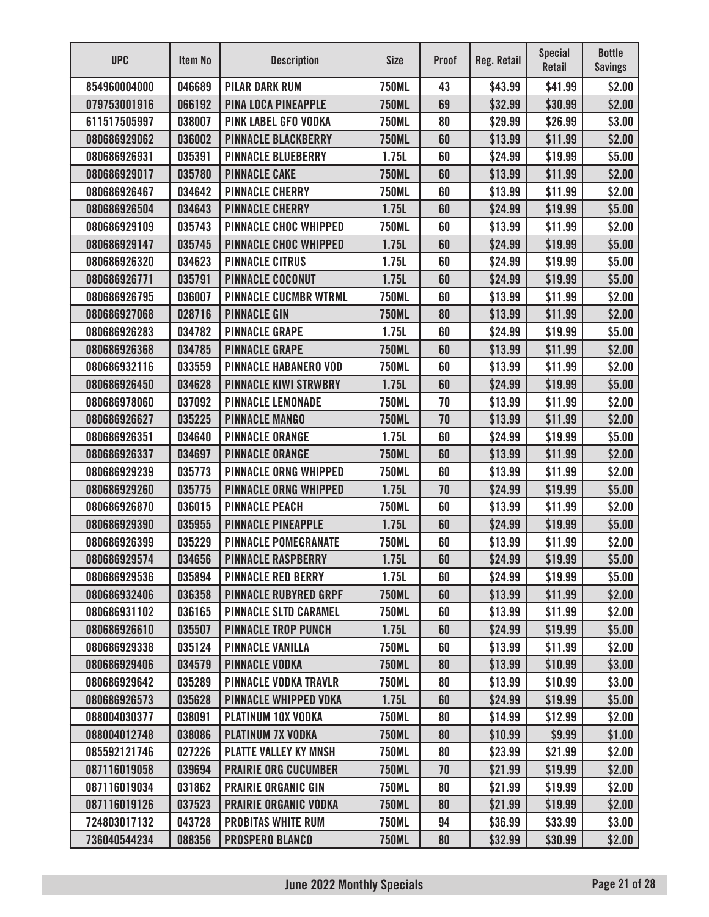| <b>UPC</b>   | Item No | <b>Description</b>           | <b>Size</b>  | <b>Proof</b> | Reg. Retail | <b>Special</b><br><b>Retail</b> | <b>Bottle</b><br><b>Savings</b> |
|--------------|---------|------------------------------|--------------|--------------|-------------|---------------------------------|---------------------------------|
| 854960004000 | 046689  | <b>PILAR DARK RUM</b>        | <b>750ML</b> | 43           | \$43.99     | \$41.99                         | \$2.00                          |
| 079753001916 | 066192  | <b>PINA LOCA PINEAPPLE</b>   | <b>750ML</b> | 69           | \$32.99     | \$30.99                         | \$2.00                          |
| 611517505997 | 038007  | <b>PINK LABEL GFO VODKA</b>  | <b>750ML</b> | 80           | \$29.99     | \$26.99                         | \$3.00                          |
| 080686929062 | 036002  | <b>PINNACLE BLACKBERRY</b>   | <b>750ML</b> | 60           | \$13.99     | \$11.99                         | \$2.00                          |
| 080686926931 | 035391  | <b>PINNACLE BLUEBERRY</b>    | 1.75L        | 60           | \$24.99     | \$19.99                         | \$5.00                          |
| 080686929017 | 035780  | <b>PINNACLE CAKE</b>         | <b>750ML</b> | 60           | \$13.99     | \$11.99                         | \$2.00                          |
| 080686926467 | 034642  | <b>PINNACLE CHERRY</b>       | <b>750ML</b> | 60           | \$13.99     | \$11.99                         | \$2.00                          |
| 080686926504 | 034643  | <b>PINNACLE CHERRY</b>       | 1.75L        | 60           | \$24.99     | \$19.99                         | \$5.00                          |
| 080686929109 | 035743  | <b>PINNACLE CHOC WHIPPED</b> | <b>750ML</b> | 60           | \$13.99     | \$11.99                         | \$2.00                          |
| 080686929147 | 035745  | <b>PINNACLE CHOC WHIPPED</b> | 1.75L        | 60           | \$24.99     | \$19.99                         | \$5.00                          |
| 080686926320 | 034623  | <b>PINNACLE CITRUS</b>       | 1.75L        | 60           | \$24.99     | \$19.99                         | \$5.00                          |
| 080686926771 | 035791  | <b>PINNACLE COCONUT</b>      | 1.75L        | 60           | \$24.99     | \$19.99                         | \$5.00                          |
| 080686926795 | 036007  | <b>PINNACLE CUCMBR WTRML</b> | <b>750ML</b> | 60           | \$13.99     | \$11.99                         | \$2.00                          |
| 080686927068 | 028716  | <b>PINNACLE GIN</b>          | <b>750ML</b> | 80           | \$13.99     | \$11.99                         | \$2.00                          |
| 080686926283 | 034782  | <b>PINNACLE GRAPE</b>        | 1.75L        | 60           | \$24.99     | \$19.99                         | \$5.00                          |
| 080686926368 | 034785  | <b>PINNACLE GRAPE</b>        | <b>750ML</b> | 60           | \$13.99     | \$11.99                         | \$2.00                          |
| 080686932116 | 033559  | <b>PINNACLE HABANERO VOD</b> | <b>750ML</b> | 60           | \$13.99     | \$11.99                         | \$2.00                          |
| 080686926450 | 034628  | <b>PINNACLE KIWI STRWBRY</b> | 1.75L        | 60           | \$24.99     | \$19.99                         | \$5.00                          |
| 080686978060 | 037092  | <b>PINNACLE LEMONADE</b>     | <b>750ML</b> | 70           | \$13.99     | \$11.99                         | \$2.00                          |
| 080686926627 | 035225  | <b>PINNACLE MANGO</b>        | <b>750ML</b> | 70           | \$13.99     | \$11.99                         | \$2.00                          |
| 080686926351 | 034640  | <b>PINNACLE ORANGE</b>       | 1.75L        | 60           | \$24.99     | \$19.99                         | \$5.00                          |
| 080686926337 | 034697  | <b>PINNACLE ORANGE</b>       | <b>750ML</b> | 60           | \$13.99     | \$11.99                         | \$2.00                          |
| 080686929239 | 035773  | <b>PINNACLE ORNG WHIPPED</b> | <b>750ML</b> | 60           | \$13.99     | \$11.99                         | \$2.00                          |
| 080686929260 | 035775  | <b>PINNACLE ORNG WHIPPED</b> | 1.75L        | 70           | \$24.99     | \$19.99                         | \$5.00                          |
| 080686926870 | 036015  | <b>PINNACLE PEACH</b>        | <b>750ML</b> | 60           | \$13.99     | \$11.99                         | \$2.00                          |
| 080686929390 | 035955  | <b>PINNACLE PINEAPPLE</b>    | 1.75L        | 60           | \$24.99     | \$19.99                         | \$5.00                          |
| 080686926399 | 035229  | <b>PINNACLE POMEGRANATE</b>  | <b>750ML</b> | 60           | \$13.99     | \$11.99                         | \$2.00                          |
| 080686929574 | 034656  | <b>PINNACLE RASPBERRY</b>    | 1.75L        | 60           | \$24.99     | \$19.99                         | \$5.00                          |
| 080686929536 | 035894  | <b>PINNACLE RED BERRY</b>    | 1.75L        | 60           | \$24.99     | \$19.99                         | \$5.00                          |
| 080686932406 | 036358  | <b>PINNACLE RUBYRED GRPF</b> | <b>750ML</b> | 60           | \$13.99     | \$11.99                         | \$2.00                          |
| 080686931102 | 036165  | <b>PINNACLE SLTD CARAMEL</b> | <b>750ML</b> | 60           | \$13.99     | \$11.99                         | \$2.00                          |
| 080686926610 | 035507  | <b>PINNACLE TROP PUNCH</b>   | 1.75L        | 60           | \$24.99     | \$19.99                         | \$5.00                          |
| 080686929338 | 035124  | <b>PINNACLE VANILLA</b>      | <b>750ML</b> | 60           | \$13.99     | \$11.99                         | \$2.00                          |
| 080686929406 | 034579  | <b>PINNACLE VODKA</b>        | <b>750ML</b> | 80           | \$13.99     | \$10.99                         | \$3.00                          |
| 080686929642 | 035289  | <b>PINNACLE VODKA TRAVLR</b> | <b>750ML</b> | 80           | \$13.99     | \$10.99                         | \$3.00                          |
| 080686926573 | 035628  | <b>PINNACLE WHIPPED VDKA</b> | 1.75L        | 60           | \$24.99     | \$19.99                         | \$5.00                          |
| 088004030377 | 038091  | <b>PLATINUM 10X VODKA</b>    | <b>750ML</b> | 80           | \$14.99     | \$12.99                         | \$2.00                          |
| 088004012748 | 038086  | <b>PLATINUM 7X VODKA</b>     | <b>750ML</b> | 80           | \$10.99     | \$9.99                          | \$1.00                          |
| 085592121746 | 027226  | <b>PLATTE VALLEY KY MNSH</b> | <b>750ML</b> | 80           | \$23.99     | \$21.99                         | \$2.00                          |
| 087116019058 | 039694  | <b>PRAIRIE ORG CUCUMBER</b>  | <b>750ML</b> | 70           | \$21.99     | \$19.99                         | \$2.00                          |
| 087116019034 | 031862  | <b>PRAIRIE ORGANIC GIN</b>   | <b>750ML</b> | 80           | \$21.99     | \$19.99                         | \$2.00                          |
| 087116019126 | 037523  | <b>PRAIRIE ORGANIC VODKA</b> | <b>750ML</b> | 80           | \$21.99     | \$19.99                         | \$2.00                          |
| 724803017132 | 043728  | <b>PROBITAS WHITE RUM</b>    | <b>750ML</b> | 94           | \$36.99     | \$33.99                         | \$3.00                          |
| 736040544234 | 088356  | <b>PROSPERO BLANCO</b>       | <b>750ML</b> | 80           | \$32.99     | \$30.99                         | \$2.00                          |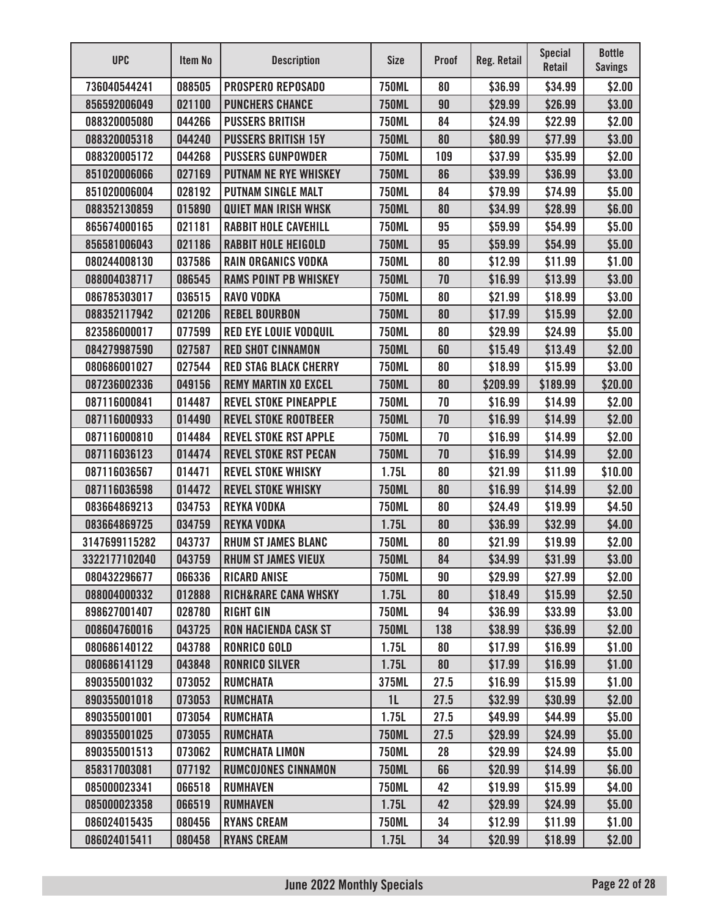| <b>UPC</b>    | Item No | <b>Description</b>              | <b>Size</b>    | <b>Proof</b> | <b>Reg. Retail</b> | <b>Special</b><br>Retail | <b>Bottle</b><br><b>Savings</b> |
|---------------|---------|---------------------------------|----------------|--------------|--------------------|--------------------------|---------------------------------|
| 736040544241  | 088505  | <b>PROSPERO REPOSADO</b>        | <b>750ML</b>   | 80           | \$36.99            | \$34.99                  | \$2.00                          |
| 856592006049  | 021100  | <b>PUNCHERS CHANCE</b>          | <b>750ML</b>   | 90           | \$29.99            | \$26.99                  | \$3.00                          |
| 088320005080  | 044266  | <b>PUSSERS BRITISH</b>          | <b>750ML</b>   | 84           | \$24.99            | \$22.99                  | \$2.00                          |
| 088320005318  | 044240  | <b>PUSSERS BRITISH 15Y</b>      | <b>750ML</b>   | 80           | \$80.99            | \$77.99                  | \$3.00                          |
| 088320005172  | 044268  | <b>PUSSERS GUNPOWDER</b>        | <b>750ML</b>   | 109          | \$37.99            | \$35.99                  | \$2.00                          |
| 851020006066  | 027169  | <b>PUTNAM NE RYE WHISKEY</b>    | <b>750ML</b>   | 86           | \$39.99            | \$36.99                  | \$3.00                          |
| 851020006004  | 028192  | <b>PUTNAM SINGLE MALT</b>       | <b>750ML</b>   | 84           | \$79.99            | \$74.99                  | \$5.00                          |
| 088352130859  | 015890  | <b>QUIET MAN IRISH WHSK</b>     | <b>750ML</b>   | 80           | \$34.99            | \$28.99                  | \$6.00                          |
| 865674000165  | 021181  | <b>RABBIT HOLE CAVEHILL</b>     | <b>750ML</b>   | 95           | \$59.99            | \$54.99                  | \$5.00                          |
| 856581006043  | 021186  | <b>RABBIT HOLE HEIGOLD</b>      | <b>750ML</b>   | 95           | \$59.99            | \$54.99                  | \$5.00                          |
| 080244008130  | 037586  | <b>RAIN ORGANICS VODKA</b>      | <b>750ML</b>   | 80           | \$12.99            | \$11.99                  | \$1.00                          |
| 088004038717  | 086545  | <b>RAMS POINT PB WHISKEY</b>    | <b>750ML</b>   | 70           | \$16.99            | \$13.99                  | \$3.00                          |
| 086785303017  | 036515  | <b>RAVO VODKA</b>               | <b>750ML</b>   | 80           | \$21.99            | \$18.99                  | \$3.00                          |
| 088352117942  | 021206  | <b>REBEL BOURBON</b>            | <b>750ML</b>   | 80           | \$17.99            | \$15.99                  | \$2.00                          |
| 823586000017  | 077599  | <b>RED EYE LOUIE VODQUIL</b>    | <b>750ML</b>   | 80           | \$29.99            | \$24.99                  | \$5.00                          |
| 084279987590  | 027587  | <b>RED SHOT CINNAMON</b>        | <b>750ML</b>   | 60           | \$15.49            | \$13.49                  | \$2.00                          |
| 080686001027  | 027544  | <b>RED STAG BLACK CHERRY</b>    | <b>750ML</b>   | 80           | \$18.99            | \$15.99                  | \$3.00                          |
| 087236002336  | 049156  | <b>REMY MARTIN XO EXCEL</b>     | <b>750ML</b>   | 80           | \$209.99           | \$189.99                 | \$20.00                         |
| 087116000841  | 014487  | <b>REVEL STOKE PINEAPPLE</b>    | <b>750ML</b>   | 70           | \$16.99            | \$14.99                  | \$2.00                          |
| 087116000933  | 014490  | <b>REVEL STOKE ROOTBEER</b>     | <b>750ML</b>   | 70           | \$16.99            | \$14.99                  | \$2.00                          |
| 087116000810  | 014484  | <b>REVEL STOKE RST APPLE</b>    | <b>750ML</b>   | 70           | \$16.99            | \$14.99                  | \$2.00                          |
| 087116036123  | 014474  | <b>REVEL STOKE RST PECAN</b>    | <b>750ML</b>   | 70           | \$16.99            | \$14.99                  | \$2.00                          |
| 087116036567  | 014471  | <b>REVEL STOKE WHISKY</b>       | 1.75L          | 80           | \$21.99            | \$11.99                  | \$10.00                         |
| 087116036598  | 014472  | <b>REVEL STOKE WHISKY</b>       | <b>750ML</b>   | 80           | \$16.99            | \$14.99                  | \$2.00                          |
| 083664869213  | 034753  | <b>REYKA VODKA</b>              | <b>750ML</b>   | 80           | \$24.49            | \$19.99                  | \$4.50                          |
| 083664869725  | 034759  | <b>REYKA VODKA</b>              | 1.75L          | 80           | \$36.99            | \$32.99                  | \$4.00                          |
| 3147699115282 | 043737  | <b>RHUM ST JAMES BLANC</b>      | <b>750ML</b>   | 80           | \$21.99            | \$19.99                  | \$2.00                          |
| 3322177102040 | 043759  | <b>RHUM ST JAMES VIEUX</b>      | <b>750ML</b>   | 84           | \$34.99            | \$31.99                  | \$3.00                          |
| 080432296677  | 066336  | <b>RICARD ANISE</b>             | <b>750ML</b>   | 90           | \$29.99            | \$27.99                  | \$2.00                          |
| 088004000332  | 012888  | <b>RICH&amp;RARE CANA WHSKY</b> | 1.75L          | 80           | \$18.49            | \$15.99                  | \$2.50                          |
| 898627001407  | 028780  | <b>RIGHT GIN</b>                | <b>750ML</b>   | 94           | \$36.99            | \$33.99                  | \$3.00                          |
| 008604760016  | 043725  | <b>RON HACIENDA CASK ST</b>     | <b>750ML</b>   | 138          | \$38.99            | \$36.99                  | \$2.00                          |
| 080686140122  | 043788  | <b>RONRICO GOLD</b>             | 1.75L          | 80           | \$17.99            | \$16.99                  | \$1.00                          |
| 080686141129  | 043848  | <b>RONRICO SILVER</b>           | 1.75L          | 80           | \$17.99            | \$16.99                  | \$1.00                          |
| 890355001032  | 073052  | <b>RUMCHATA</b>                 | 375ML          | 27.5         | \$16.99            | \$15.99                  | \$1.00                          |
| 890355001018  | 073053  | <b>RUMCHATA</b>                 | 1 <sub>L</sub> | 27.5         | \$32.99            | \$30.99                  | \$2.00                          |
| 890355001001  | 073054  | <b>RUMCHATA</b>                 | 1.75L          | 27.5         | \$49.99            | \$44.99                  | \$5.00                          |
| 890355001025  | 073055  | <b>RUMCHATA</b>                 | <b>750ML</b>   | 27.5         | \$29.99            | \$24.99                  | \$5.00                          |
| 890355001513  | 073062  | <b>RUMCHATA LIMON</b>           | <b>750ML</b>   | 28           | \$29.99            | \$24.99                  | \$5.00                          |
| 858317003081  | 077192  | <b>RUMCOJONES CINNAMON</b>      | <b>750ML</b>   | 66           | \$20.99            | \$14.99                  | \$6.00                          |
| 085000023341  | 066518  | <b>RUMHAVEN</b>                 | <b>750ML</b>   | 42           | \$19.99            | \$15.99                  | \$4.00                          |
| 085000023358  | 066519  | <b>RUMHAVEN</b>                 | 1.75L          | 42           | \$29.99            | \$24.99                  | \$5.00                          |
| 086024015435  | 080456  | <b>RYANS CREAM</b>              | <b>750ML</b>   | 34           | \$12.99            | \$11.99                  | \$1.00                          |
| 086024015411  | 080458  | <b>RYANS CREAM</b>              | 1.75L          | 34           | \$20.99            | \$18.99                  | \$2.00                          |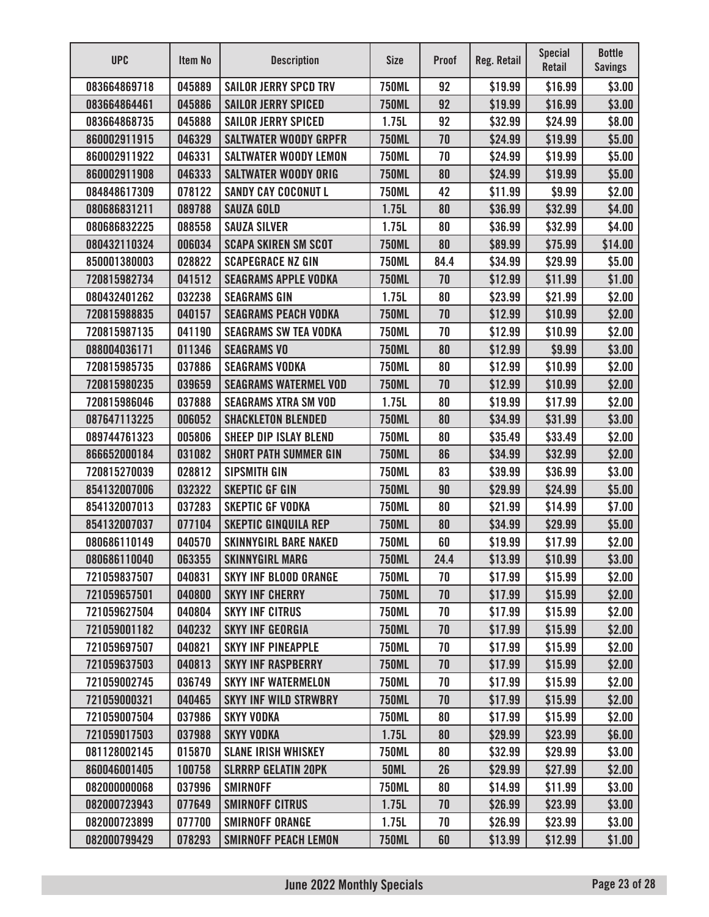| <b>UPC</b>   | Item No | <b>Description</b>           | <b>Size</b>  | <b>Proof</b> | Reg. Retail | <b>Special</b><br><b>Retail</b> | <b>Bottle</b><br><b>Savings</b> |
|--------------|---------|------------------------------|--------------|--------------|-------------|---------------------------------|---------------------------------|
| 083664869718 | 045889  | <b>SAILOR JERRY SPCD TRV</b> | <b>750ML</b> | 92           | \$19.99     | \$16.99                         | \$3.00                          |
| 083664864461 | 045886  | <b>SAILOR JERRY SPICED</b>   | <b>750ML</b> | 92           | \$19.99     | \$16.99                         | \$3.00                          |
| 083664868735 | 045888  | <b>SAILOR JERRY SPICED</b>   | 1.75L        | 92           | \$32.99     | \$24.99                         | \$8.00                          |
| 860002911915 | 046329  | <b>SALTWATER WOODY GRPFR</b> | <b>750ML</b> | 70           | \$24.99     | \$19.99                         | \$5.00                          |
| 860002911922 | 046331  | <b>SALTWATER WOODY LEMON</b> | <b>750ML</b> | 70           | \$24.99     | \$19.99                         | \$5.00                          |
| 860002911908 | 046333  | <b>SALTWATER WOODY ORIG</b>  | <b>750ML</b> | 80           | \$24.99     | \$19.99                         | \$5.00                          |
| 084848617309 | 078122  | <b>SANDY CAY COCONUT L</b>   | <b>750ML</b> | 42           | \$11.99     | \$9.99                          | \$2.00                          |
| 080686831211 | 089788  | <b>SAUZA GOLD</b>            | 1.75L        | 80           | \$36.99     | \$32.99                         | \$4.00                          |
| 080686832225 | 088558  | <b>SAUZA SILVER</b>          | 1.75L        | 80           | \$36.99     | \$32.99                         | \$4.00                          |
| 080432110324 | 006034  | <b>SCAPA SKIREN SM SCOT</b>  | <b>750ML</b> | 80           | \$89.99     | \$75.99                         | \$14.00                         |
| 850001380003 | 028822  | <b>SCAPEGRACE NZ GIN</b>     | <b>750ML</b> | 84.4         | \$34.99     | \$29.99                         | \$5.00                          |
| 720815982734 | 041512  | <b>SEAGRAMS APPLE VODKA</b>  | <b>750ML</b> | 70           | \$12.99     | \$11.99                         | \$1.00                          |
| 080432401262 | 032238  | <b>SEAGRAMS GIN</b>          | 1.75L        | 80           | \$23.99     | \$21.99                         | \$2.00                          |
| 720815988835 | 040157  | <b>SEAGRAMS PEACH VODKA</b>  | <b>750ML</b> | 70           | \$12.99     | \$10.99                         | \$2.00                          |
| 720815987135 | 041190  | <b>SEAGRAMS SW TEA VODKA</b> | <b>750ML</b> | 70           | \$12.99     | \$10.99                         | \$2.00                          |
| 088004036171 | 011346  | <b>SEAGRAMS VO</b>           | <b>750ML</b> | 80           | \$12.99     | \$9.99                          | \$3.00                          |
| 720815985735 | 037886  | <b>SEAGRAMS VODKA</b>        | <b>750ML</b> | 80           | \$12.99     | \$10.99                         | \$2.00                          |
| 720815980235 | 039659  | <b>SEAGRAMS WATERMEL VOD</b> | <b>750ML</b> | 70           | \$12.99     | \$10.99                         | \$2.00                          |
| 720815986046 | 037888  | <b>SEAGRAMS XTRA SM VOD</b>  | 1.75L        | 80           | \$19.99     | \$17.99                         | \$2.00                          |
| 087647113225 | 006052  | <b>SHACKLETON BLENDED</b>    | <b>750ML</b> | 80           | \$34.99     | \$31.99                         | \$3.00                          |
| 089744761323 | 005806  | <b>SHEEP DIP ISLAY BLEND</b> | <b>750ML</b> | 80           | \$35.49     | \$33.49                         | \$2.00                          |
| 866652000184 | 031082  | <b>SHORT PATH SUMMER GIN</b> | <b>750ML</b> | 86           | \$34.99     | \$32.99                         | \$2.00                          |
| 720815270039 | 028812  | <b>SIPSMITH GIN</b>          | <b>750ML</b> | 83           | \$39.99     | \$36.99                         | \$3.00                          |
| 854132007006 | 032322  | <b>SKEPTIC GF GIN</b>        | <b>750ML</b> | 90           | \$29.99     | \$24.99                         | \$5.00                          |
| 854132007013 | 037283  | <b>SKEPTIC GF VODKA</b>      | <b>750ML</b> | 80           | \$21.99     | \$14.99                         | \$7.00                          |
| 854132007037 | 077104  | <b>SKEPTIC GINQUILA REP</b>  | <b>750ML</b> | 80           | \$34.99     | \$29.99                         | \$5.00                          |
| 080686110149 | 040570  | <b>SKINNYGIRL BARE NAKED</b> | <b>750ML</b> | 60           | \$19.99     | \$17.99                         | \$2.00                          |
| 080686110040 | 063355  | <b>SKINNYGIRL MARG</b>       | <b>750ML</b> | 24.4         | \$13.99     | \$10.99                         | \$3.00                          |
| 721059837507 | 040831  | <b>SKYY INF BLOOD ORANGE</b> | <b>750ML</b> | 70           | \$17.99     | \$15.99                         | \$2.00                          |
| 721059657501 | 040800  | <b>SKYY INF CHERRY</b>       | <b>750ML</b> | 70           | \$17.99     | \$15.99                         | \$2.00                          |
| 721059627504 | 040804  | <b>SKYY INF CITRUS</b>       | <b>750ML</b> | 70           | \$17.99     | \$15.99                         | \$2.00                          |
| 721059001182 | 040232  | <b>SKYY INF GEORGIA</b>      | <b>750ML</b> | 70           | \$17.99     | \$15.99                         | \$2.00                          |
| 721059697507 | 040821  | <b>SKYY INF PINEAPPLE</b>    | <b>750ML</b> | 70           | \$17.99     | \$15.99                         | \$2.00                          |
| 721059637503 | 040813  | <b>SKYY INF RASPBERRY</b>    | <b>750ML</b> | 70           | \$17.99     | \$15.99                         | \$2.00                          |
| 721059002745 | 036749  | <b>SKYY INF WATERMELON</b>   | <b>750ML</b> | 70           | \$17.99     | \$15.99                         | \$2.00                          |
| 721059000321 | 040465  | <b>SKYY INF WILD STRWBRY</b> | <b>750ML</b> | 70           | \$17.99     | \$15.99                         | \$2.00                          |
| 721059007504 | 037986  | <b>SKYY VODKA</b>            | <b>750ML</b> | 80           | \$17.99     | \$15.99                         | \$2.00                          |
| 721059017503 | 037988  | <b>SKYY VODKA</b>            | 1.75L        | 80           | \$29.99     | \$23.99                         | \$6.00                          |
| 081128002145 | 015870  | <b>SLANE IRISH WHISKEY</b>   | <b>750ML</b> | 80           | \$32.99     | \$29.99                         | \$3.00                          |
| 860046001405 | 100758  | <b>SLRRRP GELATIN 20PK</b>   | <b>50ML</b>  | 26           | \$29.99     | \$27.99                         | \$2.00                          |
| 082000000068 | 037996  | <b>SMIRNOFF</b>              | <b>750ML</b> | 80           | \$14.99     | \$11.99                         | \$3.00                          |
| 082000723943 | 077649  | <b>SMIRNOFF CITRUS</b>       | 1.75L        | 70           | \$26.99     | \$23.99                         | \$3.00                          |
| 082000723899 | 077700  | <b>SMIRNOFF ORANGE</b>       | 1.75L        | 70           | \$26.99     | \$23.99                         | \$3.00                          |
| 082000799429 | 078293  | <b>SMIRNOFF PEACH LEMON</b>  | <b>750ML</b> | 60           | \$13.99     | \$12.99                         | \$1.00                          |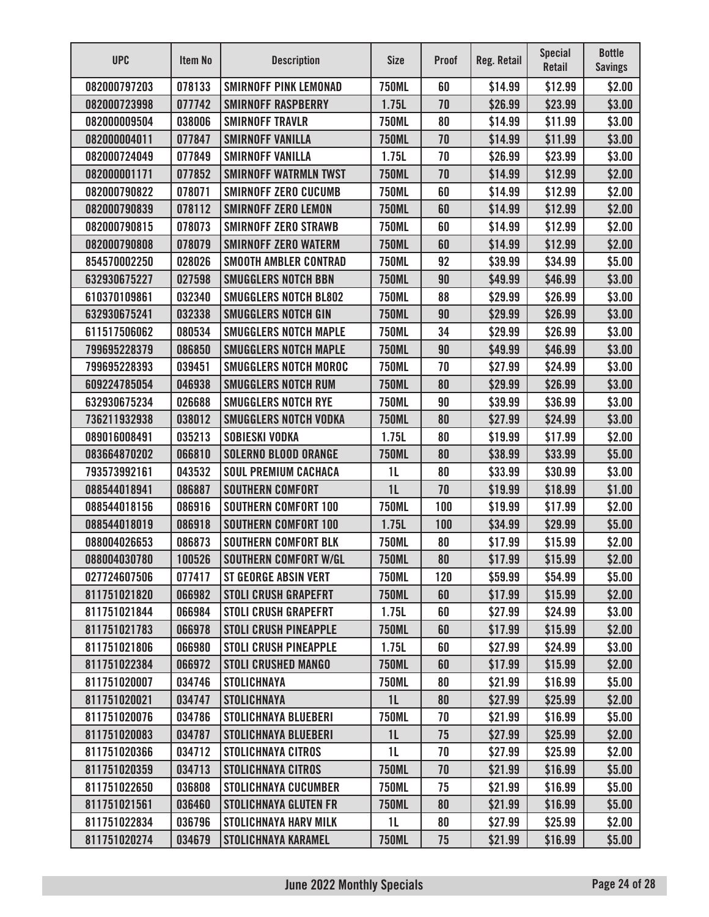| <b>UPC</b>   | Item No | <b>Description</b>           | <b>Size</b>    | <b>Proof</b> | <b>Reg. Retail</b> | <b>Special</b><br><b>Retail</b> | <b>Bottle</b><br><b>Savings</b> |
|--------------|---------|------------------------------|----------------|--------------|--------------------|---------------------------------|---------------------------------|
| 082000797203 | 078133  | <b>SMIRNOFF PINK LEMONAD</b> | <b>750ML</b>   | 60           | \$14.99            | \$12.99                         | \$2.00                          |
| 082000723998 | 077742  | <b>SMIRNOFF RASPBERRY</b>    | 1.75L          | 70           | \$26.99            | \$23.99                         | \$3.00                          |
| 082000009504 | 038006  | <b>SMIRNOFF TRAVLR</b>       | <b>750ML</b>   | 80           | \$14.99            | \$11.99                         | \$3.00                          |
| 082000004011 | 077847  | <b>SMIRNOFF VANILLA</b>      | <b>750ML</b>   | 70           | \$14.99            | \$11.99                         | \$3.00                          |
| 082000724049 | 077849  | <b>SMIRNOFF VANILLA</b>      | 1.75L          | 70           | \$26.99            | \$23.99                         | \$3.00                          |
| 082000001171 | 077852  | <b>SMIRNOFF WATRMLN TWST</b> | <b>750ML</b>   | 70           | \$14.99            | \$12.99                         | \$2.00                          |
| 082000790822 | 078071  | <b>SMIRNOFF ZERO CUCUMB</b>  | <b>750ML</b>   | 60           | \$14.99            | \$12.99                         | \$2.00                          |
| 082000790839 | 078112  | <b>SMIRNOFF ZERO LEMON</b>   | <b>750ML</b>   | 60           | \$14.99            | \$12.99                         | \$2.00                          |
| 082000790815 | 078073  | <b>SMIRNOFF ZERO STRAWB</b>  | <b>750ML</b>   | 60           | \$14.99            | \$12.99                         | \$2.00                          |
| 082000790808 | 078079  | <b>SMIRNOFF ZERO WATERM</b>  | <b>750ML</b>   | 60           | \$14.99            | \$12.99                         | \$2.00                          |
| 854570002250 | 028026  | <b>SMOOTH AMBLER CONTRAD</b> | <b>750ML</b>   | 92           | \$39.99            | \$34.99                         | \$5.00                          |
| 632930675227 | 027598  | <b>SMUGGLERS NOTCH BBN</b>   | <b>750ML</b>   | 90           | \$49.99            | \$46.99                         | \$3.00                          |
| 610370109861 | 032340  | <b>SMUGGLERS NOTCH BL802</b> | <b>750ML</b>   | 88           | \$29.99            | \$26.99                         | \$3.00                          |
| 632930675241 | 032338  | SMUGGLERS NOTCH GIN          | <b>750ML</b>   | 90           | \$29.99            | \$26.99                         | \$3.00                          |
| 611517506062 | 080534  | <b>SMUGGLERS NOTCH MAPLE</b> | <b>750ML</b>   | 34           | \$29.99            | \$26.99                         | \$3.00                          |
| 799695228379 | 086850  | <b>SMUGGLERS NOTCH MAPLE</b> | <b>750ML</b>   | 90           | \$49.99            | \$46.99                         | \$3.00                          |
| 799695228393 | 039451  | <b>SMUGGLERS NOTCH MOROC</b> | <b>750ML</b>   | 70           | \$27.99            | \$24.99                         | \$3.00                          |
| 609224785054 | 046938  | <b>SMUGGLERS NOTCH RUM</b>   | <b>750ML</b>   | 80           | \$29.99            | \$26.99                         | \$3.00                          |
| 632930675234 | 026688  | <b>SMUGGLERS NOTCH RYE</b>   | <b>750ML</b>   | 90           | \$39.99            | \$36.99                         | \$3.00                          |
| 736211932938 | 038012  | <b>SMUGGLERS NOTCH VODKA</b> | <b>750ML</b>   | 80           | \$27.99            | \$24.99                         | \$3.00                          |
| 089016008491 | 035213  | <b>SOBIESKI VODKA</b>        | 1.75L          | 80           | \$19.99            | \$17.99                         | \$2.00                          |
| 083664870202 | 066810  | <b>SOLERNO BLOOD ORANGE</b>  | <b>750ML</b>   | 80           | \$38.99            | \$33.99                         | \$5.00                          |
| 793573992161 | 043532  | <b>SOUL PREMIUM CACHACA</b>  | 1L             | 80           | \$33.99            | \$30.99                         | \$3.00                          |
| 088544018941 | 086887  | <b>SOUTHERN COMFORT</b>      | 1 <sub>L</sub> | 70           | \$19.99            | \$18.99                         | \$1.00                          |
| 088544018156 | 086916  | <b>SOUTHERN COMFORT 100</b>  | <b>750ML</b>   | 100          | \$19.99            | \$17.99                         | \$2.00                          |
| 088544018019 | 086918  | <b>SOUTHERN COMFORT 100</b>  | 1.75L          | 100          | \$34.99            | \$29.99                         | \$5.00                          |
| 088004026653 | 086873  | <b>SOUTHERN COMFORT BLK</b>  | 750ML          | 80           | \$17.99            | \$15.99                         | \$2.00                          |
| 088004030780 | 100526  | <b>SOUTHERN COMFORT W/GL</b> | <b>750ML</b>   | 80           | \$17.99            | \$15.99                         | \$2.00                          |
| 027724607506 | 077417  | <b>ST GEORGE ABSIN VERT</b>  | <b>750ML</b>   | 120          | \$59.99            | \$54.99                         | \$5.00                          |
| 811751021820 | 066982  | <b>STOLI CRUSH GRAPEFRT</b>  | <b>750ML</b>   | 60           | \$17.99            | \$15.99                         | \$2.00                          |
| 811751021844 | 066984  | <b>STOLI CRUSH GRAPEFRT</b>  | 1.75L          | 60           | \$27.99            | \$24.99                         | \$3.00                          |
| 811751021783 | 066978  | <b>STOLI CRUSH PINEAPPLE</b> | <b>750ML</b>   | 60           | \$17.99            | \$15.99                         | \$2.00                          |
| 811751021806 | 066980  | <b>STOLI CRUSH PINEAPPLE</b> | 1.75L          | 60           | \$27.99            | \$24.99                         | \$3.00                          |
| 811751022384 | 066972  | <b>STOLI CRUSHED MANGO</b>   | <b>750ML</b>   | 60           | \$17.99            | \$15.99                         | \$2.00                          |
| 811751020007 | 034746  | <b>STOLICHNAYA</b>           | <b>750ML</b>   | 80           | \$21.99            | \$16.99                         | \$5.00                          |
| 811751020021 | 034747  | <b>STOLICHNAYA</b>           | 1 <sub>L</sub> | 80           | \$27.99            | \$25.99                         | \$2.00                          |
| 811751020076 | 034786  | <b>STOLICHNAYA BLUEBERI</b>  | <b>750ML</b>   | 70           | \$21.99            | \$16.99                         | \$5.00                          |
| 811751020083 | 034787  | <b>STOLICHNAYA BLUEBERI</b>  | 1 <sub>L</sub> | 75           | \$27.99            | \$25.99                         | \$2.00                          |
| 811751020366 | 034712  | <b>STOLICHNAYA CITROS</b>    | 1L             | 70           | \$27.99            | \$25.99                         | \$2.00                          |
| 811751020359 | 034713  | <b>STOLICHNAYA CITROS</b>    | <b>750ML</b>   | 70           | \$21.99            | \$16.99                         | \$5.00                          |
| 811751022650 | 036808  | <b>STOLICHNAYA CUCUMBER</b>  | <b>750ML</b>   | 75           | \$21.99            | \$16.99                         | \$5.00                          |
| 811751021561 | 036460  | <b>STOLICHNAYA GLUTEN FR</b> | <b>750ML</b>   | 80           | \$21.99            | \$16.99                         | \$5.00                          |
| 811751022834 | 036796  | <b>STOLICHNAYA HARV MILK</b> | 1 <sub>L</sub> | 80           | \$27.99            | \$25.99                         | \$2.00                          |
| 811751020274 | 034679  | <b>STOLICHNAYA KARAMEL</b>   | <b>750ML</b>   | 75           | \$21.99            | \$16.99                         | \$5.00                          |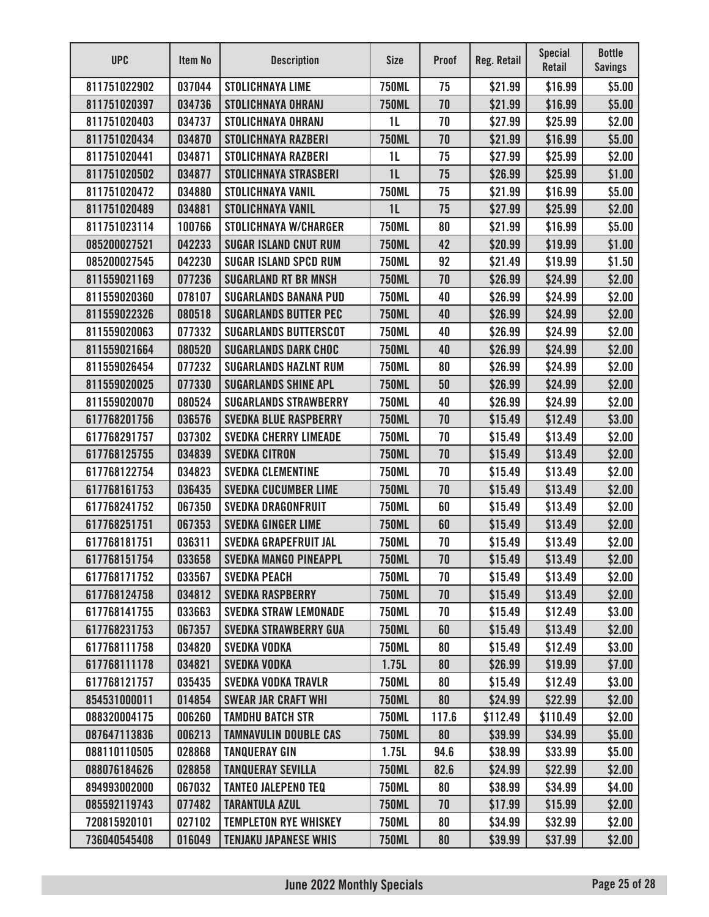| <b>UPC</b>   | Item No | <b>Description</b>           | <b>Size</b>    | <b>Proof</b> | Reg. Retail | <b>Special</b><br>Retail | <b>Bottle</b><br><b>Savings</b> |
|--------------|---------|------------------------------|----------------|--------------|-------------|--------------------------|---------------------------------|
| 811751022902 | 037044  | <b>STOLICHNAYA LIME</b>      | <b>750ML</b>   | 75           | \$21.99     | \$16.99                  | \$5.00                          |
| 811751020397 | 034736  | <b>STOLICHNAYA OHRANJ</b>    | <b>750ML</b>   | 70           | \$21.99     | \$16.99                  | \$5.00                          |
| 811751020403 | 034737  | <b>STOLICHNAYA OHRANJ</b>    | 1 <sub>L</sub> | 70           | \$27.99     | \$25.99                  | \$2.00                          |
| 811751020434 | 034870  | <b>STOLICHNAYA RAZBERI</b>   | <b>750ML</b>   | 70           | \$21.99     | \$16.99                  | \$5.00                          |
| 811751020441 | 034871  | <b>STOLICHNAYA RAZBERI</b>   | 1 <sub>L</sub> | 75           | \$27.99     | \$25.99                  | \$2.00                          |
| 811751020502 | 034877  | <b>STOLICHNAYA STRASBERI</b> | 1 <sub>L</sub> | 75           | \$26.99     | \$25.99                  | \$1.00                          |
| 811751020472 | 034880  | <b>STOLICHNAYA VANIL</b>     | <b>750ML</b>   | 75           | \$21.99     | \$16.99                  | \$5.00                          |
| 811751020489 | 034881  | <b>STOLICHNAYA VANIL</b>     | 1 <sub>L</sub> | 75           | \$27.99     | \$25.99                  | \$2.00                          |
| 811751023114 | 100766  | <b>STOLICHNAYA W/CHARGER</b> | <b>750ML</b>   | 80           | \$21.99     | \$16.99                  | \$5.00                          |
| 085200027521 | 042233  | <b>SUGAR ISLAND CNUT RUM</b> | <b>750ML</b>   | 42           | \$20.99     | \$19.99                  | \$1.00                          |
| 085200027545 | 042230  | <b>SUGAR ISLAND SPCD RUM</b> | <b>750ML</b>   | 92           | \$21.49     | \$19.99                  | \$1.50                          |
| 811559021169 | 077236  | <b>SUGARLAND RT BR MNSH</b>  | <b>750ML</b>   | 70           | \$26.99     | \$24.99                  | \$2.00                          |
| 811559020360 | 078107  | <b>SUGARLANDS BANANA PUD</b> | <b>750ML</b>   | 40           | \$26.99     | \$24.99                  | \$2.00                          |
| 811559022326 | 080518  | <b>SUGARLANDS BUTTER PEC</b> | <b>750ML</b>   | 40           | \$26.99     | \$24.99                  | \$2.00                          |
| 811559020063 | 077332  | <b>SUGARLANDS BUTTERSCOT</b> | <b>750ML</b>   | 40           | \$26.99     | \$24.99                  | \$2.00                          |
| 811559021664 | 080520  | <b>SUGARLANDS DARK CHOC</b>  | <b>750ML</b>   | 40           | \$26.99     | \$24.99                  | \$2.00                          |
| 811559026454 | 077232  | <b>SUGARLANDS HAZLNT RUM</b> | <b>750ML</b>   | 80           | \$26.99     | \$24.99                  | \$2.00                          |
| 811559020025 | 077330  | <b>SUGARLANDS SHINE APL</b>  | <b>750ML</b>   | 50           | \$26.99     | \$24.99                  | \$2.00                          |
| 811559020070 | 080524  | <b>SUGARLANDS STRAWBERRY</b> | <b>750ML</b>   | 40           | \$26.99     | \$24.99                  | \$2.00                          |
| 617768201756 | 036576  | <b>SVEDKA BLUE RASPBERRY</b> | <b>750ML</b>   | 70           | \$15.49     | \$12.49                  | \$3.00                          |
| 617768291757 | 037302  | <b>SVEDKA CHERRY LIMEADE</b> | <b>750ML</b>   | 70           | \$15.49     | \$13.49                  | \$2.00                          |
| 617768125755 | 034839  | <b>SVEDKA CITRON</b>         | <b>750ML</b>   | 70           | \$15.49     | \$13.49                  | \$2.00                          |
| 617768122754 | 034823  | <b>SVEDKA CLEMENTINE</b>     | <b>750ML</b>   | 70           | \$15.49     | \$13.49                  | \$2.00                          |
| 617768161753 | 036435  | <b>SVEDKA CUCUMBER LIME</b>  | <b>750ML</b>   | 70           | \$15.49     | \$13.49                  | \$2.00                          |
| 617768241752 | 067350  | <b>SVEDKA DRAGONFRUIT</b>    | <b>750ML</b>   | 60           | \$15.49     | \$13.49                  | \$2.00                          |
| 617768251751 | 067353  | <b>SVEDKA GINGER LIME</b>    | <b>750ML</b>   | 60           | \$15.49     | \$13.49                  | \$2.00                          |
| 617768181751 | 036311  | <b>SVEDKA GRAPEFRUIT JAL</b> | <b>750ML</b>   | 70           | \$15.49     | \$13.49                  | \$2.00                          |
| 617768151754 | 033658  | <b>SVEDKA MANGO PINEAPPL</b> | <b>750ML</b>   | 70           | \$15.49     | \$13.49                  | \$2.00                          |
| 617768171752 | 033567  | <b>SVEDKA PEACH</b>          | <b>750ML</b>   | 70           | \$15.49     | \$13.49                  | \$2.00                          |
| 617768124758 | 034812  | <b>SVEDKA RASPBERRY</b>      | <b>750ML</b>   | 70           | \$15.49     | \$13.49                  | \$2.00                          |
| 617768141755 | 033663  | <b>SVEDKA STRAW LEMONADE</b> | <b>750ML</b>   | 70           | \$15.49     | \$12.49                  | \$3.00                          |
| 617768231753 | 067357  | <b>SVEDKA STRAWBERRY GUA</b> | <b>750ML</b>   | 60           | \$15.49     | \$13.49                  | \$2.00                          |
| 617768111758 | 034820  | <b>SVEDKA VODKA</b>          | <b>750ML</b>   | 80           | \$15.49     | \$12.49                  | \$3.00                          |
| 617768111178 | 034821  | <b>SVEDKA VODKA</b>          | 1.75L          | 80           | \$26.99     | \$19.99                  | \$7.00                          |
| 617768121757 | 035435  | <b>SVEDKA VODKA TRAVLR</b>   | <b>750ML</b>   | 80           | \$15.49     | \$12.49                  | \$3.00                          |
| 854531000011 | 014854  | <b>SWEAR JAR CRAFT WHI</b>   | <b>750ML</b>   | 80           | \$24.99     | \$22.99                  | \$2.00                          |
| 088320004175 | 006260  | <b>TAMDHU BATCH STR</b>      | <b>750ML</b>   | 117.6        | \$112.49    | \$110.49                 | \$2.00                          |
| 087647113836 | 006213  | <b>TAMNAVULIN DOUBLE CAS</b> | <b>750ML</b>   | 80           | \$39.99     | \$34.99                  | \$5.00                          |
| 088110110505 | 028868  | <b>TANQUERAY GIN</b>         | 1.75L          | 94.6         | \$38.99     | \$33.99                  | \$5.00                          |
| 088076184626 | 028858  | <b>TANQUERAY SEVILLA</b>     | <b>750ML</b>   | 82.6         | \$24.99     | \$22.99                  | \$2.00                          |
| 894993002000 | 067032  | <b>TANTEO JALEPENO TEQ</b>   | <b>750ML</b>   | 80           | \$38.99     | \$34.99                  | \$4.00                          |
| 085592119743 | 077482  | <b>TARANTULA AZUL</b>        | <b>750ML</b>   | 70           | \$17.99     | \$15.99                  | \$2.00                          |
| 720815920101 | 027102  | <b>TEMPLETON RYE WHISKEY</b> | <b>750ML</b>   | 80           | \$34.99     | \$32.99                  | \$2.00                          |
| 736040545408 | 016049  | <b>TENJAKU JAPANESE WHIS</b> | <b>750ML</b>   | 80           | \$39.99     | \$37.99                  | \$2.00                          |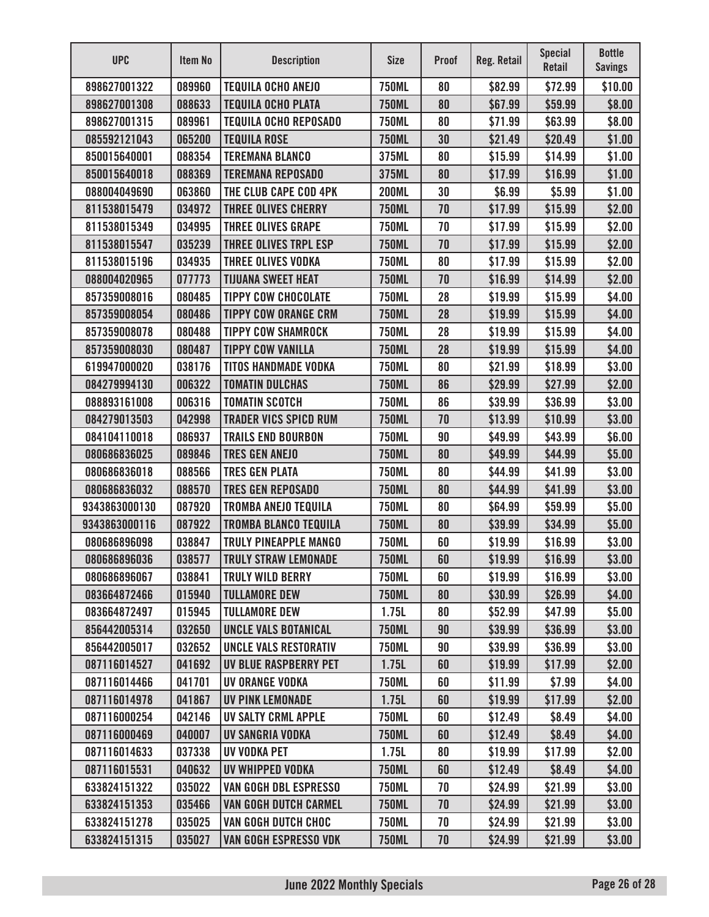| <b>UPC</b>    | Item No | <b>Description</b>           | <b>Size</b>  | <b>Proof</b> | <b>Reg. Retail</b> | <b>Special</b><br>Retail | <b>Bottle</b><br><b>Savings</b> |
|---------------|---------|------------------------------|--------------|--------------|--------------------|--------------------------|---------------------------------|
| 898627001322  | 089960  | <b>TEQUILA OCHO ANEJO</b>    | <b>750ML</b> | 80           | \$82.99            | \$72.99                  | \$10.00                         |
| 898627001308  | 088633  | <b>TEQUILA OCHO PLATA</b>    | <b>750ML</b> | 80           | \$67.99            | \$59.99                  | \$8.00                          |
| 898627001315  | 089961  | <b>TEQUILA OCHO REPOSADO</b> | <b>750ML</b> | 80           | \$71.99            | \$63.99                  | \$8.00                          |
| 085592121043  | 065200  | <b>TEQUILA ROSE</b>          | <b>750ML</b> | 30           | \$21.49            | \$20.49                  | \$1.00                          |
| 850015640001  | 088354  | <b>TEREMANA BLANCO</b>       | 375ML        | 80           | \$15.99            | \$14.99                  | \$1.00                          |
| 850015640018  | 088369  | <b>TEREMANA REPOSADO</b>     | 375ML        | 80           | \$17.99            | \$16.99                  | \$1.00                          |
| 088004049690  | 063860  | THE CLUB CAPE COD 4PK        | <b>200ML</b> | 30           | \$6.99             | \$5.99                   | \$1.00                          |
| 811538015479  | 034972  | <b>THREE OLIVES CHERRY</b>   | <b>750ML</b> | 70           | \$17.99            | \$15.99                  | \$2.00                          |
| 811538015349  | 034995  | <b>THREE OLIVES GRAPE</b>    | <b>750ML</b> | 70           | \$17.99            | \$15.99                  | \$2.00                          |
| 811538015547  | 035239  | THREE OLIVES TRPL ESP        | <b>750ML</b> | 70           | \$17.99            | \$15.99                  | \$2.00                          |
| 811538015196  | 034935  | <b>THREE OLIVES VODKA</b>    | <b>750ML</b> | 80           | \$17.99            | \$15.99                  | \$2.00                          |
| 088004020965  | 077773  | <b>TIJUANA SWEET HEAT</b>    | <b>750ML</b> | 70           | \$16.99            | \$14.99                  | \$2.00                          |
| 857359008016  | 080485  | <b>TIPPY COW CHOCOLATE</b>   | <b>750ML</b> | 28           | \$19.99            | \$15.99                  | \$4.00                          |
| 857359008054  | 080486  | <b>TIPPY COW ORANGE CRM</b>  | <b>750ML</b> | 28           | \$19.99            | \$15.99                  | \$4.00                          |
| 857359008078  | 080488  | <b>TIPPY COW SHAMROCK</b>    | <b>750ML</b> | 28           | \$19.99            | \$15.99                  | \$4.00                          |
| 857359008030  | 080487  | <b>TIPPY COW VANILLA</b>     | <b>750ML</b> | 28           | \$19.99            | \$15.99                  | \$4.00                          |
| 619947000020  | 038176  | <b>TITOS HANDMADE VODKA</b>  | <b>750ML</b> | 80           | \$21.99            | \$18.99                  | \$3.00                          |
| 084279994130  | 006322  | <b>TOMATIN DULCHAS</b>       | <b>750ML</b> | 86           | \$29.99            | \$27.99                  | \$2.00                          |
| 088893161008  | 006316  | <b>TOMATIN SCOTCH</b>        | <b>750ML</b> | 86           | \$39.99            | \$36.99                  | \$3.00                          |
| 084279013503  | 042998  | <b>TRADER VICS SPICD RUM</b> | <b>750ML</b> | 70           | \$13.99            | \$10.99                  | \$3.00                          |
| 084104110018  | 086937  | <b>TRAILS END BOURBON</b>    | <b>750ML</b> | 90           | \$49.99            | \$43.99                  | \$6.00                          |
| 080686836025  | 089846  | <b>TRES GEN ANEJO</b>        | <b>750ML</b> | 80           | \$49.99            | \$44.99                  | \$5.00                          |
| 080686836018  | 088566  | <b>TRES GEN PLATA</b>        | <b>750ML</b> | 80           | \$44.99            | \$41.99                  | \$3.00                          |
| 080686836032  | 088570  | <b>TRES GEN REPOSADO</b>     | <b>750ML</b> | 80           | \$44.99            | \$41.99                  | \$3.00                          |
| 9343863000130 | 087920  | <b>TROMBA ANEJO TEQUILA</b>  | <b>750ML</b> | 80           | \$64.99            | \$59.99                  | \$5.00                          |
| 9343863000116 | 087922  | <b>TROMBA BLANCO TEQUILA</b> | <b>750ML</b> | 80           | \$39.99            | \$34.99                  | \$5.00                          |
| 080686896098  | 038847  | <b>TRULY PINEAPPLE MANGO</b> | <b>750ML</b> | 60           | \$19.99            | \$16.99                  | \$3.00                          |
| 080686896036  | 038577  | <b>TRULY STRAW LEMONADE</b>  | <b>750ML</b> | 60           | \$19.99            | \$16.99                  | \$3.00                          |
| 080686896067  | 038841  | <b>TRULY WILD BERRY</b>      | <b>750ML</b> | 60           | \$19.99            | \$16.99                  | \$3.00                          |
| 083664872466  | 015940  | <b>TULLAMORE DEW</b>         | <b>750ML</b> | 80           | \$30.99            | \$26.99                  | \$4.00                          |
| 083664872497  | 015945  | <b>TULLAMORE DEW</b>         | 1.75L        | 80           | \$52.99            | \$47.99                  | \$5.00                          |
| 856442005314  | 032650  | <b>UNCLE VALS BOTANICAL</b>  | <b>750ML</b> | 90           | \$39.99            | \$36.99                  | \$3.00                          |
| 856442005017  | 032652  | UNCLE VALS RESTORATIV        | <b>750ML</b> | 90           | \$39.99            | \$36.99                  | \$3.00                          |
| 087116014527  | 041692  | <b>UV BLUE RASPBERRY PET</b> | 1.75L        | 60           | \$19.99            | \$17.99                  | \$2.00                          |
| 087116014466  | 041701  | UV ORANGE VODKA              | <b>750ML</b> | 60           | \$11.99            | \$7.99                   | \$4.00                          |
| 087116014978  | 041867  | <b>UV PINK LEMONADE</b>      | 1.75L        | 60           | \$19.99            | \$17.99                  | \$2.00                          |
| 087116000254  | 042146  | <b>UV SALTY CRML APPLE</b>   | <b>750ML</b> | 60           | \$12.49            | \$8.49                   | \$4.00                          |
| 087116000469  | 040007  | UV SANGRIA VODKA             | <b>750ML</b> | 60           | \$12.49            | \$8.49                   | \$4.00                          |
| 087116014633  | 037338  | <b>UV VODKA PET</b>          | 1.75L        | 80           | \$19.99            | \$17.99                  | \$2.00                          |
| 087116015531  | 040632  | UV WHIPPED VODKA             | <b>750ML</b> | 60           | \$12.49            | \$8.49                   | \$4.00                          |
| 633824151322  | 035022  | <b>VAN GOGH DBL ESPRESSO</b> | <b>750ML</b> | 70           | \$24.99            | \$21.99                  | \$3.00                          |
| 633824151353  | 035466  | <b>VAN GOGH DUTCH CARMEL</b> | <b>750ML</b> | 70           | \$24.99            | \$21.99                  | \$3.00                          |
| 633824151278  | 035025  | <b>VAN GOGH DUTCH CHOC</b>   | <b>750ML</b> | 70           | \$24.99            | \$21.99                  | \$3.00                          |
| 633824151315  | 035027  | <b>VAN GOGH ESPRESSO VDK</b> | <b>750ML</b> | 70           | \$24.99            | \$21.99                  | \$3.00                          |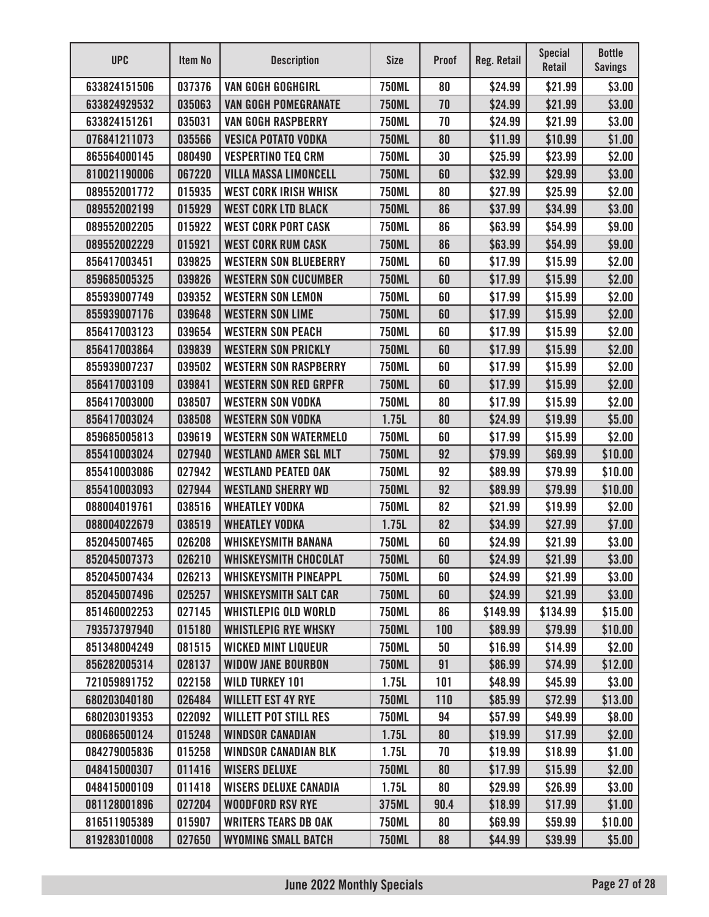| <b>UPC</b>   | <b>Item No</b> | <b>Description</b>           | <b>Size</b>  | <b>Proof</b> | Reg. Retail | <b>Special</b><br>Retail | <b>Bottle</b><br><b>Savings</b> |
|--------------|----------------|------------------------------|--------------|--------------|-------------|--------------------------|---------------------------------|
| 633824151506 | 037376         | <b>VAN GOGH GOGHGIRL</b>     | <b>750ML</b> | 80           | \$24.99     | \$21.99                  | \$3.00                          |
| 633824929532 | 035063         | <b>VAN GOGH POMEGRANATE</b>  | <b>750ML</b> | 70           | \$24.99     | \$21.99                  | \$3.00                          |
| 633824151261 | 035031         | <b>VAN GOGH RASPBERRY</b>    | <b>750ML</b> | 70           | \$24.99     | \$21.99                  | \$3.00                          |
| 076841211073 | 035566         | <b>VESICA POTATO VODKA</b>   | <b>750ML</b> | 80           | \$11.99     | \$10.99                  | \$1.00                          |
| 865564000145 | 080490         | <b>VESPERTINO TEQ CRM</b>    | <b>750ML</b> | 30           | \$25.99     | \$23.99                  | \$2.00                          |
| 810021190006 | 067220         | <b>VILLA MASSA LIMONCELL</b> | <b>750ML</b> | 60           | \$32.99     | \$29.99                  | \$3.00                          |
| 089552001772 | 015935         | <b>WEST CORK IRISH WHISK</b> | <b>750ML</b> | 80           | \$27.99     | \$25.99                  | \$2.00                          |
| 089552002199 | 015929         | <b>WEST CORK LTD BLACK</b>   | <b>750ML</b> | 86           | \$37.99     | \$34.99                  | \$3.00                          |
| 089552002205 | 015922         | <b>WEST CORK PORT CASK</b>   | <b>750ML</b> | 86           | \$63.99     | \$54.99                  | \$9.00                          |
| 089552002229 | 015921         | <b>WEST CORK RUM CASK</b>    | <b>750ML</b> | 86           | \$63.99     | \$54.99                  | \$9.00                          |
| 856417003451 | 039825         | <b>WESTERN SON BLUEBERRY</b> | <b>750ML</b> | 60           | \$17.99     | \$15.99                  | \$2.00                          |
| 859685005325 | 039826         | <b>WESTERN SON CUCUMBER</b>  | <b>750ML</b> | 60           | \$17.99     | \$15.99                  | \$2.00                          |
| 855939007749 | 039352         | <b>WESTERN SON LEMON</b>     | <b>750ML</b> | 60           | \$17.99     | \$15.99                  | \$2.00                          |
| 855939007176 | 039648         | <b>WESTERN SON LIME</b>      | <b>750ML</b> | 60           | \$17.99     | \$15.99                  | \$2.00                          |
| 856417003123 | 039654         | <b>WESTERN SON PEACH</b>     | <b>750ML</b> | 60           | \$17.99     | \$15.99                  | \$2.00                          |
| 856417003864 | 039839         | <b>WESTERN SON PRICKLY</b>   | <b>750ML</b> | 60           | \$17.99     | \$15.99                  | \$2.00                          |
| 855939007237 | 039502         | <b>WESTERN SON RASPBERRY</b> | <b>750ML</b> | 60           | \$17.99     | \$15.99                  | \$2.00                          |
| 856417003109 | 039841         | <b>WESTERN SON RED GRPFR</b> | <b>750ML</b> | 60           | \$17.99     | \$15.99                  | \$2.00                          |
| 856417003000 | 038507         | <b>WESTERN SON VODKA</b>     | <b>750ML</b> | 80           | \$17.99     | \$15.99                  | \$2.00                          |
| 856417003024 | 038508         | <b>WESTERN SON VODKA</b>     | 1.75L        | 80           | \$24.99     | \$19.99                  | \$5.00                          |
| 859685005813 | 039619         | <b>WESTERN SON WATERMELO</b> | <b>750ML</b> | 60           | \$17.99     | \$15.99                  | \$2.00                          |
| 855410003024 | 027940         | <b>WESTLAND AMER SGL MLT</b> | <b>750ML</b> | 92           | \$79.99     | \$69.99                  | \$10.00                         |
| 855410003086 | 027942         | <b>WESTLAND PEATED OAK</b>   | <b>750ML</b> | 92           | \$89.99     | \$79.99                  | \$10.00                         |
| 855410003093 | 027944         | <b>WESTLAND SHERRY WD</b>    | <b>750ML</b> | 92           | \$89.99     | \$79.99                  | \$10.00                         |
| 088004019761 | 038516         | <b>WHEATLEY VODKA</b>        | <b>750ML</b> | 82           | \$21.99     | \$19.99                  | \$2.00                          |
| 088004022679 | 038519         | <b>WHEATLEY VODKA</b>        | 1.75L        | 82           | \$34.99     | \$27.99                  | \$7.00                          |
| 852045007465 | 026208         | <b>WHISKEYSMITH BANANA</b>   | <b>750ML</b> | 60           | \$24.99     | \$21.99                  | \$3.00                          |
| 852045007373 | 026210         | WHISKEYSMITH CHOCOLAT        | <b>750ML</b> | 60           | \$24.99     | \$21.99                  | \$3.00                          |
| 852045007434 | 026213         | <b>WHISKEYSMITH PINEAPPL</b> | <b>750ML</b> | 60           | \$24.99     | \$21.99                  | \$3.00                          |
| 852045007496 | 025257         | <b>WHISKEYSMITH SALT CAR</b> | <b>750ML</b> | 60           | \$24.99     | \$21.99                  | \$3.00                          |
| 851460002253 | 027145         | <b>WHISTLEPIG OLD WORLD</b>  | <b>750ML</b> | 86           | \$149.99    | \$134.99                 | \$15.00                         |
| 793573797940 | 015180         | <b>WHISTLEPIG RYE WHSKY</b>  | <b>750ML</b> | 100          | \$89.99     | \$79.99                  | \$10.00                         |
| 851348004249 | 081515         | <b>WICKED MINT LIQUEUR</b>   | <b>750ML</b> | 50           | \$16.99     | \$14.99                  | \$2.00                          |
| 856282005314 | 028137         | <b>WIDOW JANE BOURBON</b>    | <b>750ML</b> | 91           | \$86.99     | \$74.99                  | \$12.00                         |
| 721059891752 | 022158         | <b>WILD TURKEY 101</b>       | 1.75L        | 101          | \$48.99     | \$45.99                  | \$3.00                          |
| 680203040180 | 026484         | <b>WILLETT EST 4Y RYE</b>    | <b>750ML</b> | 110          | \$85.99     | \$72.99                  | \$13.00                         |
| 680203019353 | 022092         | <b>WILLETT POT STILL RES</b> | <b>750ML</b> | 94           | \$57.99     | \$49.99                  | \$8.00                          |
| 080686500124 | 015248         | <b>WINDSOR CANADIAN</b>      | 1.75L        | 80           | \$19.99     | \$17.99                  | \$2.00                          |
| 084279005836 | 015258         | <b>WINDSOR CANADIAN BLK</b>  | 1.75L        | 70           | \$19.99     | \$18.99                  | \$1.00                          |
| 048415000307 | 011416         | <b>WISERS DELUXE</b>         | <b>750ML</b> | 80           | \$17.99     | \$15.99                  | \$2.00                          |
| 048415000109 | 011418         | <b>WISERS DELUXE CANADIA</b> | 1.75L        | 80           | \$29.99     | \$26.99                  | \$3.00                          |
| 081128001896 | 027204         | <b>WOODFORD RSV RYE</b>      | 375ML        | 90.4         | \$18.99     | \$17.99                  | \$1.00                          |
| 816511905389 | 015907         | <b>WRITERS TEARS DB OAK</b>  | <b>750ML</b> | 80           | \$69.99     | \$59.99                  | \$10.00                         |
| 819283010008 | 027650         | <b>WYOMING SMALL BATCH</b>   | <b>750ML</b> | 88           | \$44.99     | \$39.99                  | \$5.00                          |